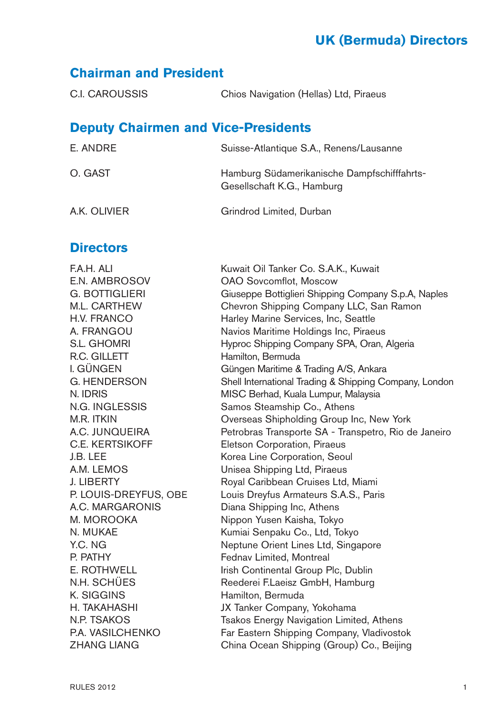# **UK (Bermuda) Directors**

### **Chairman and President**

## **Deputy Chairmen and Vice-Presidents**

| E. ANDRE     | Suisse-Atlantique S.A., Renens/Lausanne                                   |
|--------------|---------------------------------------------------------------------------|
| O. GAST      | Hamburg Südamerikanische Dampfschifffahrts-<br>Gesellschaft K.G., Hamburg |
| A.K. OLIVIER | Grindrod Limited, Durban                                                  |

### **Directors**

F.A.H. ALI Kuwait Oil Tanker Co. S.A.K., Kuwait E.N. AMBROSOV OAO Sovcomflot, Moscow G. BOTTIGLIERI Giuseppe Bottiglieri Shipping Company S.p.A, Naples M.L. CARTHEW Chevron Shipping Company LLC, San Ramon H.V. FRANCO Harley Marine Services, Inc. Seattle A. FRANGOU Navios Maritime Holdings Inc, Piraeus S.L. GHOMRI Hyproc Shipping Company SPA, Oran, Algeria R.C. GILLETT Hamilton, Bermuda I. GÜNGEN Güngen Maritime & Trading A/S, Ankara G. HENDERSON Shell International Trading & Shipping Company, London N. IDRIS MISC Berhad, Kuala Lumpur, Malaysia N.G. INGLESSIS Samos Steamship Co., Athens M.R. ITKIN **Overseas Shipholding Group Inc, New York**<br>A.C. IUNOUFIRA Petrobras Transporte SA - Transpetro, Rio d Petrobras Transporte SA - Transpetro, Rio de Janeiro C.E. KERTSIKOFF Eletson Corporation, Piraeus J.B. LEE Korea Line Corporation, Seoul A.M. LEMOS Unisea Shipping Ltd, Piraeus J. LIBERTY Royal Caribbean Cruises Ltd, Miami P. LOUIS-DREYFUS, OBE Louis Dreyfus Armateurs S.A.S., Paris A.C. MARGARONIS Diana Shipping Inc, Athens M. MOROOKA Nippon Yusen Kaisha, Tokyo N. MUKAE Kumiai Senpaku Co., Ltd, Tokyo Y.C. NG Neptune Orient Lines Ltd, Singapore P. PATHY **Fednav Limited, Montreal** E. ROTHWELL **Inish Continental Group Plc, Dublin** N.H. SCHÜES Reederei F.Laeisz GmbH, Hamburg K. SIGGINS Hamilton, Bermuda H. TAKAHASHI JX Tanker Company, Yokohama N.P. TSAKOS Tsakos Energy Navigation Limited, Athens P.A. VASILCHENKO Far Eastern Shipping Company, Vladivostok ZHANG LIANG China Ocean Shipping (Group) Co., Beijing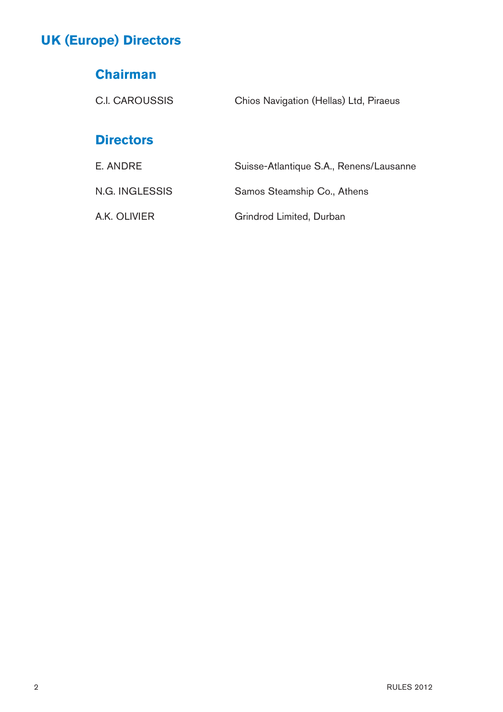# **UK (Europe) Directors**

## **Chairman**

| C.I. CAROUSSIS   | Chios Navigation (Hellas) Ltd, Piraeus  |
|------------------|-----------------------------------------|
| <b>Directors</b> |                                         |
| E. ANDRE         | Suisse-Atlantique S.A., Renens/Lausanne |
| N.G. INGLESSIS   | Samos Steamship Co., Athens             |
| A.K. OLIVIER     | Grindrod Limited, Durban                |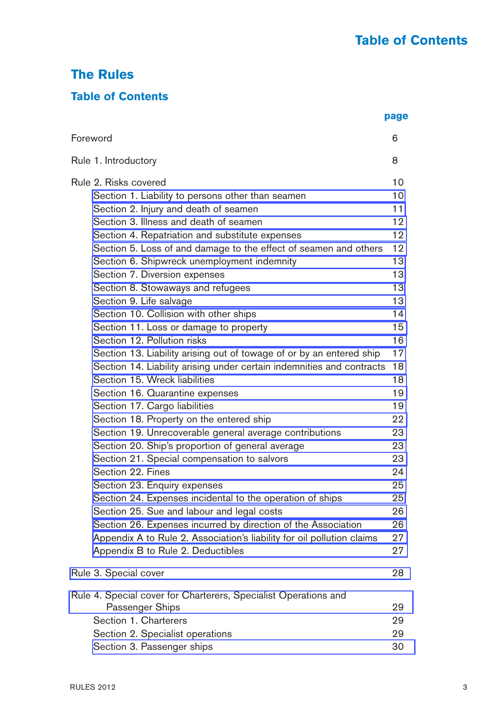# **The Rules**

## **Table of Contents**

|                                                                        | page |
|------------------------------------------------------------------------|------|
| Foreword                                                               | 6    |
| Rule 1. Introductory                                                   | 8    |
| Rule 2. Risks covered                                                  | 10   |
| Section 1. Liability to persons other than seamen                      | 10   |
| Section 2. Injury and death of seamen                                  | 11   |
| Section 3. Illness and death of seamen                                 | 12   |
| Section 4. Repatriation and substitute expenses                        | 12   |
| Section 5. Loss of and damage to the effect of seamen and others       | 12   |
| Section 6. Shipwreck unemployment indemnity                            | 13   |
| Section 7. Diversion expenses                                          | 13   |
| Section 8. Stowaways and refugees                                      | 13   |
| Section 9. Life salvage                                                | 13   |
| Section 10. Collision with other ships                                 | 14   |
| Section 11. Loss or damage to property                                 | 15   |
| Section 12. Pollution risks                                            | 16   |
| Section 13. Liability arising out of towage of or by an entered ship   | 17   |
| Section 14. Liability arising under certain indemnities and contracts  | 18   |
| Section 15. Wreck liabilities                                          | 18   |
| Section 16. Quarantine expenses                                        | 19   |
| Section 17. Cargo liabilities                                          | 19   |
| Section 18. Property on the entered ship                               | 22   |
| Section 19. Unrecoverable general average contributions                | 23   |
| Section 20. Ship's proportion of general average                       | 23   |
| Section 21. Special compensation to salvors                            | 23   |
| Section 22. Fines                                                      | 24   |
| Section 23. Enquiry expenses                                           | 25   |
| Section 24. Expenses incidental to the operation of ships              | 25   |
| Section 25. Sue and labour and legal costs                             | 26   |
| Section 26. Expenses incurred by direction of the Association          | 26   |
| Appendix A to Rule 2. Association's liability for oil pollution claims | 27   |
| Appendix B to Rule 2. Deductibles                                      | 27   |
| Rule 3. Special cover                                                  | 28   |
| Rule 4. Special cover for Charterers, Specialist Operations and        |      |
| <b>Passenger Ships</b>                                                 | 29   |
| Section 1. Charterers                                                  | 29   |
| Section 2. Specialist operations                                       | 29   |
| Section 3. Passenger ships                                             | 30   |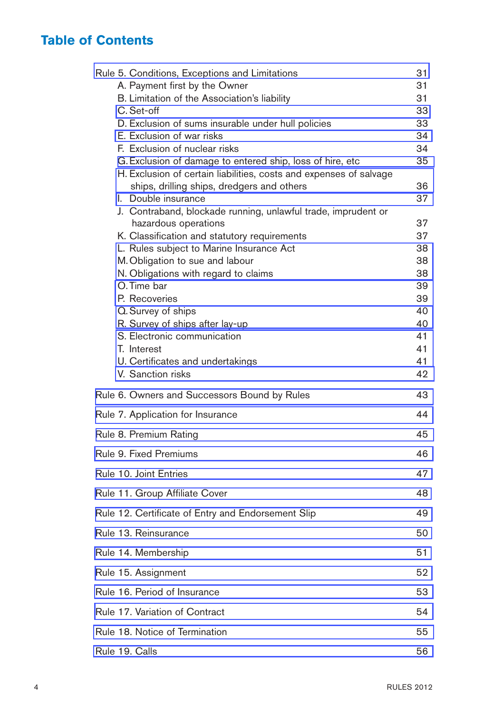## **Table of Contents**

| Rule 5. Conditions, Exceptions and Limitations                                        | 31 |
|---------------------------------------------------------------------------------------|----|
| A. Payment first by the Owner                                                         | 31 |
| B. Limitation of the Association's liability                                          | 31 |
| C. Set-off                                                                            | 33 |
| D. Exclusion of sums insurable under hull policies                                    | 33 |
| E. Exclusion of war risks                                                             | 34 |
| F. Exclusion of nuclear risks                                                         | 34 |
| G. Exclusion of damage to entered ship, loss of hire, etc.                            | 35 |
| H. Exclusion of certain liabilities, costs and expenses of salvage                    |    |
| ships, drilling ships, dredgers and others                                            | 36 |
| I. Double insurance                                                                   | 37 |
| J. Contraband, blockade running, unlawful trade, imprudent or<br>hazardous operations | 37 |
| K. Classification and statutory requirements                                          | 37 |
| L. Rules subject to Marine Insurance Act                                              | 38 |
| M. Obligation to sue and labour                                                       | 38 |
| N. Obligations with regard to claims                                                  | 38 |
| O. Time bar                                                                           | 39 |
| P. Recoveries                                                                         | 39 |
| Q. Survey of ships                                                                    | 40 |
| R. Survey of ships after lay-up                                                       | 40 |
| S. Electronic communication                                                           | 41 |
| T. Interest                                                                           | 41 |
| U. Certificates and undertakings                                                      | 41 |
| V. Sanction risks                                                                     | 42 |
| Rule 6. Owners and Successors Bound by Rules                                          | 43 |
| Rule 7. Application for Insurance                                                     | 44 |
| Rule 8. Premium Rating                                                                | 45 |
| Rule 9. Fixed Premiums                                                                | 46 |
| Rule 10. Joint Entries                                                                | 47 |
| Rule 11. Group Affiliate Cover                                                        | 48 |
| Rule 12. Certificate of Entry and Endorsement Slip                                    | 49 |
| Rule 13. Reinsurance                                                                  | 50 |
| Rule 14. Membership                                                                   | 51 |
| Rule 15. Assignment                                                                   | 52 |
| Rule 16, Period of Insurance                                                          | 53 |
| Rule 17. Variation of Contract                                                        | 54 |
| Rule 18. Notice of Termination                                                        | 55 |
| Rule 19, Calls                                                                        | 56 |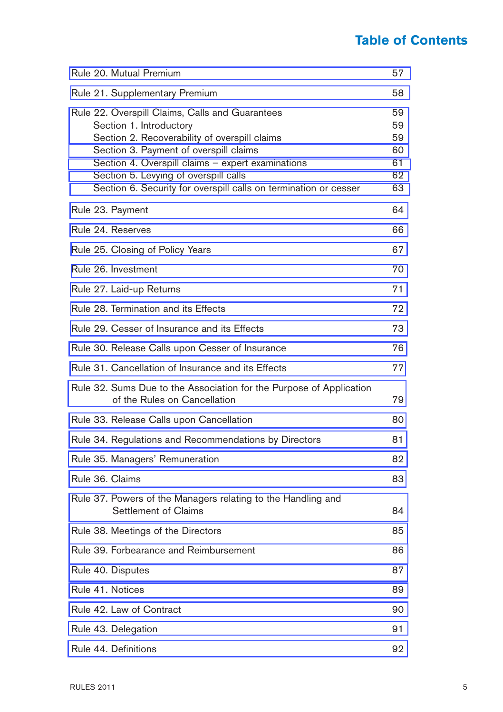# **Table of Contents**

| Rule 20. Mutual Premium                                                                                                                                                                                                                                                                                                                 | 57                                     |
|-----------------------------------------------------------------------------------------------------------------------------------------------------------------------------------------------------------------------------------------------------------------------------------------------------------------------------------------|----------------------------------------|
| Rule 21. Supplementary Premium                                                                                                                                                                                                                                                                                                          | 58                                     |
| Rule 22. Overspill Claims, Calls and Guarantees<br>Section 1. Introductory<br>Section 2. Recoverability of overspill claims<br>Section 3. Payment of overspill claims<br>Section 4. Overspill claims - expert examinations<br>Section 5. Levying of overspill calls<br>Section 6. Security for overspill calls on termination or cesser | 59<br>59<br>59<br>60<br>61<br>62<br>63 |
| Rule 23. Payment                                                                                                                                                                                                                                                                                                                        | 64                                     |
| Rule 24. Reserves                                                                                                                                                                                                                                                                                                                       | 66                                     |
| Rule 25. Closing of Policy Years                                                                                                                                                                                                                                                                                                        | 67                                     |
| Rule 26. Investment                                                                                                                                                                                                                                                                                                                     | 70                                     |
| Rule 27. Laid-up Returns                                                                                                                                                                                                                                                                                                                | 71                                     |
| Rule 28. Termination and its Effects                                                                                                                                                                                                                                                                                                    | 72                                     |
| Rule 29. Cesser of Insurance and its Effects                                                                                                                                                                                                                                                                                            | 73                                     |
| Rule 30. Release Calls upon Cesser of Insurance                                                                                                                                                                                                                                                                                         | 76                                     |
| Rule 31. Cancellation of Insurance and its Effects                                                                                                                                                                                                                                                                                      | 77                                     |
| Rule 32. Sums Due to the Association for the Purpose of Application<br>of the Rules on Cancellation                                                                                                                                                                                                                                     | 79                                     |
| Rule 33. Release Calls upon Cancellation                                                                                                                                                                                                                                                                                                | 80                                     |
| Rule 34. Regulations and Recommendations by Directors                                                                                                                                                                                                                                                                                   | 81                                     |
| Rule 35. Managers' Remuneration                                                                                                                                                                                                                                                                                                         | 82                                     |
| Rule 36, Claims                                                                                                                                                                                                                                                                                                                         | 83                                     |
| Rule 37. Powers of the Managers relating to the Handling and<br>Settlement of Claims                                                                                                                                                                                                                                                    | 84                                     |
| Rule 38. Meetings of the Directors                                                                                                                                                                                                                                                                                                      | 85                                     |
| Rule 39. Forbearance and Reimbursement                                                                                                                                                                                                                                                                                                  | 86                                     |
| Rule 40. Disputes                                                                                                                                                                                                                                                                                                                       | 87                                     |
| Rule 41. Notices                                                                                                                                                                                                                                                                                                                        | 89                                     |
| Rule 42. Law of Contract                                                                                                                                                                                                                                                                                                                | 90                                     |
| Rule 43. Delegation                                                                                                                                                                                                                                                                                                                     | 91                                     |
| Rule 44. Definitions                                                                                                                                                                                                                                                                                                                    | 92                                     |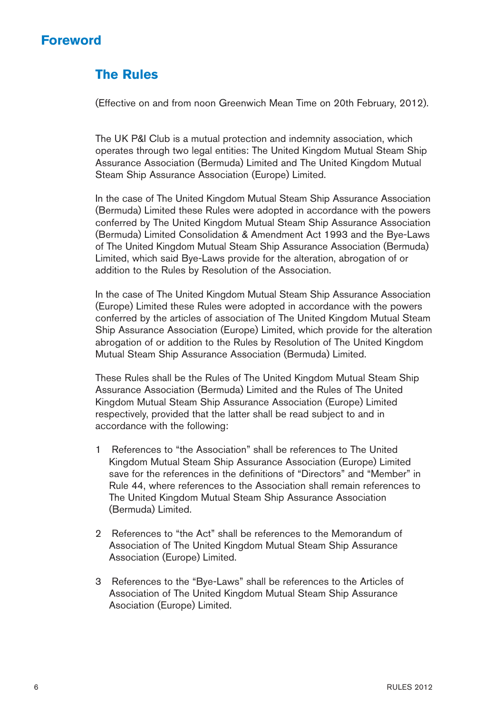## **Foreword**

## **The Rules**

(Effective on and from noon Greenwich Mean Time on 20th February, 2012).

The UK P&I Club is a mutual protection and indemnity association, which operates through two legal entities: The United Kingdom Mutual Steam Ship Assurance Association (Bermuda) Limited and The United Kingdom Mutual Steam Ship Assurance Association (Europe) Limited.

In the case of The United Kingdom Mutual Steam Ship Assurance Association (Bermuda) Limited these Rules were adopted in accordance with the powers conferred by The United Kingdom Mutual Steam Ship Assurance Association (Bermuda) Limited Consolidation & Amendment Act 1993 and the Bye-Laws of The United Kingdom Mutual Steam Ship Assurance Association (Bermuda) Limited, which said Bye-Laws provide for the alteration, abrogation of or addition to the Rules by Resolution of the Association.

In the case of The United Kingdom Mutual Steam Ship Assurance Association (Europe) Limited these Rules were adopted in accordance with the powers conferred by the articles of association of The United Kingdom Mutual Steam Ship Assurance Association (Europe) Limited, which provide for the alteration abrogation of or addition to the Rules by Resolution of The United Kingdom Mutual Steam Ship Assurance Association (Bermuda) Limited.

These Rules shall be the Rules of The United Kingdom Mutual Steam Ship Assurance Association (Bermuda) Limited and the Rules of The United Kingdom Mutual Steam Ship Assurance Association (Europe) Limited respectively, provided that the latter shall be read subject to and in accordance with the following:

- 1 References to "the Association" shall be references to The United Kingdom Mutual Steam Ship Assurance Association (Europe) Limited save for the references in the definitions of "Directors" and "Member" in Rule 44, where references to the Association shall remain references to The United Kingdom Mutual Steam Ship Assurance Association (Bermuda) Limited.
- 2 References to "the Act" shall be references to the Memorandum of Association of The United Kingdom Mutual Steam Ship Assurance Association (Europe) Limited.
- 3 References to the "Bye-Laws" shall be references to the Articles of Association of The United Kingdom Mutual Steam Ship Assurance Asociation (Europe) Limited.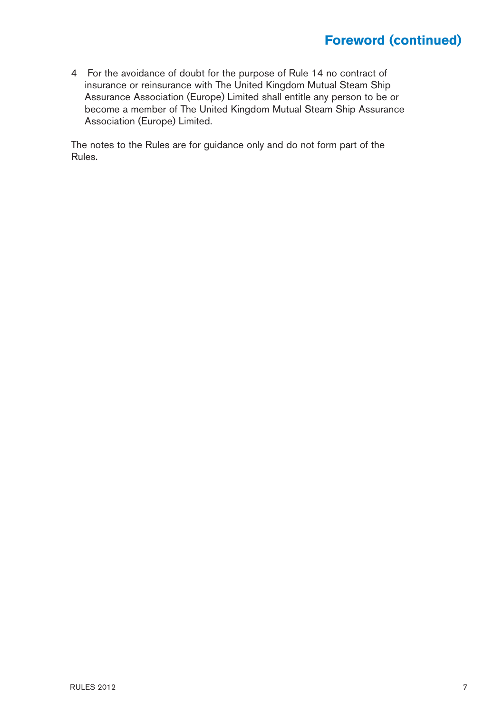# **Foreword (continued)**

4 For the avoidance of doubt for the purpose of Rule 14 no contract of insurance or reinsurance with The United Kingdom Mutual Steam Ship Assurance Association (Europe) Limited shall entitle any person to be or become a member of The United Kingdom Mutual Steam Ship Assurance Association (Europe) Limited.

The notes to the Rules are for guidance only and do not form part of the Rules.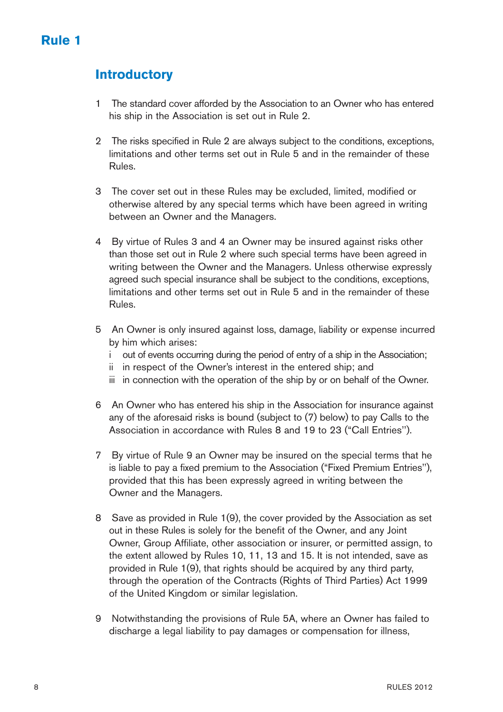## **Introductory**

- 1 The standard cover afforded by the Association to an Owner who has entered his ship in the Association is set out in Rule 2.
- 2 The risks specified in Rule 2 are always subject to the conditions, exceptions, limitations and other terms set out in Rule 5 and in the remainder of these Rules.
- 3 The cover set out in these Rules may be excluded, limited, modified or otherwise altered by any special terms which have been agreed in writing between an Owner and the Managers.
- 4 By virtue of Rules 3 and 4 an Owner may be insured against risks other than those set out in Rule 2 where such special terms have been agreed in writing between the Owner and the Managers. Unless otherwise expressly agreed such special insurance shall be subject to the conditions, exceptions, limitations and other terms set out in Rule 5 and in the remainder of these Rules.
- 5 An Owner is only insured against loss, damage, liability or expense incurred by him which arises:
	- i out of events occurring during the period of entry of a ship in the Association;
	- ii in respect of the Owner's interest in the entered ship; and
	- iii in connection with the operation of the ship by or on behalf of the Owner.
- 6 An Owner who has entered his ship in the Association for insurance against any of the aforesaid risks is bound (subject to (7) below) to pay Calls to the Association in accordance with Rules 8 and 19 to 23 ("Call Entries'').
- 7 By virtue of Rule 9 an Owner may be insured on the special terms that he is liable to pay a fixed premium to the Association ("Fixed Premium Entries''), provided that this has been expressly agreed in writing between the Owner and the Managers.
- the extent allowed by Rules 10, 11, 13 and 15. It is not intended, save as 8 Save as provided in Rule 1(9), the cover provided by the Association as set out in these Rules is solely for the benefit of the Owner, and any Joint Owner, Group Affiliate, other association or insurer, or permitted assign, to provided in Rule 1(9), that rights should be acquired by any third party. through the operation of the Contracts (Rights of Third Parties) Act 1999 of the United Kingdom or similar legislation.
- 9 Notwithstanding the provisions of Rule 5A, where an Owner has failed to discharge a legal liability to pay damages or compensation for illness,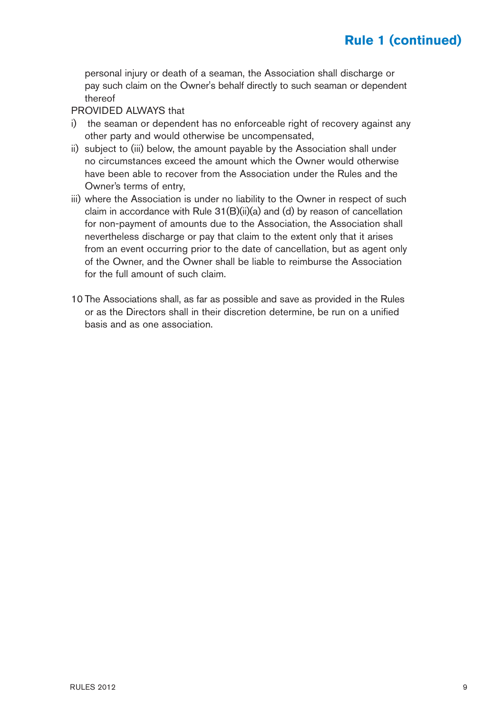personal injury or death of a seaman, the Association shall discharge or pay such claim on the Owner's behalf directly to such seaman or dependent thereof

#### PROVIDED ALWAYS that

- i) the seaman or dependent has no enforceable right of recovery against any other party and would otherwise be uncompensated,
- ii) subject to (iii) below, the amount payable by the Association shall under no circumstances exceed the amount which the Owner would otherwise have been able to recover from the Association under the Rules and the Owner's terms of entry,
- iii) where the Association is under no liability to the Owner in respect of such claim in accordance with Rule 31(B)(ii)(a) and (d) by reason of cancellation for non-payment of amounts due to the Association, the Association shall nevertheless discharge or pay that claim to the extent only that it arises from an event occurring prior to the date of cancellation, but as agent only of the Owner, and the Owner shall be liable to reimburse the Association for the full amount of such claim.
- 10 The Associations shall, as far as possible and save as provided in the Rules or as the Directors shall in their discretion determine, be run on a unified basis and as one association.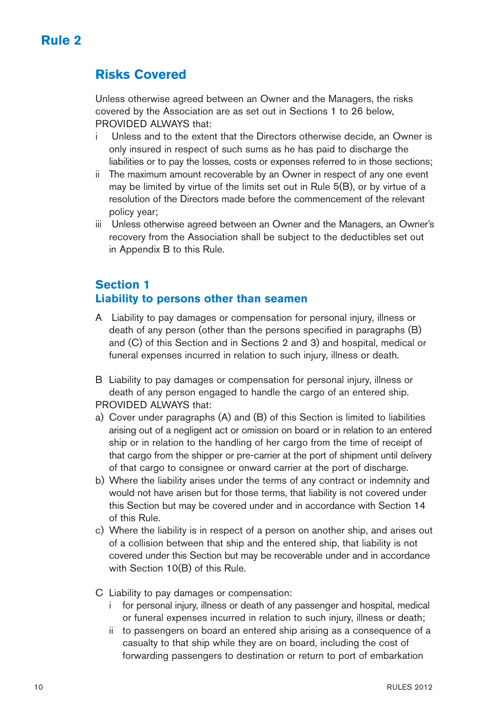## <span id="page-9-0"></span>**Risks Covered**

Unless otherwise agreed between an Owner and the Managers, the risks covered by the Association are as set out in Sections 1 to 26 below, PROVIDED ALWAYS that:

- i Unless and to the extent that the Directors otherwise decide, an Owner is only insured in respect of such sums as he has paid to discharge the liabilities or to pay the losses, costs or expenses referred to in those sections;
- ii The maximum amount recoverable by an Owner in respect of any one event may be limited by virtue of the limits set out in Rule 5(B), or by virtue of a resolution of the Directors made before the commencement of the relevant policy year;
- iii Unless otherwise agreed between an Owner and the Managers, an Owner's recovery from the Association shall be subject to the deductibles set out in Appendix B to this Rule.

## **Section 1 Liability to persons other than seamen**

- A Liability to pay damages or compensation for personal injury, illness or death of any person (other than the persons specified in paragraphs (B) and (C) of this Section and in Sections 2 and 3) and hospital, medical or funeral expenses incurred in relation to such injury, illness or death.
- B Liability to pay damages or compensation for personal injury, illness or death of any person engaged to handle the cargo of an entered ship. PROVIDED ALWAYS that:
- a) Cover under paragraphs (A) and (B) of this Section is limited to liabilities arising out of a negligent act or omission on board or in relation to an entered ship or in relation to the handling of her cargo from the time of receipt of that cargo from the shipper or pre-carrier at the port of shipment until delivery of that cargo to consignee or onward carrier at the port of discharge.
- b) Where the liability arises under the terms of any contract or indemnity and would not have arisen but for those terms, that liability is not covered under this Section but may be covered under and in accordance with Section 14 of this Rule.
- c) Where the liability is in respect of a person on another ship, and arises out of a collision between that ship and the entered ship, that liability is not covered under this Section but may be recoverable under and in accordance with Section 10(B) of this Rule.
- C Liability to pay damages or compensation:
	- i for personal injury, illness or death of any passenger and hospital, medical or funeral expenses incurred in relation to such injury, illness or death;
	- ii to passengers on board an entered ship arising as a consequence of a casualty to that ship while they are on board, including the cost of forwarding passengers to destination or return to port of embarkation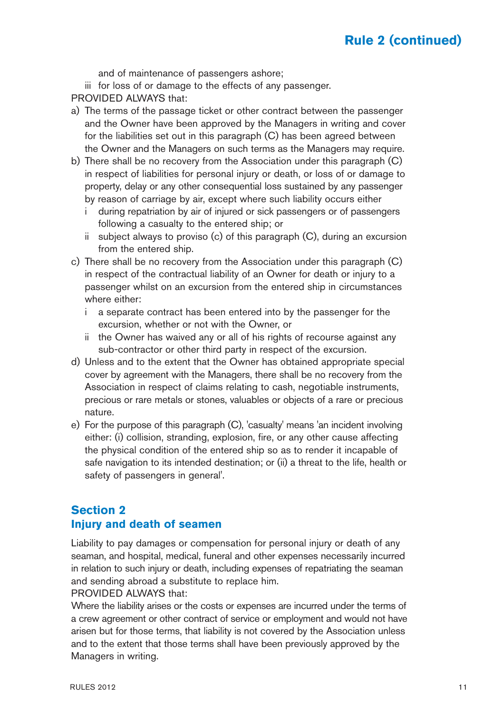and of maintenance of passengers ashore;

<span id="page-10-0"></span>iii for loss of or damage to the effects of any passenger.

PROVIDED ALWAYS that:

- a) The terms of the passage ticket or other contract between the passenger and the Owner have been approved by the Managers in writing and cover for the liabilities set out in this paragraph (C) has been agreed between the Owner and the Managers on such terms as the Managers may require.
- b) There shall be no recovery from the Association under this paragraph (C) in respect of liabilities for personal injury or death, or loss of or damage to property, delay or any other consequential loss sustained by any passenger by reason of carriage by air, except where such liability occurs either
	- during repatriation by air of injured or sick passengers or of passengers following a casualty to the entered ship; or
	- ii subject always to proviso (c) of this paragraph (C), during an excursion from the entered ship.
- c) There shall be no recovery from the Association under this paragraph (C) in respect of the contractual liability of an Owner for death or injury to a passenger whilst on an excursion from the entered ship in circumstances where either:
	- i a separate contract has been entered into by the passenger for the excursion, whether or not with the Owner, or
	- ii the Owner has waived any or all of his rights of recourse against any sub-contractor or other third party in respect of the excursion.
- d) Unless and to the extent that the Owner has obtained appropriate special cover by agreement with the Managers, there shall be no recovery from the Association in respect of claims relating to cash, negotiable instruments, precious or rare metals or stones, valuables or objects of a rare or precious nature.
- e) For the purpose of this paragraph (C), 'casualty' means 'an incident involving either: (i) collision, stranding, explosion, fire, or any other cause affecting the physical condition of the entered ship so as to render it incapable of safe navigation to its intended destination; or (ii) a threat to the life, health or safety of passengers in general'.

### **Section 2 Injury and death of seamen**

Liability to pay damages or compensation for personal injury or death of any seaman, and hospital, medical, funeral and other expenses necessarily incurred in relation to such injury or death, including expenses of repatriating the seaman and sending abroad a substitute to replace him.

#### PROVIDED ALWAYS that:

Where the liability arises or the costs or expenses are incurred under the terms of a crew agreement or other contract of service or employment and would not have arisen but for those terms, that liability is not covered by the Association unless and to the extent that those terms shall have been previously approved by the Managers in writing.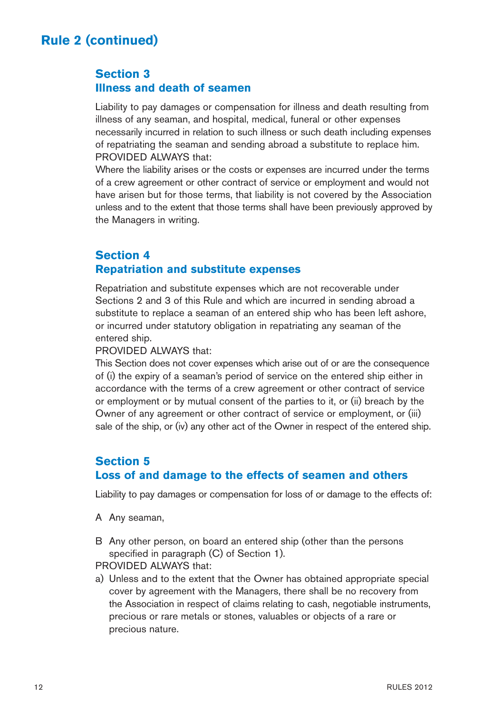### <span id="page-11-0"></span>**Section 3 Illness and death of seamen**

Liability to pay damages or compensation for illness and death resulting from illness of any seaman, and hospital, medical, funeral or other expenses necessarily incurred in relation to such illness or such death including expenses of repatriating the seaman and sending abroad a substitute to replace him. PROVIDED ALWAYS that:

Where the liability arises or the costs or expenses are incurred under the terms of a crew agreement or other contract of service or employment and would not have arisen but for those terms, that liability is not covered by the Association unless and to the extent that those terms shall have been previously approved by the Managers in writing.

## **Section 4 Repatriation and substitute expenses**

Repatriation and substitute expenses which are not recoverable under Sections 2 and 3 of this Rule and which are incurred in sending abroad a substitute to replace a seaman of an entered ship who has been left ashore, or incurred under statutory obligation in repatriating any seaman of the entered ship.

#### PROVIDED ALWAYS that:

This Section does not cover expenses which arise out of or are the consequence of (i) the expiry of a seaman's period of service on the entered ship either in accordance with the terms of a crew agreement or other contract of service or employment or by mutual consent of the parties to it, or (ii) breach by the Owner of any agreement or other contract of service or employment, or (iii) sale of the ship, or (iv) any other act of the Owner in respect of the entered ship.

### **Section 5 Loss of and damage to the effects of seamen and others**

Liability to pay damages or compensation for loss of or damage to the effects of:

- A Any seaman,
- B Any other person, on board an entered ship (other than the persons specified in paragraph (C) of Section 1).

PROVIDED ALWAYS that:

a) Unless and to the extent that the Owner has obtained appropriate special cover by agreement with the Managers, there shall be no recovery from the Association in respect of claims relating to cash, negotiable instruments, precious or rare metals or stones, valuables or objects of a rare or precious nature.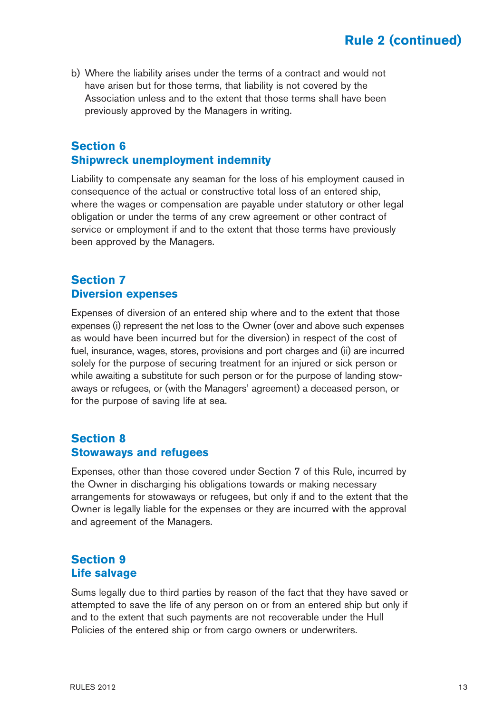<span id="page-12-0"></span>b) Where the liability arises under the terms of a contract and would not have arisen but for those terms, that liability is not covered by the Association unless and to the extent that those terms shall have been previously approved by the Managers in writing.

### **Section 6 Shipwreck unemployment indemnity**

Liability to compensate any seaman for the loss of his employment caused in consequence of the actual or constructive total loss of an entered ship, where the wages or compensation are payable under statutory or other legal obligation or under the terms of any crew agreement or other contract of service or employment if and to the extent that those terms have previously been approved by the Managers.

### **Section 7 Diversion expenses**

Expenses of diversion of an entered ship where and to the extent that those expenses (i) represent the net loss to the Owner (over and above such expenses as would have been incurred but for the diversion) in respect of the cost of fuel, insurance, wages, stores, provisions and port charges and (ii) are incurred solely for the purpose of securing treatment for an injured or sick person or while awaiting a substitute for such person or for the purpose of landing stowaways or refugees, or (with the Managers' agreement) a deceased person, or for the purpose of saving life at sea.

### **Section 8 Stowaways and refugees**

Expenses, other than those covered under Section 7 of this Rule, incurred by the Owner in discharging his obligations towards or making necessary arrangements for stowaways or refugees, but only if and to the extent that the Owner is legally liable for the expenses or they are incurred with the approval and agreement of the Managers.

### **Section 9 Life salvage**

Sums legally due to third parties by reason of the fact that they have saved or attempted to save the life of any person on or from an entered ship but only if and to the extent that such payments are not recoverable under the Hull Policies of the entered ship or from cargo owners or underwriters.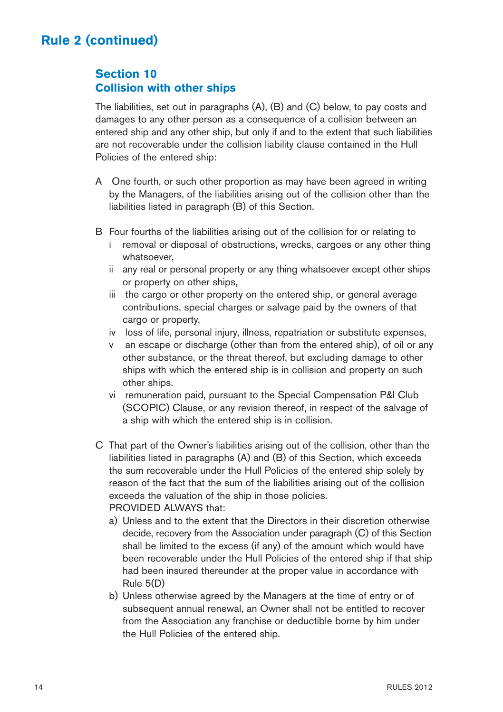### <span id="page-13-0"></span>**Section 10 Collision with other ships**

The liabilities, set out in paragraphs (A), (B) and (C) below, to pay costs and damages to any other person as a consequence of a collision between an entered ship and any other ship, but only if and to the extent that such liabilities are not recoverable under the collision liability clause contained in the Hull Policies of the entered ship:

- A One fourth, or such other proportion as may have been agreed in writing by the Managers, of the liabilities arising out of the collision other than the liabilities listed in paragraph (B) of this Section.
- B Four fourths of the liabilities arising out of the collision for or relating to
	- i removal or disposal of obstructions, wrecks, cargoes or any other thing whatsoever,
	- ii any real or personal property or any thing whatsoever except other ships or property on other ships,
	- iii the cargo or other property on the entered ship, or general average contributions, special charges or salvage paid by the owners of that cargo or property,
	- iv loss of life, personal injury, illness, repatriation or substitute expenses,
	- v an escape or discharge (other than from the entered ship), of oil or any other substance, or the threat thereof, but excluding damage to other ships with which the entered ship is in collision and property on such other ships.
	- vi remuneration paid, pursuant to the Special Compensation P&I Club (SCOPIC) Clause, or any revision thereof, in respect of the salvage of a ship with which the entered ship is in collision.
- C That part of the Owner's liabilities arising out of the collision, other than the liabilities listed in paragraphs (A) and (B) of this Section, which exceeds the sum recoverable under the Hull Policies of the entered ship solely by reason of the fact that the sum of the liabilities arising out of the collision exceeds the valuation of the ship in those policies. PROVIDED ALWAYS that:
	- a) Unless and to the extent that the Directors in their discretion otherwise decide, recovery from the Association under paragraph (C) of this Section shall be limited to the excess (if any) of the amount which would have been recoverable under the Hull Policies of the entered ship if that ship had been insured thereunder at the proper value in accordance with Rule 5(D)
	- b) Unless otherwise agreed by the Managers at the time of entry or of subsequent annual renewal, an Owner shall not be entitled to recover from the Association any franchise or deductible borne by him under the Hull Policies of the entered ship.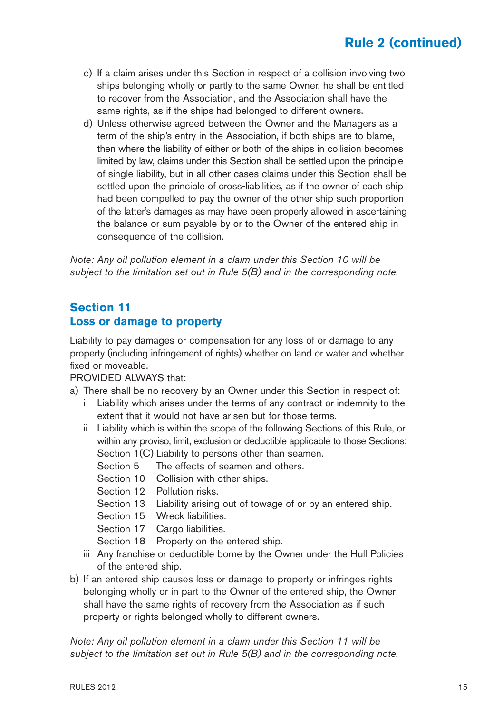- <span id="page-14-0"></span>c) If a claim arises under this Section in respect of a collision involving two ships belonging wholly or partly to the same Owner, he shall be entitled to recover from the Association, and the Association shall have the same rights, as if the ships had belonged to different owners.
- d) Unless otherwise agreed between the Owner and the Managers as a term of the ship's entry in the Association, if both ships are to blame, then where the liability of either or both of the ships in collision becomes limited by law, claims under this Section shall be settled upon the principle of single liability, but in all other cases claims under this Section shall be settled upon the principle of cross-liabilities, as if the owner of each ship had been compelled to pay the owner of the other ship such proportion of the latter's damages as may have been properly allowed in ascertaining the balance or sum payable by or to the Owner of the entered ship in consequence of the collision.

Note: Any oil pollution element in a claim under this Section 10 will be subject to the limitation set out in Rule 5(B) and in the corresponding note.

### **Section 11 Loss or damage to property**

Liability to pay damages or compensation for any loss of or damage to any property (including infringement of rights) whether on land or water and whether fixed or moveable.

PROVIDED ALWAYS that:

- a) There shall be no recovery by an Owner under this Section in respect of:
	- i Liability which arises under the terms of any contract or indemnity to the extent that it would not have arisen but for those terms.
	- ii Liability which is within the scope of the following Sections of this Rule, or within any proviso, limit, exclusion or deductible applicable to those Sections: Section 1(C) Liability to persons other than seamen.
		- Section 5 The effects of seamen and others.
		- Section 10 Collision with other ships.
		- Section 12 Pollution risks.
		- Section 13 Liability arising out of towage of or by an entered ship.
		- Section 15 Wreck liabilities.
		- Section 17 Cargo liabilities.
		- Section 18 Property on the entered ship.
	- iii Any franchise or deductible borne by the Owner under the Hull Policies of the entered ship.
- b) If an entered ship causes loss or damage to property or infringes rights belonging wholly or in part to the Owner of the entered ship, the Owner shall have the same rights of recovery from the Association as if such property or rights belonged wholly to different owners.

Note: Any oil pollution element in a claim under this Section 11 will be subject to the limitation set out in Rule 5(B) and in the corresponding note.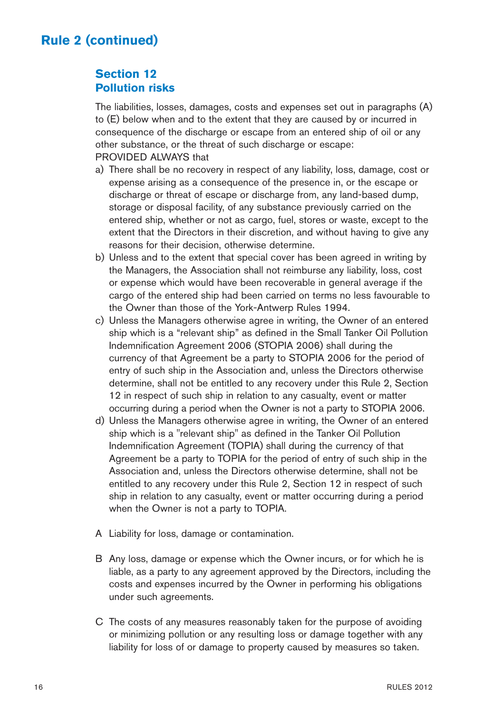## <span id="page-15-0"></span>**Section 12 Pollution risks**

The liabilities, losses, damages, costs and expenses set out in paragraphs (A) to (E) below when and to the extent that they are caused by or incurred in consequence of the discharge or escape from an entered ship of oil or any other substance, or the threat of such discharge or escape: PROVIDED ALWAYS that

- a) There shall be no recovery in respect of any liability, loss, damage, cost or expense arising as a consequence of the presence in, or the escape or discharge or threat of escape or discharge from, any land-based dump, storage or disposal facility, of any substance previously carried on the entered ship, whether or not as cargo, fuel, stores or waste, except to the extent that the Directors in their discretion, and without having to give any reasons for their decision, otherwise determine.
- b) Unless and to the extent that special cover has been agreed in writing by the Managers, the Association shall not reimburse any liability, loss, cost or expense which would have been recoverable in general average if the cargo of the entered ship had been carried on terms no less favourable to the Owner than those of the York-Antwerp Rules 1994.
- c) Unless the Managers otherwise agree in writing, the Owner of an entered ship which is a "relevant ship" as defined in the Small Tanker Oil Pollution Indemnification Agreement 2006 (STOPIA 2006) shall during the currency of that Agreement be a party to STOPIA 2006 for the period of entry of such ship in the Association and, unless the Directors otherwise determine, shall not be entitled to any recovery under this Rule 2, Section 12 in respect of such ship in relation to any casualty, event or matter occurring during a period when the Owner is not a party to STOPIA 2006.
- d) Unless the Managers otherwise agree in writing, the Owner of an entered ship which is a "relevant ship" as defined in the Tanker Oil Pollution Indemnification Agreement (TOPIA) shall during the currency of that Agreement be a party to TOPIA for the period of entry of such ship in the Association and, unless the Directors otherwise determine, shall not be entitled to any recovery under this Rule 2, Section 12 in respect of such ship in relation to any casualty, event or matter occurring during a period when the Owner is not a party to TOPIA.
- A Liability for loss, damage or contamination.
- B Any loss, damage or expense which the Owner incurs, or for which he is liable, as a party to any agreement approved by the Directors, including the costs and expenses incurred by the Owner in performing his obligations under such agreements.
- C The costs of any measures reasonably taken for the purpose of avoiding or minimizing pollution or any resulting loss or damage together with any liability for loss of or damage to property caused by measures so taken.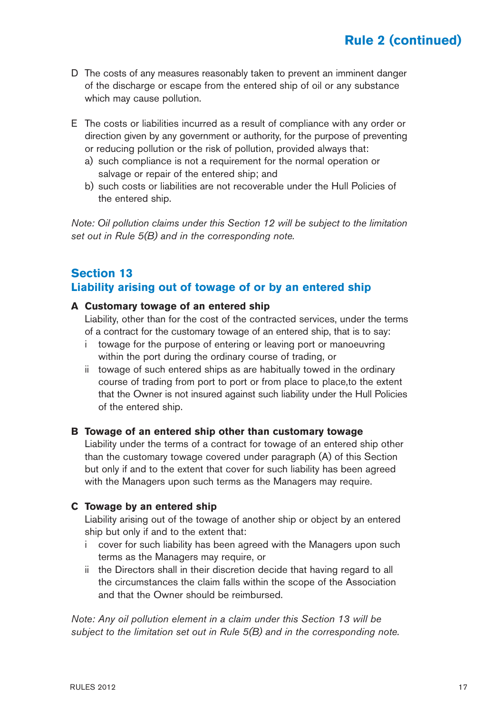- <span id="page-16-0"></span>D The costs of any measures reasonably taken to prevent an imminent danger of the discharge or escape from the entered ship of oil or any substance which may cause pollution.
- E The costs or liabilities incurred as a result of compliance with any order or direction given by any government or authority, for the purpose of preventing or reducing pollution or the risk of pollution, provided always that:
	- a) such compliance is not a requirement for the normal operation or salvage or repair of the entered ship; and
	- b) such costs or liabilities are not recoverable under the Hull Policies of the entered ship.

Note: Oil pollution claims under this Section 12 will be subject to the limitation set out in Rule 5(B) and in the corresponding note.

## **Section 13 Liability arising out of towage of or by an entered ship**

#### **A Customary towage of an entered ship**

Liability, other than for the cost of the contracted services, under the terms of a contract for the customary towage of an entered ship, that is to say:

- i towage for the purpose of entering or leaving port or manoeuvring within the port during the ordinary course of trading, or
- ii towage of such entered ships as are habitually towed in the ordinary course of trading from port to port or from place to place,to the extent that the Owner is not insured against such liability under the Hull Policies of the entered ship.

#### **B Towage of an entered ship other than customary towage**

Liability under the terms of a contract for towage of an entered ship other than the customary towage covered under paragraph (A) of this Section but only if and to the extent that cover for such liability has been agreed with the Managers upon such terms as the Managers may require.

#### **C Towage by an entered ship**

Liability arising out of the towage of another ship or object by an entered ship but only if and to the extent that:

- i cover for such liability has been agreed with the Managers upon such terms as the Managers may require, or
- ii the Directors shall in their discretion decide that having regard to all the circumstances the claim falls within the scope of the Association and that the Owner should be reimbursed.

Note: Any oil pollution element in a claim under this Section 13 will be subject to the limitation set out in Rule 5(B) and in the corresponding note.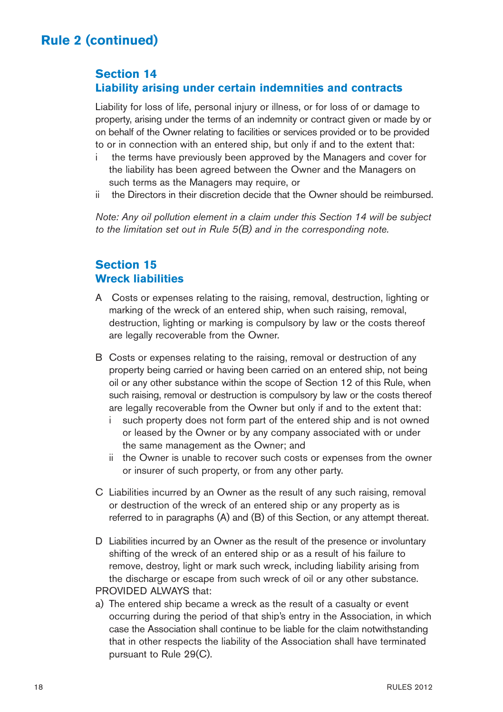## <span id="page-17-0"></span>**Section 14 Liability arising under certain indemnities and contracts**

Liability for loss of life, personal injury or illness, or for loss of or damage to property, arising under the terms of an indemnity or contract given or made by or on behalf of the Owner relating to facilities or services provided or to be provided to or in connection with an entered ship, but only if and to the extent that:

- i the terms have previously been approved by the Managers and cover for the liability has been agreed between the Owner and the Managers on such terms as the Managers may require, or
- ii the Directors in their discretion decide that the Owner should be reimbursed.

Note: Any oil pollution element in a claim under this Section 14 will be subject to the limitation set out in Rule 5(B) and in the corresponding note.

## **Section 15 Wreck liabilities**

- A Costs or expenses relating to the raising, removal, destruction, lighting or marking of the wreck of an entered ship, when such raising, removal, destruction, lighting or marking is compulsory by law or the costs thereof are legally recoverable from the Owner.
- B Costs or expenses relating to the raising, removal or destruction of any property being carried or having been carried on an entered ship, not being oil or any other substance within the scope of Section 12 of this Rule, when such raising, removal or destruction is compulsory by law or the costs thereof are legally recoverable from the Owner but only if and to the extent that:
	- i such property does not form part of the entered ship and is not owned or leased by the Owner or by any company associated with or under the same management as the Owner; and
	- ii the Owner is unable to recover such costs or expenses from the owner or insurer of such property, or from any other party.
- C Liabilities incurred by an Owner as the result of any such raising, removal or destruction of the wreck of an entered ship or any property as is referred to in paragraphs (A) and (B) of this Section, or any attempt thereat.
- D Liabilities incurred by an Owner as the result of the presence or involuntary shifting of the wreck of an entered ship or as a result of his failure to remove, destroy, light or mark such wreck, including liability arising from the discharge or escape from such wreck of oil or any other substance. PROVIDED ALWAYS that:
- a) The entered ship became a wreck as the result of a casualty or event occurring during the period of that ship's entry in the Association, in which case the Association shall continue to be liable for the claim notwithstanding that in other respects the liability of the Association shall have terminated pursuant to Rule 29(C).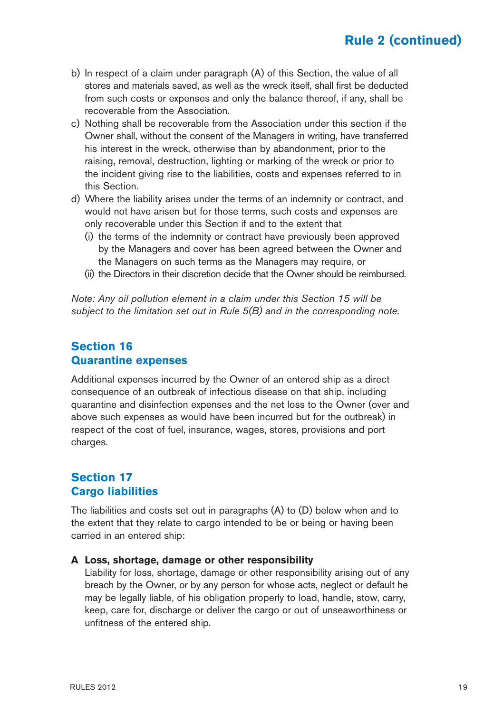- <span id="page-18-0"></span>b) In respect of a claim under paragraph (A) of this Section, the value of all stores and materials saved, as well as the wreck itself, shall first be deducted from such costs or expenses and only the balance thereof, if any, shall be recoverable from the Association.
- c) Nothing shall be recoverable from the Association under this section if the Owner shall, without the consent of the Managers in writing, have transferred his interest in the wreck, otherwise than by abandonment, prior to the raising, removal, destruction, lighting or marking of the wreck or prior to the incident giving rise to the liabilities, costs and expenses referred to in this Section.
- d) Where the liability arises under the terms of an indemnity or contract, and would not have arisen but for those terms, such costs and expenses are only recoverable under this Section if and to the extent that
	- (i) the terms of the indemnity or contract have previously been approved by the Managers and cover has been agreed between the Owner and the Managers on such terms as the Managers may require, or
	- (ii) the Directors in their discretion decide that the Owner should be reimbursed.

Note: Any oil pollution element in a claim under this Section 15 will be subject to the limitation set out in Rule 5(B) and in the corresponding note.

### **Section 16 Quarantine expenses**

Additional expenses incurred by the Owner of an entered ship as a direct consequence of an outbreak of infectious disease on that ship, including quarantine and disinfection expenses and the net loss to the Owner (over and above such expenses as would have been incurred but for the outbreak) in respect of the cost of fuel, insurance, wages, stores, provisions and port charges.

### **Section 17 Cargo liabilities**

The liabilities and costs set out in paragraphs (A) to (D) below when and to the extent that they relate to cargo intended to be or being or having been carried in an entered ship:

#### **A Loss, shortage, damage or other responsibility**

Liability for loss, shortage, damage or other responsibility arising out of any breach by the Owner, or by any person for whose acts, neglect or default he may be legally liable, of his obligation properly to load, handle, stow, carry, keep, care for, discharge or deliver the cargo or out of unseaworthiness or unfitness of the entered ship.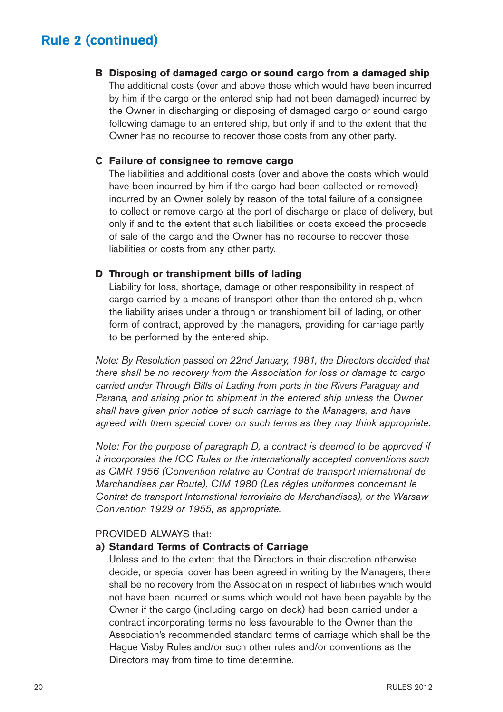**B Disposing of damaged cargo or sound cargo from a damaged ship**  The additional costs (over and above those which would have been incurred by him if the cargo or the entered ship had not been damaged) incurred by the Owner in discharging or disposing of damaged cargo or sound cargo following damage to an entered ship, but only if and to the extent that the Owner has no recourse to recover those costs from any other party.

#### **C Failure of consignee to remove cargo**

The liabilities and additional costs (over and above the costs which would have been incurred by him if the cargo had been collected or removed) incurred by an Owner solely by reason of the total failure of a consignee to collect or remove cargo at the port of discharge or place of delivery, but only if and to the extent that such liabilities or costs exceed the proceeds of sale of the cargo and the Owner has no recourse to recover those liabilities or costs from any other party.

#### **D Through or transhipment bills of lading**

Liability for loss, shortage, damage or other responsibility in respect of cargo carried by a means of transport other than the entered ship, when the liability arises under a through or transhipment bill of lading, or other form of contract, approved by the managers, providing for carriage partly to be performed by the entered ship.

Note: By Resolution passed on 22nd January, 1981, the Directors decided that there shall be no recovery from the Association for loss or damage to cargo carried under Through Bills of Lading from ports in the Rivers Paraguay and Parana, and arising prior to shipment in the entered ship unless the Owner shall have given prior notice of such carriage to the Managers, and have agreed with them special cover on such terms as they may think appropriate.

Note: For the purpose of paragraph D, a contract is deemed to be approved if it incorporates the ICC Rules or the internationally accepted conventions such as CMR 1956 (Convention relative au Contrat de transport international de Marchandises par Route), CIM 1980 (Les régles uniformes concernant le Contrat de transport International ferroviaire de Marchandises), or the Warsaw Convention 1929 or 1955, as appropriate.

#### PROVIDED ALWAYS that:

#### **a) Standard Terms of Contracts of Carriage**

Unless and to the extent that the Directors in their discretion otherwise decide, or special cover has been agreed in writing by the Managers, there shall be no recovery from the Association in respect of liabilities which would not have been incurred or sums which would not have been payable by the Owner if the cargo (including cargo on deck) had been carried under a contract incorporating terms no less favourable to the Owner than the Association's recommended standard terms of carriage which shall be the Hague Visby Rules and/or such other rules and/or conventions as the Directors may from time to time determine.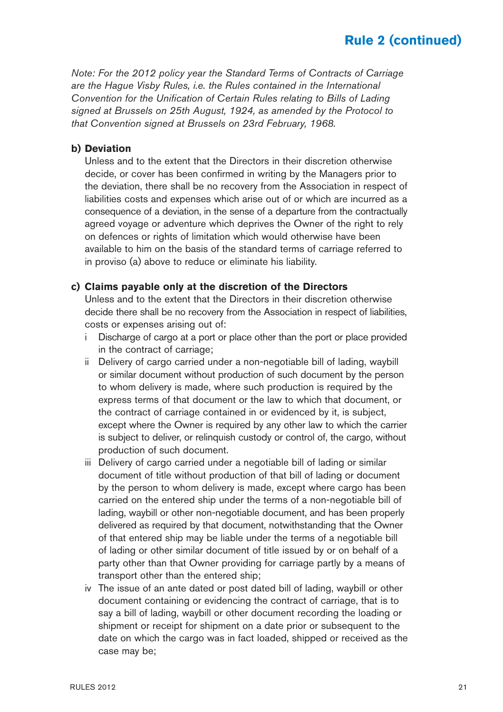Note: For the 2012 policy year the Standard Terms of Contracts of Carriage are the Hague Visby Rules, i.e. the Rules contained in the International Convention for the Unification of Certain Rules relating to Bills of Lading signed at Brussels on 25th August, 1924, as amended by the Protocol to that Convention signed at Brussels on 23rd February, 1968.

#### **b) Deviation**

Unless and to the extent that the Directors in their discretion otherwise decide, or cover has been confirmed in writing by the Managers prior to the deviation, there shall be no recovery from the Association in respect of liabilities costs and expenses which arise out of or which are incurred as a consequence of a deviation, in the sense of a departure from the contractually agreed voyage or adventure which deprives the Owner of the right to rely on defences or rights of limitation which would otherwise have been available to him on the basis of the standard terms of carriage referred to in proviso (a) above to reduce or eliminate his liability.

#### **c) Claims payable only at the discretion of the Directors**

Unless and to the extent that the Directors in their discretion otherwise decide there shall be no recovery from the Association in respect of liabilities, costs or expenses arising out of:

- i Discharge of cargo at a port or place other than the port or place provided in the contract of carriage;
- ii Delivery of cargo carried under a non-negotiable bill of lading, waybill or similar document without production of such document by the person to whom delivery is made, where such production is required by the express terms of that document or the law to which that document, or the contract of carriage contained in or evidenced by it, is subject, except where the Owner is required by any other law to which the carrier is subject to deliver, or relinquish custody or control of, the cargo, without production of such document.
- iii Delivery of cargo carried under a negotiable bill of lading or similar document of title without production of that bill of lading or document by the person to whom delivery is made, except where cargo has been carried on the entered ship under the terms of a non-negotiable bill of lading, waybill or other non-negotiable document, and has been properly delivered as required by that document, notwithstanding that the Owner of that entered ship may be liable under the terms of a negotiable bill of lading or other similar document of title issued by or on behalf of a party other than that Owner providing for carriage partly by a means of transport other than the entered ship;
- iv The issue of an ante dated or post dated bill of lading, waybill or other document containing or evidencing the contract of carriage, that is to say a bill of lading, waybill or other document recording the loading or shipment or receipt for shipment on a date prior or subsequent to the date on which the cargo was in fact loaded, shipped or received as the case may be;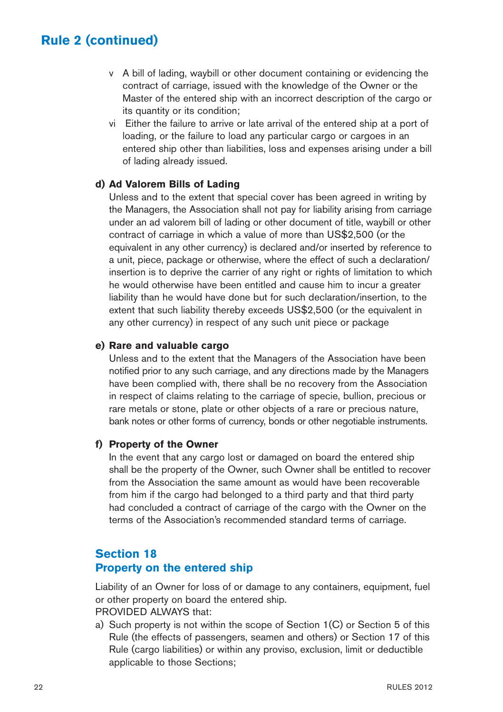- <span id="page-21-0"></span>v A bill of lading, waybill or other document containing or evidencing the contract of carriage, issued with the knowledge of the Owner or the Master of the entered ship with an incorrect description of the cargo or its quantity or its condition;
- vi Either the failure to arrive or late arrival of the entered ship at a port of loading, or the failure to load any particular cargo or cargoes in an entered ship other than liabilities, loss and expenses arising under a bill of lading already issued.

#### **d) Ad Valorem Bills of Lading**

Unless and to the extent that special cover has been agreed in writing by the Managers, the Association shall not pay for liability arising from carriage under an ad valorem bill of lading or other document of title, waybill or other contract of carriage in which a value of more than US\$2,500 (or the equivalent in any other currency) is declared and/or inserted by reference to a unit, piece, package or otherwise, where the effect of such a declaration/ insertion is to deprive the carrier of any right or rights of limitation to which he would otherwise have been entitled and cause him to incur a greater liability than he would have done but for such declaration/insertion, to the extent that such liability thereby exceeds US\$2,500 (or the equivalent in any other currency) in respect of any such unit piece or package

#### **e) Rare and valuable cargo**

Unless and to the extent that the Managers of the Association have been notified prior to any such carriage, and any directions made by the Managers have been complied with, there shall be no recovery from the Association in respect of claims relating to the carriage of specie, bullion, precious or rare metals or stone, plate or other objects of a rare or precious nature, bank notes or other forms of currency, bonds or other negotiable instruments.

#### **f) Property of the Owner**

In the event that any cargo lost or damaged on board the entered ship shall be the property of the Owner, such Owner shall be entitled to recover from the Association the same amount as would have been recoverable from him if the cargo had belonged to a third party and that third party had concluded a contract of carriage of the cargo with the Owner on the terms of the Association's recommended standard terms of carriage.

#### **Section 18**

#### **Property on the entered ship**

Liability of an Owner for loss of or damage to any containers, equipment, fuel or other property on board the entered ship. PROVIDED ALWAYS that:

a) Such property is not within the scope of Section 1(C) or Section 5 of this Rule (the effects of passengers, seamen and others) or Section 17 of this Rule (cargo liabilities) or within any proviso, exclusion, limit or deductible applicable to those Sections;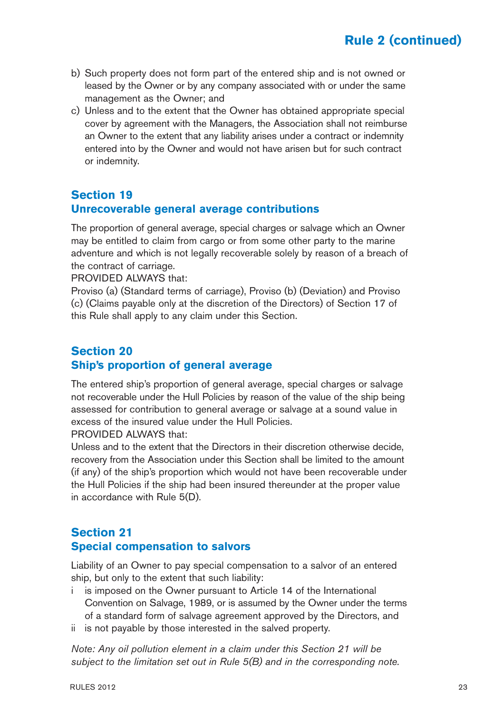- <span id="page-22-0"></span>b) Such property does not form part of the entered ship and is not owned or leased by the Owner or by any company associated with or under the same management as the Owner; and
- c) Unless and to the extent that the Owner has obtained appropriate special cover by agreement with the Managers, the Association shall not reimburse an Owner to the extent that any liability arises under a contract or indemnity entered into by the Owner and would not have arisen but for such contract or indemnity.

### **Section 19**

### **Unrecoverable general average contributions**

The proportion of general average, special charges or salvage which an Owner may be entitled to claim from cargo or from some other party to the marine adventure and which is not legally recoverable solely by reason of a breach of the contract of carriage.

PROVIDED ALWAYS that:

Proviso (a) (Standard terms of carriage), Proviso (b) (Deviation) and Proviso (c) (Claims payable only at the discretion of the Directors) of Section 17 of this Rule shall apply to any claim under this Section.

## **Section 20 Ship's proportion of general average**

The entered ship's proportion of general average, special charges or salvage not recoverable under the Hull Policies by reason of the value of the ship being assessed for contribution to general average or salvage at a sound value in excess of the insured value under the Hull Policies.

PROVIDED ALWAYS that:

Unless and to the extent that the Directors in their discretion otherwise decide, recovery from the Association under this Section shall be limited to the amount (if any) of the ship's proportion which would not have been recoverable under the Hull Policies if the ship had been insured thereunder at the proper value in accordance with Rule 5(D).

### **Section 21**

### **Special compensation to salvors**

Liability of an Owner to pay special compensation to a salvor of an entered ship, but only to the extent that such liability:

- i is imposed on the Owner pursuant to Article 14 of the International Convention on Salvage, 1989, or is assumed by the Owner under the terms of a standard form of salvage agreement approved by the Directors, and
- ii is not payable by those interested in the salved property.

Note: Any oil pollution element in a claim under this Section 21 will be subject to the limitation set out in Rule 5(B) and in the corresponding note.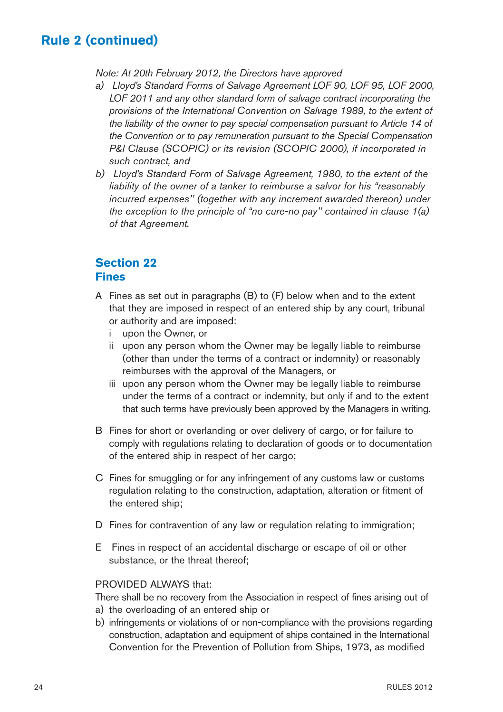<span id="page-23-0"></span>Note: At 20th February 2012, the Directors have approved

- a) Lloyd's Standard Forms of Salvage Agreement LOF 90, LOF 95, LOF 2000, LOF 2011 and any other standard form of salvage contract incorporating the provisions of the International Convention on Salvage 1989, to the extent of the liability of the owner to pay special compensation pursuant to Article 14 of the Convention or to pay remuneration pursuant to the Special Compensation P&I Clause (SCOPIC) or its revision (SCOPIC 2000), if incorporated in such contract, and
- b) Lloyd's Standard Form of Salvage Agreement, 1980, to the extent of the liability of the owner of a tanker to reimburse a salvor for his "reasonably incurred expenses'' (together with any increment awarded thereon) under the exception to the principle of "no cure-no pay" contained in clause  $1(a)$ of that Agreement.

### **Section 22 Fines**

- A Fines as set out in paragraphs (B) to (F) below when and to the extent that they are imposed in respect of an entered ship by any court, tribunal or authority and are imposed:
	- i upon the Owner, or
	- ii upon any person whom the Owner may be legally liable to reimburse (other than under the terms of a contract or indemnity) or reasonably reimburses with the approval of the Managers, or
	- iii upon any person whom the Owner may be legally liable to reimburse under the terms of a contract or indemnity, but only if and to the extent that such terms have previously been approved by the Managers in writing.
- B Fines for short or overlanding or over delivery of cargo, or for failure to comply with regulations relating to declaration of goods or to documentation of the entered ship in respect of her cargo;
- C Fines for smuggling or for any infringement of any customs law or customs regulation relating to the construction, adaptation, alteration or fitment of the entered ship;
- D Fines for contravention of any law or regulation relating to immigration;
- E Fines in respect of an accidental discharge or escape of oil or other substance, or the threat thereof;

#### PROVIDED ALWAYS that:

There shall be no recovery from the Association in respect of fines arising out of

- a) the overloading of an entered ship or
- b) infringements or violations of or non-compliance with the provisions regarding construction, adaptation and equipment of ships contained in the International Convention for the Prevention of Pollution from Ships, 1973, as modified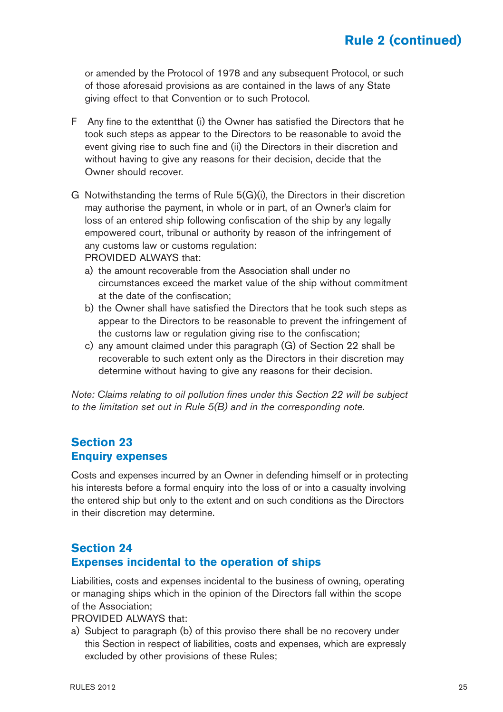<span id="page-24-0"></span>or amended by the Protocol of 1978 and any subsequent Protocol, or such of those aforesaid provisions as are contained in the laws of any State giving effect to that Convention or to such Protocol.

- $F$  Any fine to the extent that (i) the Owner has satisfied the Directors that he took such steps as appear to the Directors to be reasonable to avoid the event giving rise to such fine and (ii) the Directors in their discretion and without having to give any reasons for their decision, decide that the Owner should recover.
- G Notwithstanding the terms of Rule 5(G)(i), the Directors in their discretion may authorise the payment, in whole or in part, of an Owner's claim for loss of an entered ship following confiscation of the ship by any legally empowered court, tribunal or authority by reason of the infringement of any customs law or customs regulation: PROVIDED ALWAYS that:
	- a) the amount recoverable from the Association shall under no circumstances exceed the market value of the ship without commitment at the date of the confiscation;
	- b) the Owner shall have satisfied the Directors that he took such steps as appear to the Directors to be reasonable to prevent the infringement of the customs law or regulation giving rise to the confiscation;
	- c) any amount claimed under this paragraph (G) of Section 22 shall be recoverable to such extent only as the Directors in their discretion may determine without having to give any reasons for their decision.

Note: Claims relating to oil pollution fines under this Section 22 will be subject to the limitation set out in Rule 5(B) and in the corresponding note.

### **Section 23 Enquiry expenses**

Costs and expenses incurred by an Owner in defending himself or in protecting his interests before a formal enquiry into the loss of or into a casualty involving the entered ship but only to the extent and on such conditions as the Directors in their discretion may determine.

### **Section 24 Expenses incidental to the operation of ships**

Liabilities, costs and expenses incidental to the business of owning, operating or managing ships which in the opinion of the Directors fall within the scope of the Association;

PROVIDED ALWAYS that:

a) Subject to paragraph (b) of this proviso there shall be no recovery under this Section in respect of liabilities, costs and expenses, which are expressly excluded by other provisions of these Rules;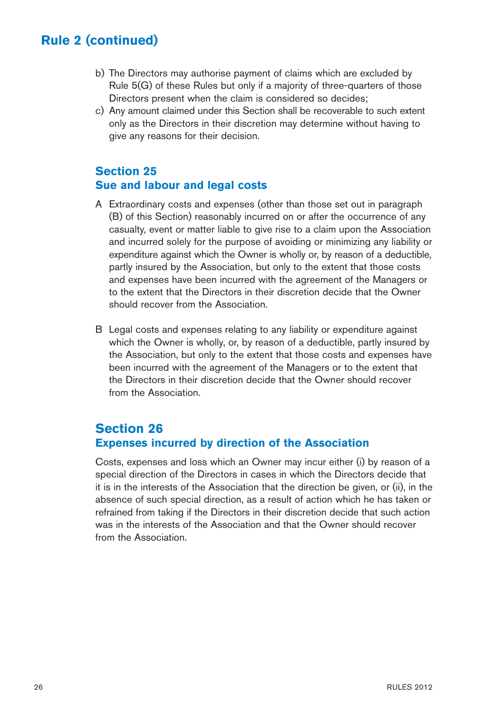- <span id="page-25-0"></span>b) The Directors may authorise payment of claims which are excluded by Rule 5(G) of these Rules but only if a majority of three-quarters of those Directors present when the claim is considered so decides;
- c) Any amount claimed under this Section shall be recoverable to such extent only as the Directors in their discretion may determine without having to give any reasons for their decision.

### **Section 25 Sue and labour and legal costs**

- A Extraordinary costs and expenses (other than those set out in paragraph (B) of this Section) reasonably incurred on or after the occurrence of any casualty, event or matter liable to give rise to a claim upon the Association and incurred solely for the purpose of avoiding or minimizing any liability or expenditure against which the Owner is wholly or, by reason of a deductible, partly insured by the Association, but only to the extent that those costs and expenses have been incurred with the agreement of the Managers or to the extent that the Directors in their discretion decide that the Owner should recover from the Association.
- B Legal costs and expenses relating to any liability or expenditure against which the Owner is wholly, or, by reason of a deductible, partly insured by the Association, but only to the extent that those costs and expenses have been incurred with the agreement of the Managers or to the extent that the Directors in their discretion decide that the Owner should recover from the Association.

## **Section 26 Expenses incurred by direction of the Association**

Costs, expenses and loss which an Owner may incur either (i) by reason of a special direction of the Directors in cases in which the Directors decide that it is in the interests of the Association that the direction be given, or (ii), in the absence of such special direction, as a result of action which he has taken or refrained from taking if the Directors in their discretion decide that such action was in the interests of the Association and that the Owner should recover from the Association.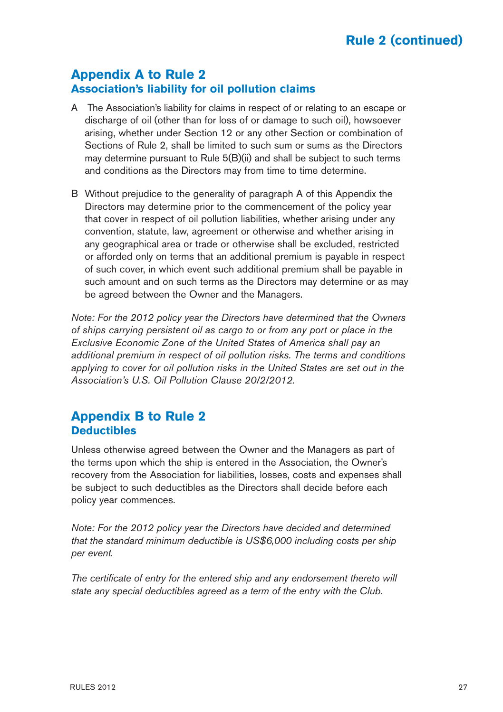## <span id="page-26-0"></span>**Appendix A to Rule 2 Association's liability for oil pollution claims**

- A The Association's liability for claims in respect of or relating to an escape or discharge of oil (other than for loss of or damage to such oil), howsoever arising, whether under Section 12 or any other Section or combination of Sections of Rule 2, shall be limited to such sum or sums as the Directors may determine pursuant to Rule 5(B)(ii) and shall be subject to such terms and conditions as the Directors may from time to time determine.
- B Without prejudice to the generality of paragraph A of this Appendix the Directors may determine prior to the commencement of the policy year that cover in respect of oil pollution liabilities, whether arising under any convention, statute, law, agreement or otherwise and whether arising in any geographical area or trade or otherwise shall be excluded, restricted or afforded only on terms that an additional premium is payable in respect of such cover, in which event such additional premium shall be payable in such amount and on such terms as the Directors may determine or as may be agreed between the Owner and the Managers.

Note: For the 2012 policy year the Directors have determined that the Owners of ships carrying persistent oil as cargo to or from any port or place in the Exclusive Economic Zone of the United States of America shall pay an additional premium in respect of oil pollution risks. The terms and conditions applying to cover for oil pollution risks in the United States are set out in the Association's U.S. Oil Pollution Clause 20/2/2012.

## **Appendix B to Rule 2 Deductibles**

Unless otherwise agreed between the Owner and the Managers as part of the terms upon which the ship is entered in the Association, the Owner's recovery from the Association for liabilities, losses, costs and expenses shall be subject to such deductibles as the Directors shall decide before each policy year commences.

Note: For the 2012 policy year the Directors have decided and determined that the standard minimum deductible is US\$6,000 including costs per ship per event.

The certificate of entry for the entered ship and any endorsement thereto will state any special deductibles agreed as a term of the entry with the Club.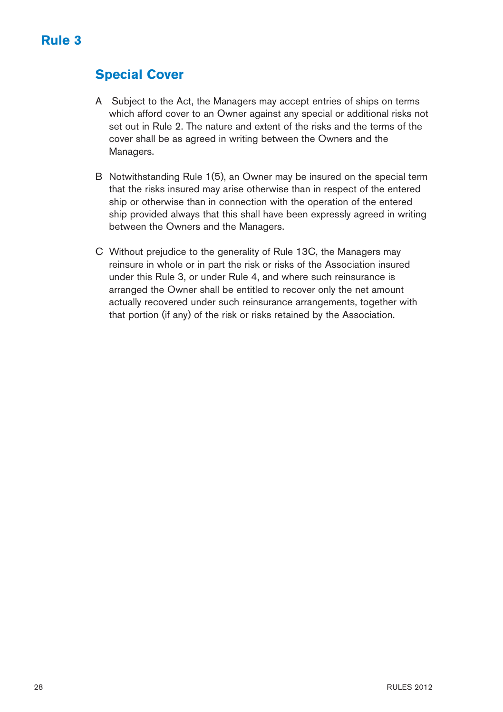## <span id="page-27-0"></span>**Special Cover**

- A Subject to the Act, the Managers may accept entries of ships on terms which afford cover to an Owner against any special or additional risks not set out in Rule 2. The nature and extent of the risks and the terms of the cover shall be as agreed in writing between the Owners and the Managers.
- B Notwithstanding Rule 1(5), an Owner may be insured on the special term that the risks insured may arise otherwise than in respect of the entered ship or otherwise than in connection with the operation of the entered ship provided always that this shall have been expressly agreed in writing between the Owners and the Managers.
- C Without prejudice to the generality of Rule 13C, the Managers may reinsure in whole or in part the risk or risks of the Association insured under this Rule 3, or under Rule 4, and where such reinsurance is arranged the Owner shall be entitled to recover only the net amount actually recovered under such reinsurance arrangements, together with that portion (if any) of the risk or risks retained by the Association.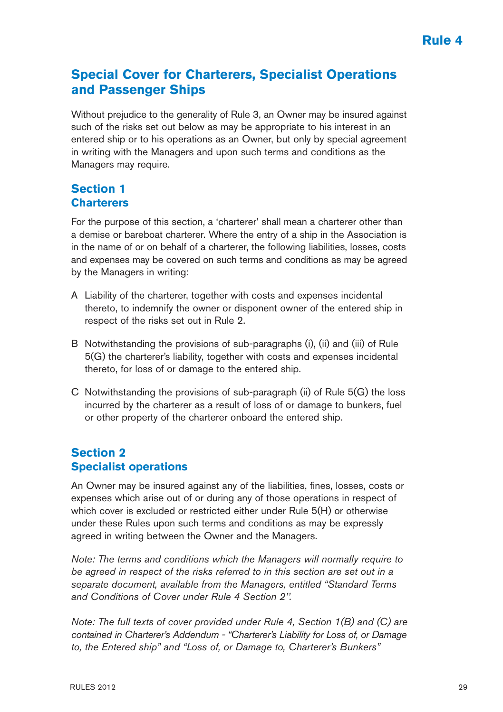## <span id="page-28-0"></span>**Special Cover for Charterers, Specialist Operations and Passenger Ships**

Without prejudice to the generality of Rule 3, an Owner may be insured against such of the risks set out below as may be appropriate to his interest in an entered ship or to his operations as an Owner, but only by special agreement in writing with the Managers and upon such terms and conditions as the Managers may require.

## **Section 1 Charterers**

For the purpose of this section, a 'charterer' shall mean a charterer other than a demise or bareboat charterer. Where the entry of a ship in the Association is in the name of or on behalf of a charterer, the following liabilities, losses, costs and expenses may be covered on such terms and conditions as may be agreed by the Managers in writing:

- A Liability of the charterer, together with costs and expenses incidental thereto, to indemnify the owner or disponent owner of the entered ship in respect of the risks set out in Rule 2.
- B Notwithstanding the provisions of sub-paragraphs (i), (ii) and (iii) of Rule 5(G) the charterer's liability, together with costs and expenses incidental thereto, for loss of or damage to the entered ship.
- C Notwithstanding the provisions of sub-paragraph (ii) of Rule 5(G) the loss incurred by the charterer as a result of loss of or damage to bunkers, fuel or other property of the charterer onboard the entered ship.

## **Section 2 Specialist operations**

An Owner may be insured against any of the liabilities, fines, losses, costs or expenses which arise out of or during any of those operations in respect of which cover is excluded or restricted either under Rule 5(H) or otherwise under these Rules upon such terms and conditions as may be expressly agreed in writing between the Owner and the Managers.

Note: The terms and conditions which the Managers will normally require to be agreed in respect of the risks referred to in this section are set out in a separate document, available from the Managers, entitled "Standard Terms and Conditions of Cover under Rule 4 Section 2''.

Note: The full texts of cover provided under Rule 4, Section 1(B) and (C) are contained in Charterer's Addendum - "Charterer's Liability for Loss of, or Damage to, the Entered ship" and "Loss of, or Damage to, Charterer's Bunkers"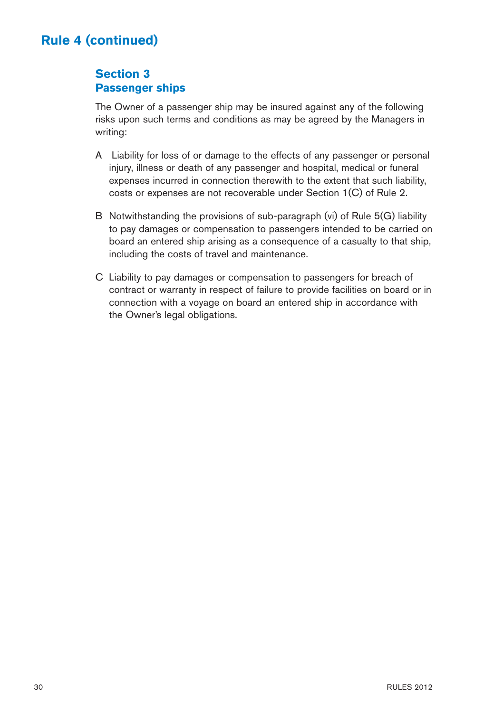## <span id="page-29-0"></span>**Section 3 Passenger ships**

The Owner of a passenger ship may be insured against any of the following risks upon such terms and conditions as may be agreed by the Managers in writing:

- A Liability for loss of or damage to the effects of any passenger or personal injury, illness or death of any passenger and hospital, medical or funeral expenses incurred in connection therewith to the extent that such liability, costs or expenses are not recoverable under Section 1(C) of Rule 2.
- B Notwithstanding the provisions of sub-paragraph (vi) of Rule 5(G) liability to pay damages or compensation to passengers intended to be carried on board an entered ship arising as a consequence of a casualty to that ship, including the costs of travel and maintenance.
- C Liability to pay damages or compensation to passengers for breach of contract or warranty in respect of failure to provide facilities on board or in connection with a voyage on board an entered ship in accordance with the Owner's legal obligations.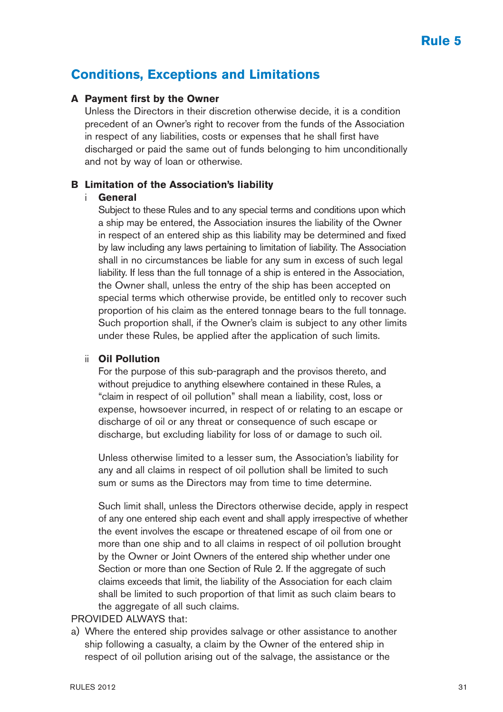## <span id="page-30-0"></span>**Conditions, Exceptions and Limitations**

#### **A Payment first by the Owner**

Unless the Directors in their discretion otherwise decide, it is a condition precedent of an Owner's right to recover from the funds of the Association in respect of any liabilities, costs or expenses that he shall first have discharged or paid the same out of funds belonging to him unconditionally and not by way of loan or otherwise.

#### **B Limitation of the Association's liability**

#### i **General**

Subject to these Rules and to any special terms and conditions upon which a ship may be entered, the Association insures the liability of the Owner in respect of an entered ship as this liability may be determined and fixed by law including any laws pertaining to limitation of liability. The Association shall in no circumstances be liable for any sum in excess of such legal liability. If less than the full tonnage of a ship is entered in the Association, the Owner shall, unless the entry of the ship has been accepted on special terms which otherwise provide, be entitled only to recover such proportion of his claim as the entered tonnage bears to the full tonnage. Such proportion shall, if the Owner's claim is subject to any other limits under these Rules, be applied after the application of such limits.

#### ii **Oil Pollution**

 "claim in respect of oil pollution" shall mean a liability, cost, loss or For the purpose of this sub-paragraph and the provisos thereto, and without prejudice to anything elsewhere contained in these Rules, a expense, howsoever incurred, in respect of or relating to an escape or discharge of oil or any threat or consequence of such escape or discharge, but excluding liability for loss of or damage to such oil.

Unless otherwise limited to a lesser sum, the Association's liability for any and all claims in respect of oil pollution shall be limited to such sum or sums as the Directors may from time to time determine.

 by the Owner or Joint Owners of the entered ship whether under one Such limit shall, unless the Directors otherwise decide, apply in respect of any one entered ship each event and shall apply irrespective of whether the event involves the escape or threatened escape of oil from one or more than one ship and to all claims in respect of oil pollution brought Section or more than one Section of Rule 2. If the aggregate of such claims exceeds that limit, the liability of the Association for each claim shall be limited to such proportion of that limit as such claim bears to the aggregate of all such claims.

#### PROVIDED ALWAYS that:

a) Where the entered ship provides salvage or other assistance to another ship following a casualty, a claim by the Owner of the entered ship in respect of oil pollution arising out of the salvage, the assistance or the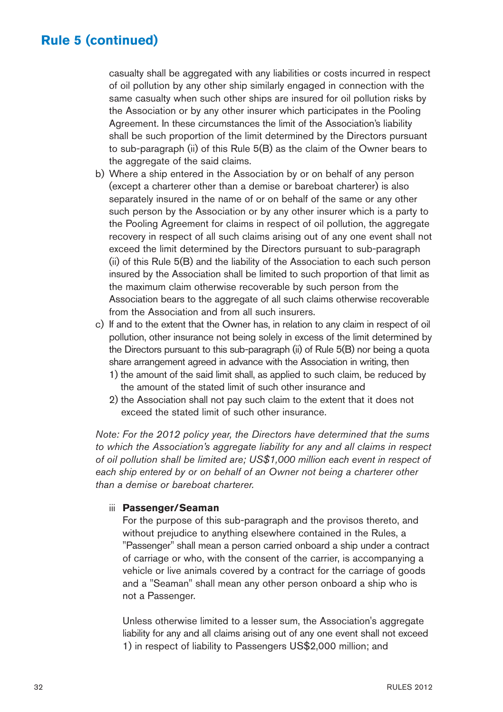casualty shall be aggregated with any liabilities or costs incurred in respect of oil pollution by any other ship similarly engaged in connection with the same casualty when such other ships are insured for oil pollution risks by the Association or by any other insurer which participates in the Pooling Agreement. In these circumstances the limit of the Association's liability shall be such proportion of the limit determined by the Directors pursuant to sub-paragraph (ii) of this Rule 5(B) as the claim of the Owner bears to the aggregate of the said claims.

- b) Where a ship entered in the Association by or on behalf of any person (except a charterer other than a demise or bareboat charterer) is also separately insured in the name of or on behalf of the same or any other such person by the Association or by any other insurer which is a party to the Pooling Agreement for claims in respect of oil pollution, the aggregate recovery in respect of all such claims arising out of any one event shall not exceed the limit determined by the Directors pursuant to sub-paragraph (ii) of this Rule 5(B) and the liability of the Association to each such person insured by the Association shall be limited to such proportion of that limit as the maximum claim otherwise recoverable by such person from the Association bears to the aggregate of all such claims otherwise recoverable from the Association and from all such insurers.
- c) If and to the extent that the Owner has, in relation to any claim in respect of oil pollution, other insurance not being solely in excess of the limit determined by the Directors pursuant to this sub-paragraph (ii) of Rule 5(B) nor being a quota share arrangement agreed in advance with the Association in writing, then
	- 1) the amount of the said limit shall, as applied to such claim, be reduced by the amount of the stated limit of such other insurance and
	- 2) the Association shall not pay such claim to the extent that it does not exceed the stated limit of such other insurance.

Note: For the 2012 policy year, the Directors have determined that the sums to which the Association's aggregate liability for any and all claims in respect of oil pollution shall be limited are; US\$1,000 million each event in respect of each ship entered by or on behalf of an Owner not being a charterer other than a demise or bareboat charterer.

#### iii **Passenger/Seaman**

For the purpose of this sub-paragraph and the provisos thereto, and without prejudice to anything elsewhere contained in the Rules, a "Passenger" shall mean a person carried onboard a ship under a contract of carriage or who, with the consent of the carrier, is accompanying a vehicle or live animals covered by a contract for the carriage of goods and a "Seaman" shall mean any other person onboard a ship who is not a Passenger.

Unless otherwise limited to a lesser sum, the Association's aggregate liability for any and all claims arising out of any one event shall not exceed 1) in respect of liability to Passengers US\$2,000 million; and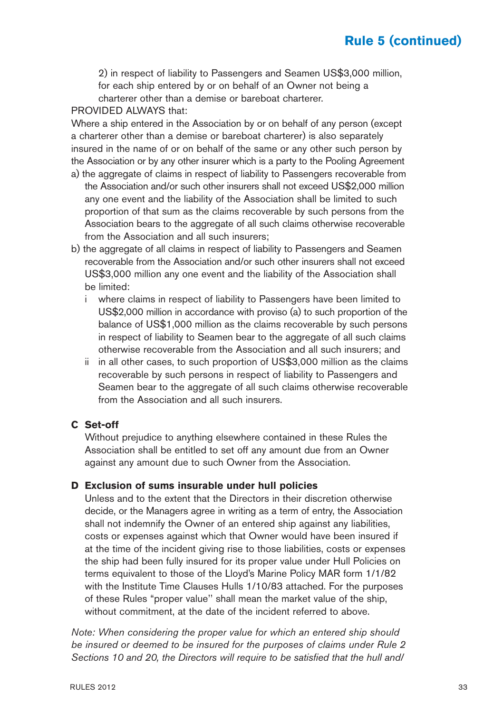<span id="page-32-0"></span>2) in respect of liability to Passengers and Seamen US\$3,000 million,

for each ship entered by or on behalf of an Owner not being a

charterer other than a demise or bareboat charterer.

#### PROVIDED ALWAYS that:

Where a ship entered in the Association by or on behalf of any person (except a charterer other than a demise or bareboat charterer) is also separately insured in the name of or on behalf of the same or any other such person by the Association or by any other insurer which is a party to the Pooling Agreement a) the aggregate of claims in respect of liability to Passengers recoverable from

- the Association and/or such other insurers shall not exceed US\$2,000 million any one event and the liability of the Association shall be limited to such proportion of that sum as the claims recoverable by such persons from the Association bears to the aggregate of all such claims otherwise recoverable from the Association and all such insurers;
- b) the aggregate of all claims in respect of liability to Passengers and Seamen recoverable from the Association and/or such other insurers shall not exceed US\$3,000 million any one event and the liability of the Association shall be limited:
	- where claims in respect of liability to Passengers have been limited to US\$2,000 million in accordance with proviso (a) to such proportion of the balance of US\$1,000 million as the claims recoverable by such persons in respect of liability to Seamen bear to the aggregate of all such claims otherwise recoverable from the Association and all such insurers; and
	- ii in all other cases, to such proportion of US\$3,000 million as the claims recoverable by such persons in respect of liability to Passengers and Seamen bear to the aggregate of all such claims otherwise recoverable from the Association and all such insurers.

#### **C Set-off**

Without prejudice to anything elsewhere contained in these Rules the Association shall be entitled to set off any amount due from an Owner against any amount due to such Owner from the Association.

#### **D Exclusion of sums insurable under hull policies**

Unless and to the extent that the Directors in their discretion otherwise decide, or the Managers agree in writing as a term of entry, the Association shall not indemnify the Owner of an entered ship against any liabilities, costs or expenses against which that Owner would have been insured if at the time of the incident giving rise to those liabilities, costs or expenses the ship had been fully insured for its proper value under Hull Policies on terms equivalent to those of the Lloyd's Marine Policy MAR form 1/1/82 with the Institute Time Clauses Hulls 1/10/83 attached. For the purposes of these Rules "proper value'' shall mean the market value of the ship, without commitment, at the date of the incident referred to above.

Note: When considering the proper value for which an entered ship should be insured or deemed to be insured for the purposes of claims under Rule 2 Sections 10 and 20, the Directors will require to be satisfied that the hull and/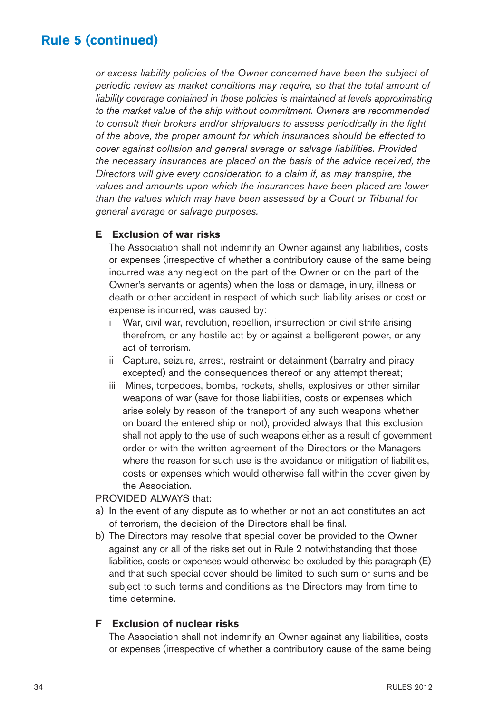<span id="page-33-0"></span>or excess liability policies of the Owner concerned have been the subject of periodic review as market conditions may require, so that the total amount of liability coverage contained in those policies is maintained at levels approximating to the market value of the ship without commitment. Owners are recommended to consult their brokers and/or shipvaluers to assess periodically in the light of the above, the proper amount for which insurances should be effected to cover against collision and general average or salvage liabilities. Provided the necessary insurances are placed on the basis of the advice received, the Directors will give every consideration to a claim if, as may transpire, the values and amounts upon which the insurances have been placed are lower than the values which may have been assessed by a Court or Tribunal for general average or salvage purposes.

#### **E Exclusion of war risks**

The Association shall not indemnify an Owner against any liabilities, costs or expenses (irrespective of whether a contributory cause of the same being incurred was any neglect on the part of the Owner or on the part of the Owner's servants or agents) when the loss or damage, injury, illness or death or other accident in respect of which such liability arises or cost or expense is incurred, was caused by:

- i War, civil war, revolution, rebellion, insurrection or civil strife arising therefrom, or any hostile act by or against a belligerent power, or any act of terrorism.
- ii Capture, seizure, arrest, restraint or detainment (barratry and piracy excepted) and the consequences thereof or any attempt thereat;
- iii Mines, torpedoes, bombs, rockets, shells, explosives or other similar weapons of war (save for those liabilities, costs or expenses which arise solely by reason of the transport of any such weapons whether on board the entered ship or not), provided always that this exclusion shall not apply to the use of such weapons either as a result of government order or with the written agreement of the Directors or the Managers where the reason for such use is the avoidance or mitigation of liabilities, costs or expenses which would otherwise fall within the cover given by the Association.

#### PROVIDED ALWAYS that:

- a) In the event of any dispute as to whether or not an act constitutes an act of terrorism, the decision of the Directors shall be final.
- b) The Directors may resolve that special cover be provided to the Owner against any or all of the risks set out in Rule 2 notwithstanding that those liabilities, costs or expenses would otherwise be excluded by this paragraph (E) and that such special cover should be limited to such sum or sums and be subject to such terms and conditions as the Directors may from time to time determine.

#### **F Exclusion of nuclear risks**

The Association shall not indemnify an Owner against any liabilities, costs or expenses (irrespective of whether a contributory cause of the same being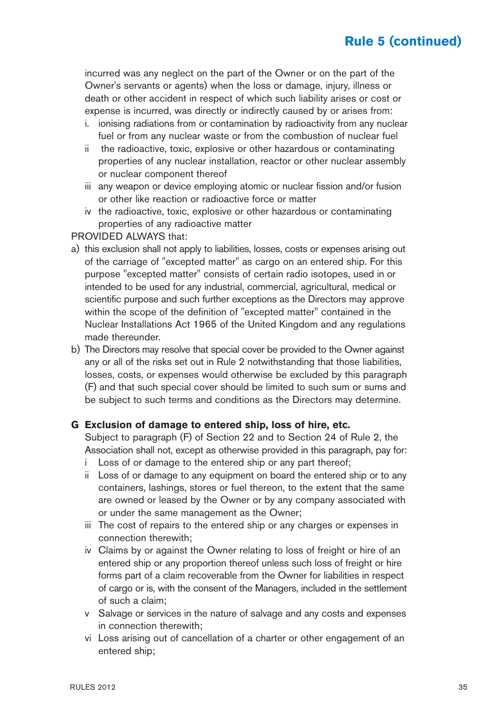<span id="page-34-0"></span>incurred was any neglect on the part of the Owner or on the part of the Owner's servants or agents) when the loss or damage, injury, illness or death or other accident in respect of which such liability arises or cost or expense is incurred, was directly or indirectly caused by or arises from:

- i. ionising radiations from or contamination by radioactivity from any nuclear fuel or from any nuclear waste or from the combustion of nuclear fuel
- ii the radioactive, toxic, explosive or other hazardous or contaminating properties of any nuclear installation, reactor or other nuclear assembly or nuclear component thereof
- iii any weapon or device employing atomic or nuclear fission and/or fusion or other like reaction or radioactive force or matter
- iv the radioactive, toxic, explosive or other hazardous or contaminating properties of any radioactive matter

PROVIDED ALWAYS that:

- purpose "excepted matter" consists of certain radio isotopes, used in or intended to be used for any industrial, commercial, agricultural, medical or a) this exclusion shall not apply to liabilities, losses, costs or expenses arising out of the carriage of "excepted matter" as cargo on an entered ship. For this scientific purpose and such further exceptions as the Directors may approve within the scope of the definition of "excepted matter" contained in the Nuclear Installations Act 1965 of the United Kingdom and any regulations made thereunder.
- b) The Directors may resolve that special cover be provided to the Owner against any or all of the risks set out in Rule 2 notwithstanding that those liabilities, losses, costs, or expenses would otherwise be excluded by this paragraph (F) and that such special cover should be limited to such sum or sums and be subject to such terms and conditions as the Directors may determine.

#### **G Exclusion of damage to entered ship, loss of hire, etc.**

Subject to paragraph (F) of Section 22 and to Section 24 of Rule 2, the Association shall not, except as otherwise provided in this paragraph, pay for:

- Loss of or damage to the entered ship or any part thereof;
- ii Loss of or damage to any equipment on board the entered ship or to any containers, lashings, stores or fuel thereon, to the extent that the same are owned or leased by the Owner or by any company associated with or under the same management as the Owner;
- iii The cost of repairs to the entered ship or any charges or expenses in connection therewith;
- iv Claims by or against the Owner relating to loss of freight or hire of an entered ship or any proportion thereof unless such loss of freight or hire forms part of a claim recoverable from the Owner for liabilities in respect of cargo or is, with the consent of the Managers, included in the settlement of such a claim;
- v Salvage or services in the nature of salvage and any costs and expenses in connection therewith;
- vi Loss arising out of cancellation of a charter or other engagement of an entered ship;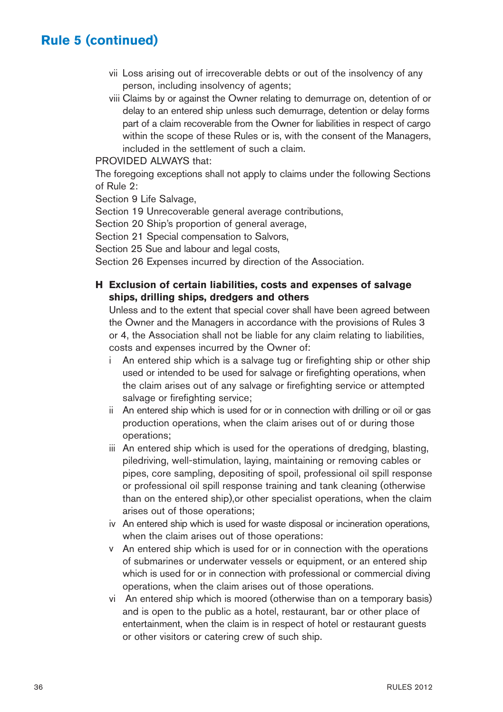- <span id="page-35-0"></span>vii Loss arising out of irrecoverable debts or out of the insolvency of any person, including insolvency of agents;
- viii Claims by or against the Owner relating to demurrage on, detention of or delay to an entered ship unless such demurrage, detention or delay forms part of a claim recoverable from the Owner for liabilities in respect of cargo within the scope of these Rules or is, with the consent of the Managers, included in the settlement of such a claim.

#### PROVIDED AI WAYS that:

The foregoing exceptions shall not apply to claims under the following Sections of Rule 2:

Section 9 Life Salvage.

Section 19 Unrecoverable general average contributions,

Section 20 Ship's proportion of general average,

Section 21 Special compensation to Salvors,

Section 25 Sue and labour and legal costs,

Section 26 Expenses incurred by direction of the Association.

#### **H Exclusion of certain liabilities, costs and expenses of salvage ships, drilling ships, dredgers and others**

Unless and to the extent that special cover shall have been agreed between the Owner and the Managers in accordance with the provisions of Rules 3 or 4, the Association shall not be liable for any claim relating to liabilities, costs and expenses incurred by the Owner of:

- i An entered ship which is a salvage tug or firefighting ship or other ship used or intended to be used for salvage or firefighting operations, when the claim arises out of any salvage or firefighting service or attempted salvage or firefighting service;
- ii An entered ship which is used for or in connection with drilling or oil or gas production operations, when the claim arises out of or during those operations;
- iii An entered ship which is used for the operations of dredging, blasting, piledriving, well-stimulation, laying, maintaining or removing cables or pipes, core sampling, depositing of spoil, professional oil spill response or professional oil spill response training and tank cleaning (otherwise than on the entered ship),or other specialist operations, when the claim arises out of those operations;
- iv An entered ship which is used for waste disposal or incineration operations, when the claim arises out of those operations:
- v An entered ship which is used for or in connection with the operations of submarines or underwater vessels or equipment, or an entered ship which is used for or in connection with professional or commercial diving operations, when the claim arises out of those operations.
- vi An entered ship which is moored (otherwise than on a temporary basis) and is open to the public as a hotel, restaurant, bar or other place of entertainment, when the claim is in respect of hotel or restaurant guests or other visitors or catering crew of such ship.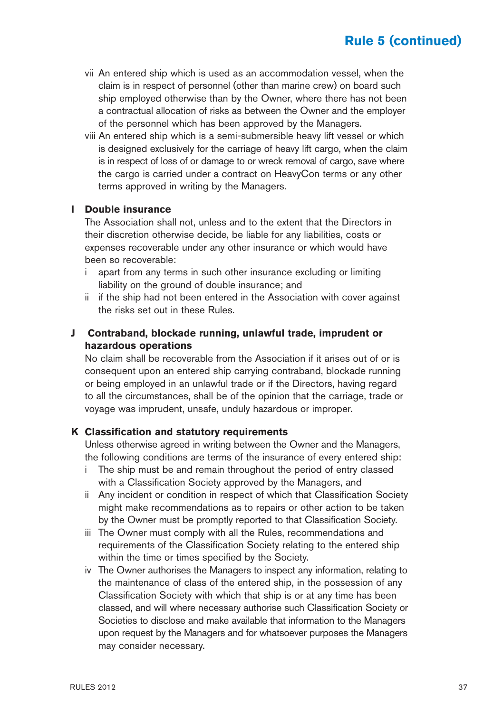- vii An entered ship which is used as an accommodation vessel, when the claim is in respect of personnel (other than marine crew) on board such ship employed otherwise than by the Owner, where there has not been a contractual allocation of risks as between the Owner and the employer of the personnel which has been approved by the Managers.
- viii An entered ship which is a semi-submersible heavy lift vessel or which is designed exclusively for the carriage of heavy lift cargo, when the claim is in respect of loss of or damage to or wreck removal of cargo, save where the cargo is carried under a contract on HeavyCon terms or any other terms approved in writing by the Managers.

#### **I Double insurance**

The Association shall not, unless and to the extent that the Directors in their discretion otherwise decide, be liable for any liabilities, costs or expenses recoverable under any other insurance or which would have been so recoverable:

- i apart from any terms in such other insurance excluding or limiting liability on the ground of double insurance; and
- ii if the ship had not been entered in the Association with cover against the risks set out in these Rules.
- **J Contraband, blockade running, unlawful trade, imprudent or hazardous operations**

No claim shall be recoverable from the Association if it arises out of or is consequent upon an entered ship carrying contraband, blockade running or being employed in an unlawful trade or if the Directors, having regard to all the circumstances, shall be of the opinion that the carriage, trade or voyage was imprudent, unsafe, unduly hazardous or improper.

#### **K Classification and statutory requirements**

Unless otherwise agreed in writing between the Owner and the Managers, the following conditions are terms of the insurance of every entered ship:

- i The ship must be and remain throughout the period of entry classed with a Classification Society approved by the Managers, and
- ii Any incident or condition in respect of which that Classification Society might make recommendations as to repairs or other action to be taken by the Owner must be promptly reported to that Classification Society.
- iii The Owner must comply with all the Rules, recommendations and requirements of the Classification Society relating to the entered ship within the time or times specified by the Society.
- iv The Owner authorises the Managers to inspect any information, relating to the maintenance of class of the entered ship, in the possession of any Classification Society with which that ship is or at any time has been classed, and will where necessary authorise such Classification Society or Societies to disclose and make available that information to the Managers upon request by the Managers and for whatsoever purposes the Managers may consider necessary.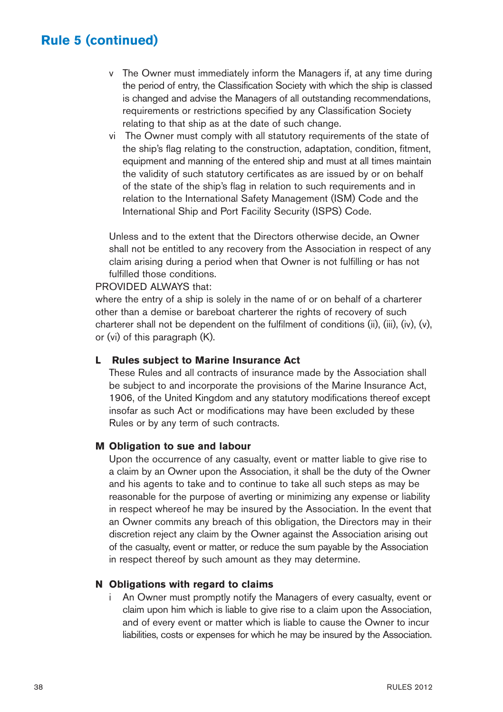- v The Owner must immediately inform the Managers if, at any time during the period of entry, the Classification Society with which the ship is classed is changed and advise the Managers of all outstanding recommendations, requirements or restrictions specified by any Classification Society relating to that ship as at the date of such change.
- vi The Owner must comply with all statutory requirements of the state of the ship's flag relating to the construction, adaptation, condition, fitment, equipment and manning of the entered ship and must at all times maintain the validity of such statutory certificates as are issued by or on behalf of the state of the ship's flag in relation to such requirements and in relation to the International Safety Management (ISM) Code and the International Ship and Port Facility Security (ISPS) Code.

Unless and to the extent that the Directors otherwise decide, an Owner shall not be entitled to any recovery from the Association in respect of any claim arising during a period when that Owner is not fulfilling or has not fulfilled those conditions.

#### PROVIDED ALWAYS that:

where the entry of a ship is solely in the name of or on behalf of a charterer other than a demise or bareboat charterer the rights of recovery of such charterer shall not be dependent on the fulfilment of conditions (ii), (iii), (iv), (v), or (vi) of this paragraph (K).

#### **L Rules subject to Marine Insurance Act**

These Rules and all contracts of insurance made by the Association shall be subject to and incorporate the provisions of the Marine Insurance Act, 1906, of the United Kingdom and any statutory modifications thereof except insofar as such Act or modifications may have been excluded by these Rules or by any term of such contracts.

#### **M Obligation to sue and labour**

Upon the occurrence of any casualty, event or matter liable to give rise to a claim by an Owner upon the Association, it shall be the duty of the Owner and his agents to take and to continue to take all such steps as may be reasonable for the purpose of averting or minimizing any expense or liability in respect whereof he may be insured by the Association. In the event that an Owner commits any breach of this obligation, the Directors may in their discretion reject any claim by the Owner against the Association arising out of the casualty, event or matter, or reduce the sum payable by the Association in respect thereof by such amount as they may determine.

#### **N Obligations with regard to claims**

i An Owner must promptly notify the Managers of every casualty, event or claim upon him which is liable to give rise to a claim upon the Association, and of every event or matter which is liable to cause the Owner to incur liabilities, costs or expenses for which he may be insured by the Association.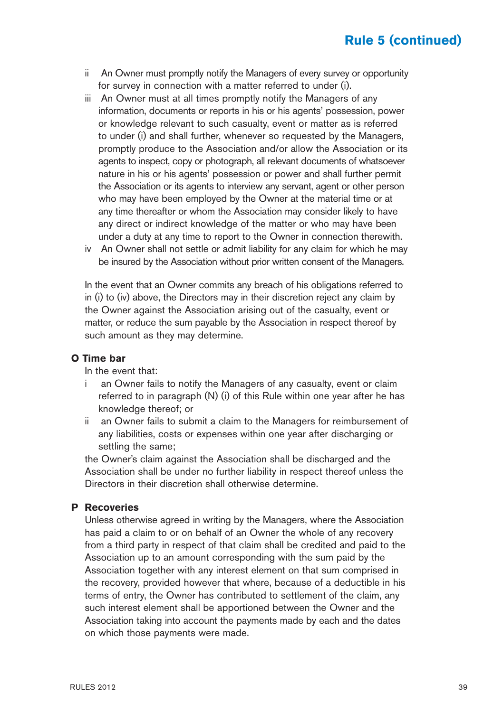- ii An Owner must promptly notify the Managers of every survey or opportunity for survey in connection with a matter referred to under (i).
- who may have been employed by the Owner at the material time or at iii An Owner must at all times promptly notify the Managers of any information, documents or reports in his or his agents' possession, power or knowledge relevant to such casualty, event or matter as is referred to under (i) and shall further, whenever so requested by the Managers, promptly produce to the Association and/or allow the Association or its agents to inspect, copy or photograph, all relevant documents of whatsoever nature in his or his agents' possession or power and shall further permit the Association or its agents to interview any servant, agent or other person any time thereafter or whom the Association may consider likely to have any direct or indirect knowledge of the matter or who may have been under a duty at any time to report to the Owner in connection therewith.
- iv An Owner shall not settle or admit liability for any claim for which he may be insured by the Association without prior written consent of the Managers.

In the event that an Owner commits any breach of his obligations referred to in (i) to (iv) above, the Directors may in their discretion reject any claim by the Owner against the Association arising out of the casualty, event or matter, or reduce the sum payable by the Association in respect thereof by such amount as they may determine.

#### **O Time bar**

In the event that:

- an Owner fails to notify the Managers of any casualty, event or claim referred to in paragraph (N) (i) of this Rule within one year after he has knowledge thereof; or
- ii an Owner fails to submit a claim to the Managers for reimbursement of any liabilities, costs or expenses within one year after discharging or settling the same;

the Owner's claim against the Association shall be discharged and the Association shall be under no further liability in respect thereof unless the Directors in their discretion shall otherwise determine.

#### **P Recoveries**

Unless otherwise agreed in writing by the Managers, where the Association has paid a claim to or on behalf of an Owner the whole of any recovery from a third party in respect of that claim shall be credited and paid to the Association up to an amount corresponding with the sum paid by the Association together with any interest element on that sum comprised in the recovery, provided however that where, because of a deductible in his terms of entry, the Owner has contributed to settlement of the claim, any such interest element shall be apportioned between the Owner and the Association taking into account the payments made by each and the dates on which those payments were made.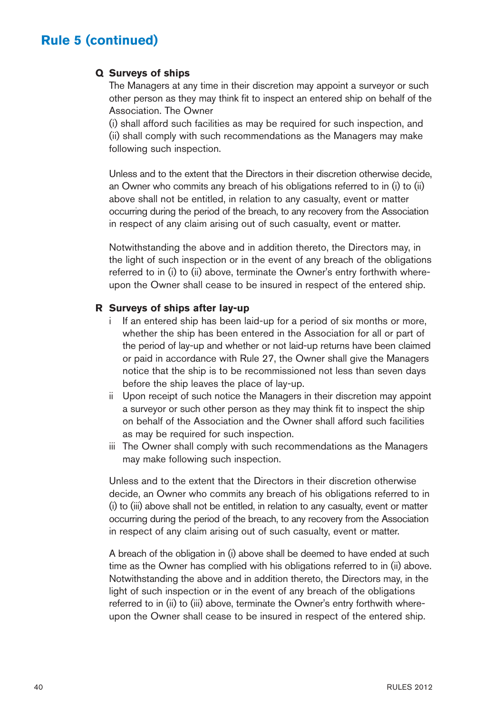#### **Q Surveys of ships**

The Managers at any time in their discretion may appoint a surveyor or such other person as they may think fit to inspect an entered ship on behalf of the Association. The Owner

(i) shall afford such facilities as may be required for such inspection, and (ii) shall comply with such recommendations as the Managers may make following such inspection.

 an Owner who commits any breach of his obligations referred to in (i) to (ii) Unless and to the extent that the Directors in their discretion otherwise decide, above shall not be entitled, in relation to any casualty, event or matter occurring during the period of the breach, to any recovery from the Association in respect of any claim arising out of such casualty, event or matter.

Notwithstanding the above and in addition thereto, the Directors may, in the light of such inspection or in the event of any breach of the obligations referred to in (i) to (ii) above, terminate the Owner's entry forthwith whereupon the Owner shall cease to be insured in respect of the entered ship.

#### **R Surveys of ships after lay-up**

- i If an entered ship has been laid-up for a period of six months or more, whether the ship has been entered in the Association for all or part of the period of lay-up and whether or not laid-up returns have been claimed or paid in accordance with Rule 27, the Owner shall give the Managers notice that the ship is to be recommissioned not less than seven days before the ship leaves the place of lay-up.
- ii Upon receipt of such notice the Managers in their discretion may appoint a surveyor or such other person as they may think fit to inspect the ship on behalf of the Association and the Owner shall afford such facilities as may be required for such inspection.
- iii The Owner shall comply with such recommendations as the Managers may make following such inspection.

Unless and to the extent that the Directors in their discretion otherwise decide, an Owner who commits any breach of his obligations referred to in (i) to (iii) above shall not be entitled, in relation to any casualty, event or matter occurring during the period of the breach, to any recovery from the Association in respect of any claim arising out of such casualty, event or matter.

A breach of the obligation in (i) above shall be deemed to have ended at such time as the Owner has complied with his obligations referred to in (ii) above. Notwithstanding the above and in addition thereto, the Directors may, in the light of such inspection or in the event of any breach of the obligations referred to in (ii) to (iii) above, terminate the Owner's entry forthwith whereupon the Owner shall cease to be insured in respect of the entered ship.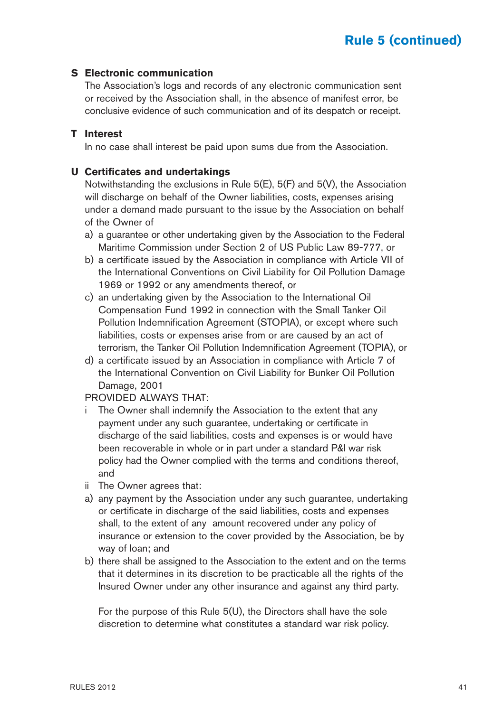#### **S Electronic communication**

The Association's logs and records of any electronic communication sent or received by the Association shall, in the absence of manifest error, be conclusive evidence of such communication and of its despatch or receipt.

#### **T Interest**

In no case shall interest be paid upon sums due from the Association.

#### **U Certificates and undertakings**

Notwithstanding the exclusions in Rule 5(E), 5(F) and 5(V), the Association will discharge on behalf of the Owner liabilities, costs, expenses arising under a demand made pursuant to the issue by the Association on behalf of the Owner of

- a) a guarantee or other undertaking given by the Association to the Federal Maritime Commission under Section 2 of US Public Law 89-777, or
- b) a certificate issued by the Association in compliance with Article VII of the International Conventions on Civil Liability for Oil Pollution Damage 1969 or 1992 or any amendments thereof, or
- c) an undertaking given by the Association to the International Oil Compensation Fund 1992 in connection with the Small Tanker Oil Pollution Indemnification Agreement (STOPIA), or except where such liabilities, costs or expenses arise from or are caused by an act of terrorism, the Tanker Oil Pollution Indemnification Agreement (TOPIA), or
- d) a certificate issued by an Association in compliance with Article 7 of the International Convention on Civil Liability for Bunker Oil Pollution Damage, 2001

#### PROVIDED ALWAYS THAT:

- The Owner shall indemnify the Association to the extent that any payment under any such guarantee, undertaking or certificate in discharge of the said liabilities, costs and expenses is or would have been recoverable in whole or in part under a standard P&I war risk policy had the Owner complied with the terms and conditions thereof, and
- ii The Owner agrees that:
- a) any payment by the Association under any such guarantee, undertaking or certificate in discharge of the said liabilities, costs and expenses shall, to the extent of any amount recovered under any policy of insurance or extension to the cover provided by the Association, be by way of loan; and
- b) there shall be assigned to the Association to the extent and on the terms that it determines in its discretion to be practicable all the rights of the Insured Owner under any other insurance and against any third party.

For the purpose of this Rule 5(U), the Directors shall have the sole discretion to determine what constitutes a standard war risk policy.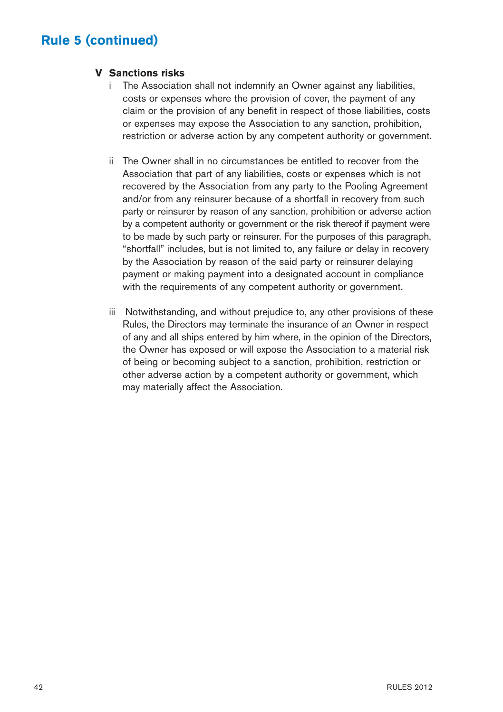#### **V Sanctions risks**

- i The Association shall not indemnify an Owner against any liabilities, costs or expenses where the provision of cover, the payment of any claim or the provision of any benefit in respect of those liabilities, costs or expenses may expose the Association to any sanction, prohibition, restriction or adverse action by any competent authority or government.
- ii The Owner shall in no circumstances be entitled to recover from the Association that part of any liabilities, costs or expenses which is not recovered by the Association from any party to the Pooling Agreement and/or from any reinsurer because of a shortfall in recovery from such party or reinsurer by reason of any sanction, prohibition or adverse action by a competent authority or government or the risk thereof if payment were to be made by such party or reinsurer. For the purposes of this paragraph, "shortfall" includes, but is not limited to, any failure or delay in recovery by the Association by reason of the said party or reinsurer delaying payment or making payment into a designated account in compliance with the requirements of any competent authority or government.
- iii Notwithstanding, and without prejudice to, any other provisions of these Rules, the Directors may terminate the insurance of an Owner in respect of any and all ships entered by him where, in the opinion of the Directors, the Owner has exposed or will expose the Association to a material risk of being or becoming subject to a sanction, prohibition, restriction or other adverse action by a competent authority or government, which may materially affect the Association.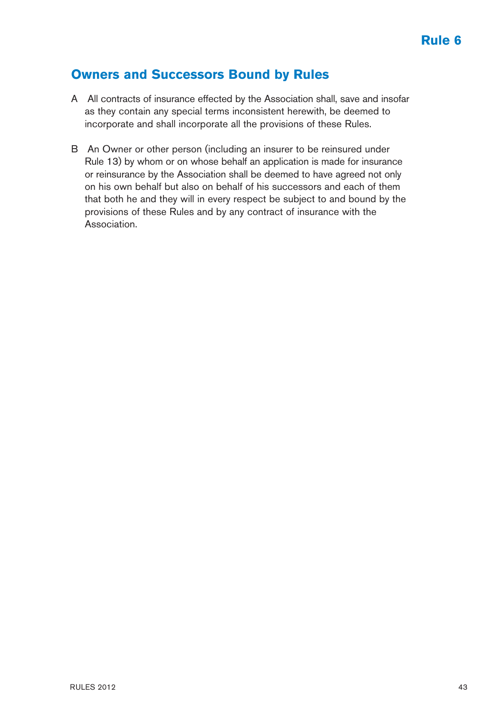### **Owners and Successors Bound by Rules**

- A All contracts of insurance effected by the Association shall, save and insofar as they contain any special terms inconsistent herewith, be deemed to incorporate and shall incorporate all the provisions of these Rules.
- B An Owner or other person (including an insurer to be reinsured under Rule 13) by whom or on whose behalf an application is made for insurance or reinsurance by the Association shall be deemed to have agreed not only on his own behalf but also on behalf of his successors and each of them that both he and they will in every respect be subject to and bound by the provisions of these Rules and by any contract of insurance with the Association.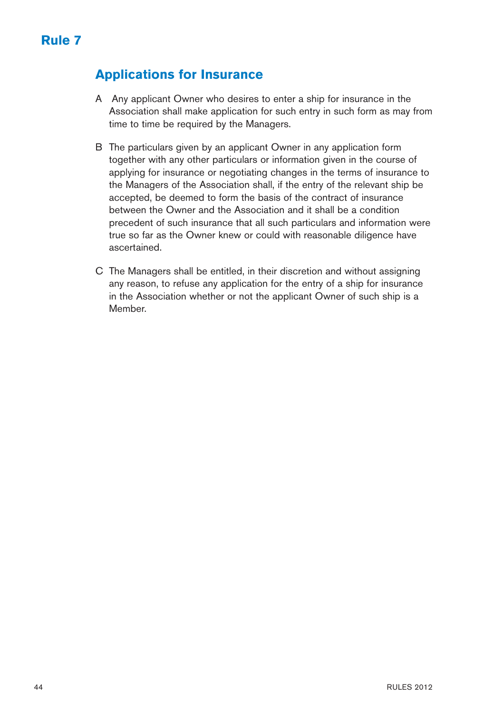## **Applications for Insurance**

- A Any applicant Owner who desires to enter a ship for insurance in the Association shall make application for such entry in such form as may from time to time be required by the Managers.
- B The particulars given by an applicant Owner in any application form together with any other particulars or information given in the course of applying for insurance or negotiating changes in the terms of insurance to the Managers of the Association shall, if the entry of the relevant ship be accepted, be deemed to form the basis of the contract of insurance between the Owner and the Association and it shall be a condition precedent of such insurance that all such particulars and information were true so far as the Owner knew or could with reasonable diligence have ascertained.
- C The Managers shall be entitled, in their discretion and without assigning any reason, to refuse any application for the entry of a ship for insurance in the Association whether or not the applicant Owner of such ship is a Member.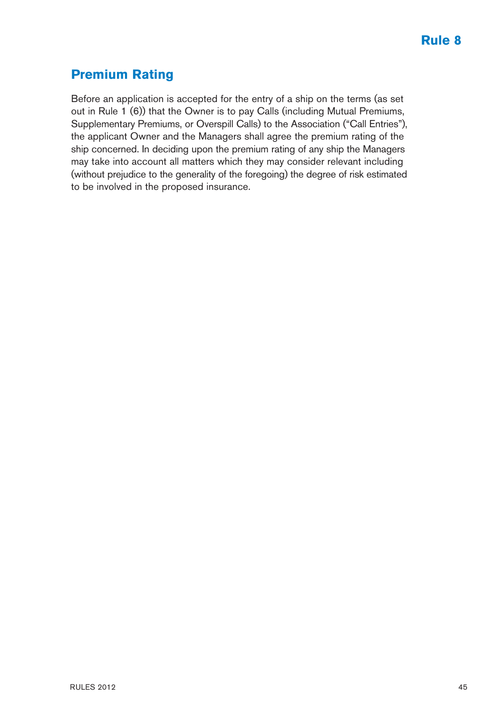## **Premium Rating**

Before an application is accepted for the entry of a ship on the terms (as set out in Rule 1 (6)) that the Owner is to pay Calls (including Mutual Premiums, Supplementary Premiums, or Overspill Calls) to the Association ("Call Entries"), the applicant Owner and the Managers shall agree the premium rating of the ship concerned. In deciding upon the premium rating of any ship the Managers may take into account all matters which they may consider relevant including (without prejudice to the generality of the foregoing) the degree of risk estimated to be involved in the proposed insurance.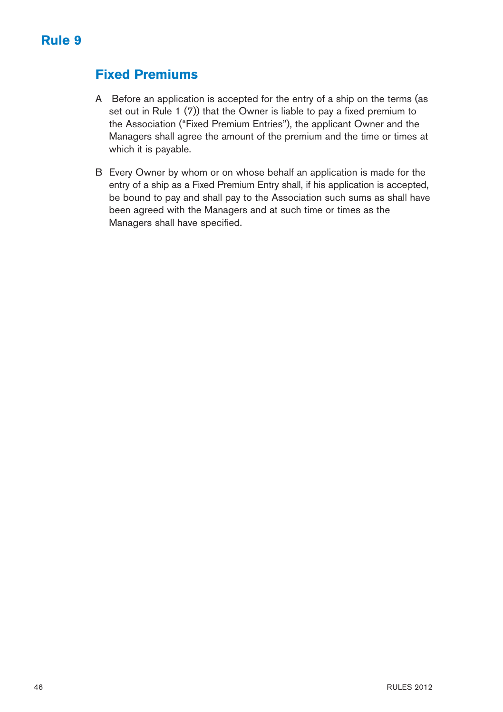### **Fixed Premiums**

- A Before an application is accepted for the entry of a ship on the terms (as set out in Rule 1 (7)) that the Owner is liable to pay a fixed premium to the Association ("Fixed Premium Entries"), the applicant Owner and the Managers shall agree the amount of the premium and the time or times at which it is payable.
- B Every Owner by whom or on whose behalf an application is made for the entry of a ship as a Fixed Premium Entry shall, if his application is accepted, be bound to pay and shall pay to the Association such sums as shall have been agreed with the Managers and at such time or times as the Managers shall have specified.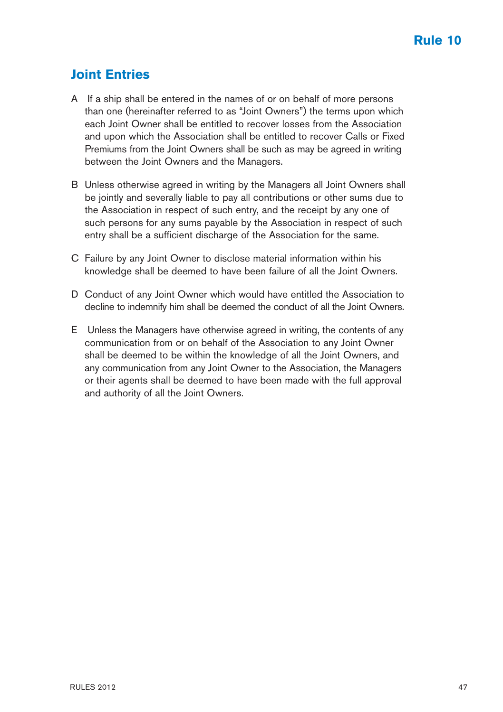## **Joint Entries**

- A If a ship shall be entered in the names of or on behalf of more persons than one (hereinafter referred to as "Joint Owners") the terms upon which each Joint Owner shall be entitled to recover losses from the Association and upon which the Association shall be entitled to recover Calls or Fixed Premiums from the Joint Owners shall be such as may be agreed in writing between the Joint Owners and the Managers.
- B Unless otherwise agreed in writing by the Managers all Joint Owners shall be jointly and severally liable to pay all contributions or other sums due to the Association in respect of such entry, and the receipt by any one of such persons for any sums payable by the Association in respect of such entry shall be a sufficient discharge of the Association for the same.
- C Failure by any Joint Owner to disclose material information within his knowledge shall be deemed to have been failure of all the Joint Owners.
- D Conduct of any Joint Owner which would have entitled the Association to decline to indemnify him shall be deemed the conduct of all the Joint Owners.
- E Unless the Managers have otherwise agreed in writing, the contents of any communication from or on behalf of the Association to any Joint Owner shall be deemed to be within the knowledge of all the Joint Owners, and any communication from any Joint Owner to the Association, the Managers or their agents shall be deemed to have been made with the full approval and authority of all the Joint Owners.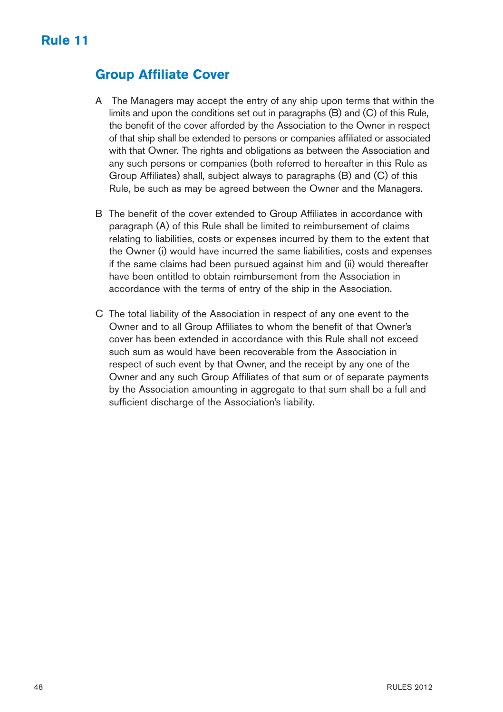### **Group Affiliate Cover**

- A The Managers may accept the entry of any ship upon terms that within the limits and upon the conditions set out in paragraphs (B) and (C) of this Rule, the benefit of the cover afforded by the Association to the Owner in respect of that ship shall be extended to persons or companies affiliated or associated with that Owner. The rights and obligations as between the Association and any such persons or companies (both referred to hereafter in this Rule as Group Affiliates) shall, subject always to paragraphs (B) and (C) of this Rule, be such as may be agreed between the Owner and the Managers.
- B The benefit of the cover extended to Group Affiliates in accordance with paragraph (A) of this Rule shall be limited to reimbursement of claims relating to liabilities, costs or expenses incurred by them to the extent that the Owner (i) would have incurred the same liabilities, costs and expenses if the same claims had been pursued against him and (ii) would thereafter have been entitled to obtain reimbursement from the Association in accordance with the terms of entry of the ship in the Association.
- C The total liability of the Association in respect of any one event to the Owner and to all Group Affiliates to whom the benefit of that Owner's cover has been extended in accordance with this Rule shall not exceed such sum as would have been recoverable from the Association in respect of such event by that Owner, and the receipt by any one of the Owner and any such Group Affiliates of that sum or of separate payments by the Association amounting in aggregate to that sum shall be a full and sufficient discharge of the Association's liability.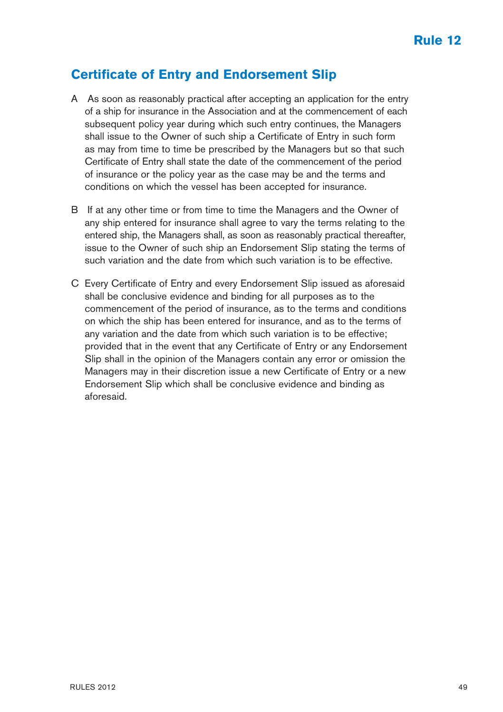### **Certificate of Entry and Endorsement Slip**

- A As soon as reasonably practical after accepting an application for the entry of a ship for insurance in the Association and at the commencement of each subsequent policy year during which such entry continues, the Managers shall issue to the Owner of such ship a Certificate of Entry in such form as may from time to time be prescribed by the Managers but so that such Certificate of Entry shall state the date of the commencement of the period of insurance or the policy year as the case may be and the terms and conditions on which the vessel has been accepted for insurance.
- B If at any other time or from time to time the Managers and the Owner of any ship entered for insurance shall agree to vary the terms relating to the entered ship, the Managers shall, as soon as reasonably practical thereafter, issue to the Owner of such ship an Endorsement Slip stating the terms of such variation and the date from which such variation is to be effective.
- C Every Certificate of Entry and every Endorsement Slip issued as aforesaid shall be conclusive evidence and binding for all purposes as to the commencement of the period of insurance, as to the terms and conditions on which the ship has been entered for insurance, and as to the terms of any variation and the date from which such variation is to be effective; provided that in the event that any Certificate of Entry or any Endorsement Slip shall in the opinion of the Managers contain any error or omission the Managers may in their discretion issue a new Certificate of Entry or a new Endorsement Slip which shall be conclusive evidence and binding as aforesaid.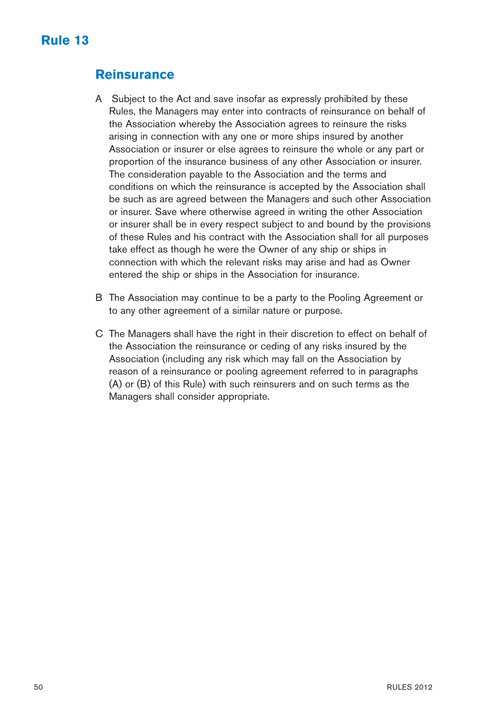### **Reinsurance**

- A Subject to the Act and save insofar as expressly prohibited by these Rules, the Managers may enter into contracts of reinsurance on behalf of the Association whereby the Association agrees to reinsure the risks arising in connection with any one or more ships insured by another Association or insurer or else agrees to reinsure the whole or any part or proportion of the insurance business of any other Association or insurer. The consideration payable to the Association and the terms and conditions on which the reinsurance is accepted by the Association shall be such as are agreed between the Managers and such other Association or insurer. Save where otherwise agreed in writing the other Association or insurer shall be in every respect subject to and bound by the provisions of these Rules and his contract with the Association shall for all purposes take effect as though he were the Owner of any ship or ships in connection with which the relevant risks may arise and had as Owner entered the ship or ships in the Association for insurance.
- B The Association may continue to be a party to the Pooling Agreement or to any other agreement of a similar nature or purpose.
- C The Managers shall have the right in their discretion to effect on behalf of the Association the reinsurance or ceding of any risks insured by the Association (including any risk which may fall on the Association by reason of a reinsurance or pooling agreement referred to in paragraphs (A) or (B) of this Rule) with such reinsurers and on such terms as the Managers shall consider appropriate.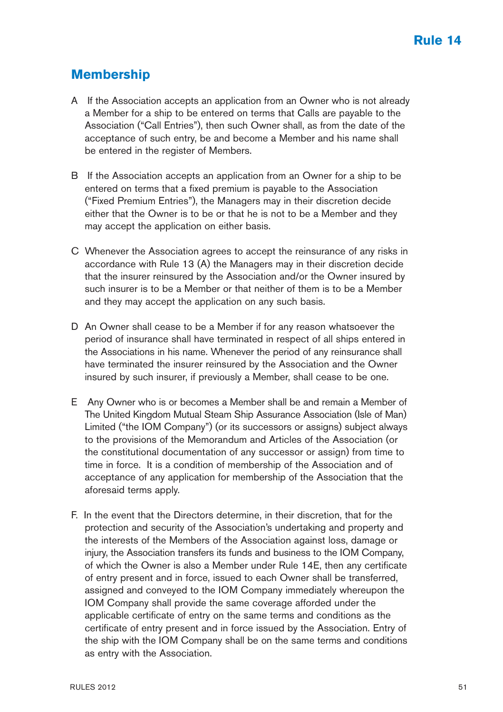### **Membership**

- A If the Association accepts an application from an Owner who is not already a Member for a ship to be entered on terms that Calls are payable to the Association ("Call Entries"), then such Owner shall, as from the date of the acceptance of such entry, be and become a Member and his name shall be entered in the register of Members.
- B If the Association accepts an application from an Owner for a ship to be entered on terms that a fixed premium is payable to the Association ("Fixed Premium Entries"), the Managers may in their discretion decide either that the Owner is to be or that he is not to be a Member and they may accept the application on either basis.
- C Whenever the Association agrees to accept the reinsurance of any risks in accordance with Rule 13 (A) the Managers may in their discretion decide that the insurer reinsured by the Association and/or the Owner insured by such insurer is to be a Member or that neither of them is to be a Member and they may accept the application on any such basis.
- D An Owner shall cease to be a Member if for any reason whatsoever the period of insurance shall have terminated in respect of all ships entered in the Associations in his name. Whenever the period of any reinsurance shall have terminated the insurer reinsured by the Association and the Owner insured by such insurer, if previously a Member, shall cease to be one.
- E Any Owner who is or becomes a Member shall be and remain a Member of The United Kingdom Mutual Steam Ship Assurance Association (Isle of Man) Limited ("the IOM Company") (or its successors or assigns) subject always to the provisions of the Memorandum and Articles of the Association (or the constitutional documentation of any successor or assign) from time to time in force. It is a condition of membership of the Association and of acceptance of any application for membership of the Association that the aforesaid terms apply.
- F. In the event that the Directors determine, in their discretion, that for the protection and security of the Association's undertaking and property and the interests of the Members of the Association against loss, damage or injury, the Association transfers its funds and business to the IOM Company, of which the Owner is also a Member under Rule 14E, then any certificate of entry present and in force, issued to each Owner shall be transferred, assigned and conveyed to the IOM Company immediately whereupon the IOM Company shall provide the same coverage afforded under the applicable certificate of entry on the same terms and conditions as the certificate of entry present and in force issued by the Association. Entry of the ship with the IOM Company shall be on the same terms and conditions as entry with the Association.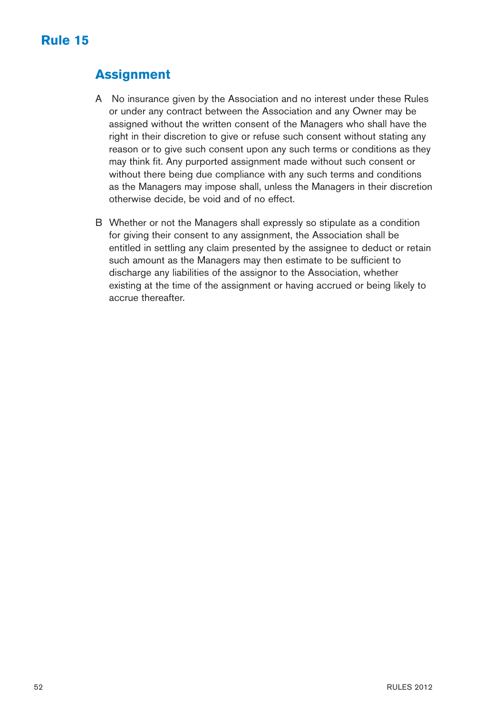## **Assignment**

- A No insurance given by the Association and no interest under these Rules or under any contract between the Association and any Owner may be assigned without the written consent of the Managers who shall have the right in their discretion to give or refuse such consent without stating any reason or to give such consent upon any such terms or conditions as they may think fit. Any purported assignment made without such consent or without there being due compliance with any such terms and conditions as the Managers may impose shall, unless the Managers in their discretion otherwise decide, be void and of no effect.
- B Whether or not the Managers shall expressly so stipulate as a condition for giving their consent to any assignment, the Association shall be entitled in settling any claim presented by the assignee to deduct or retain such amount as the Managers may then estimate to be sufficient to discharge any liabilities of the assignor to the Association, whether existing at the time of the assignment or having accrued or being likely to accrue thereafter.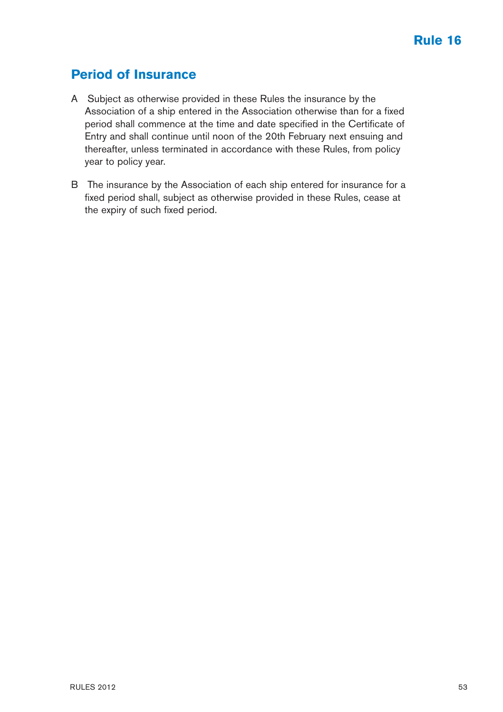## **Period of Insurance**

- A Subject as otherwise provided in these Rules the insurance by the Association of a ship entered in the Association otherwise than for a fixed period shall commence at the time and date specified in the Certificate of Entry and shall continue until noon of the 20th February next ensuing and thereafter, unless terminated in accordance with these Rules, from policy year to policy year.
- B The insurance by the Association of each ship entered for insurance for a fixed period shall, subject as otherwise provided in these Rules, cease at the expiry of such fixed period.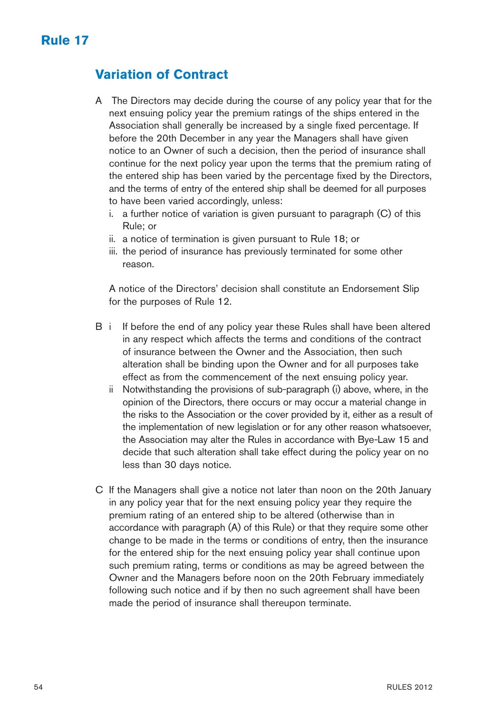## **Variation of Contract**

- A The Directors may decide during the course of any policy year that for the next ensuing policy year the premium ratings of the ships entered in the Association shall generally be increased by a single fixed percentage. If before the 20th December in any year the Managers shall have given notice to an Owner of such a decision, then the period of insurance shall continue for the next policy year upon the terms that the premium rating of the entered ship has been varied by the percentage fixed by the Directors, and the terms of entry of the entered ship shall be deemed for all purposes to have been varied accordingly, unless:
	- i. a further notice of variation is given pursuant to paragraph (C) of this Rule; or
	- ii. a notice of termination is given pursuant to Rule 18; or
	- iii. the period of insurance has previously terminated for some other reason.

A notice of the Directors' decision shall constitute an Endorsement Slip for the purposes of Rule 12.

- B i If before the end of any policy year these Rules shall have been altered in any respect which affects the terms and conditions of the contract of insurance between the Owner and the Association, then such alteration shall be binding upon the Owner and for all purposes take effect as from the commencement of the next ensuing policy year.
	- ii Notwithstanding the provisions of sub-paragraph (i) above, where, in the opinion of the Directors, there occurs or may occur a material change in the risks to the Association or the cover provided by it, either as a result of the implementation of new legislation or for any other reason whatsoever, the Association may alter the Rules in accordance with Bye-Law 15 and decide that such alteration shall take effect during the policy year on no less than 30 days notice.
- C If the Managers shall give a notice not later than noon on the 20th January in any policy year that for the next ensuing policy year they require the premium rating of an entered ship to be altered (otherwise than in accordance with paragraph (A) of this Rule) or that they require some other change to be made in the terms or conditions of entry, then the insurance for the entered ship for the next ensuing policy year shall continue upon such premium rating, terms or conditions as may be agreed between the Owner and the Managers before noon on the 20th February immediately following such notice and if by then no such agreement shall have been made the period of insurance shall thereupon terminate.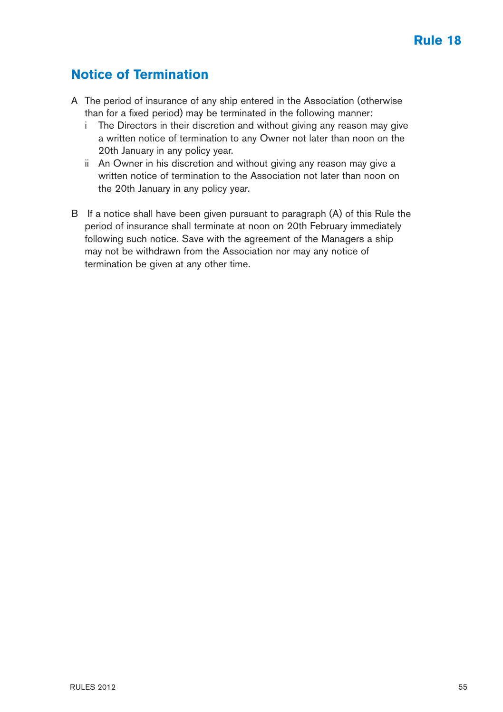## **Notice of Termination**

- A The period of insurance of any ship entered in the Association (otherwise than for a fixed period) may be terminated in the following manner:
	- i The Directors in their discretion and without giving any reason may give a written notice of termination to any Owner not later than noon on the 20th January in any policy year.
	- ii An Owner in his discretion and without giving any reason may give a written notice of termination to the Association not later than noon on the 20th January in any policy year.
- B If a notice shall have been given pursuant to paragraph (A) of this Rule the period of insurance shall terminate at noon on 20th February immediately following such notice. Save with the agreement of the Managers a ship may not be withdrawn from the Association nor may any notice of termination be given at any other time.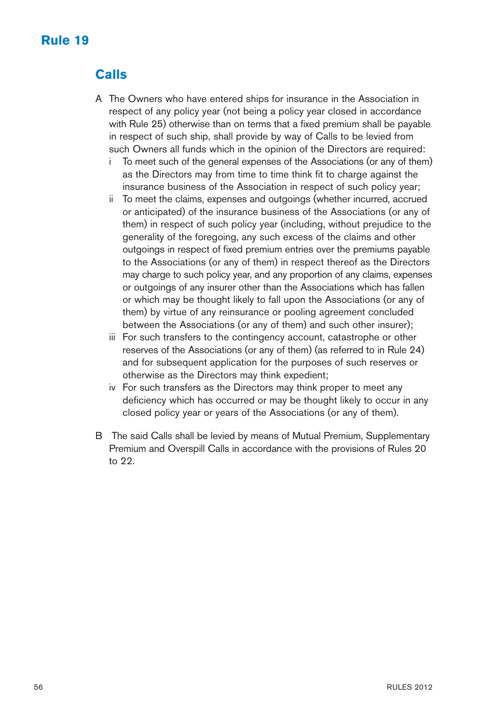# **Rule 19**

# **Calls**

- A The Owners who have entered ships for insurance in the Association in respect of any policy year (not being a policy year closed in accordance with Rule 25) otherwise than on terms that a fixed premium shall be payable in respect of such ship, shall provide by way of Calls to be levied from such Owners all funds which in the opinion of the Directors are required:
	- i To meet such of the general expenses of the Associations (or any of them) as the Directors may from time to time think fit to charge against the insurance business of the Association in respect of such policy year;
	- ii To meet the claims, expenses and outgoings (whether incurred, accrued or anticipated) of the insurance business of the Associations (or any of them) in respect of such policy year (including, without prejudice to the generality of the foregoing, any such excess of the claims and other outgoings in respect of fixed premium entries over the premiums payable to the Associations (or any of them) in respect thereof as the Directors may charge to such policy year, and any proportion of any claims, expenses or outgoings of any insurer other than the Associations which has fallen or which may be thought likely to fall upon the Associations (or any of them) by virtue of any reinsurance or pooling agreement concluded between the Associations (or any of them) and such other insurer);
	- iii For such transfers to the contingency account, catastrophe or other reserves of the Associations (or any of them) (as referred to in Rule 24) and for subsequent application for the purposes of such reserves or otherwise as the Directors may think expedient;
	- iv For such transfers as the Directors may think proper to meet any deficiency which has occurred or may be thought likely to occur in any closed policy year or years of the Associations (or any of them).
- B The said Calls shall be levied by means of Mutual Premium, Supplementary Premium and Overspill Calls in accordance with the provisions of Rules 20 to 22.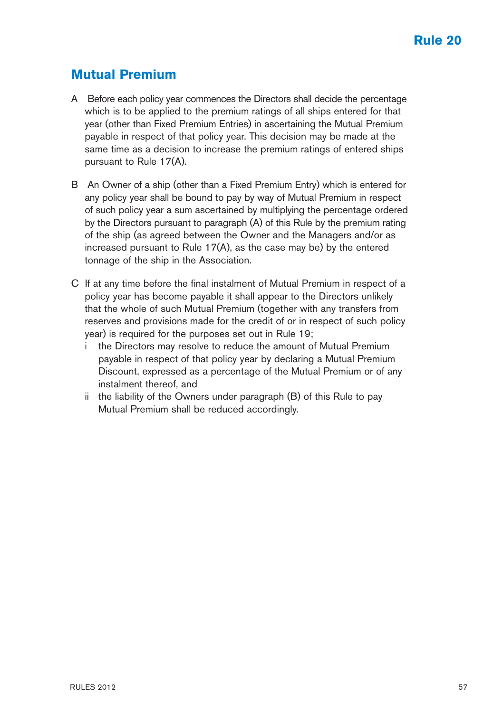### **Mutual Premium**

- A Before each policy year commences the Directors shall decide the percentage which is to be applied to the premium ratings of all ships entered for that year (other than Fixed Premium Entries) in ascertaining the Mutual Premium payable in respect of that policy year. This decision may be made at the same time as a decision to increase the premium ratings of entered ships pursuant to Rule 17(A).
- B An Owner of a ship (other than a Fixed Premium Entry) which is entered for any policy year shall be bound to pay by way of Mutual Premium in respect of such policy year a sum ascertained by multiplying the percentage ordered by the Directors pursuant to paragraph (A) of this Rule by the premium rating of the ship (as agreed between the Owner and the Managers and/or as increased pursuant to Rule 17(A), as the case may be) by the entered tonnage of the ship in the Association.
- C If at any time before the final instalment of Mutual Premium in respect of a policy year has become payable it shall appear to the Directors unlikely that the whole of such Mutual Premium (together with any transfers from reserves and provisions made for the credit of or in respect of such policy year) is required for the purposes set out in Rule 19;
	- i the Directors may resolve to reduce the amount of Mutual Premium payable in respect of that policy year by declaring a Mutual Premium Discount, expressed as a percentage of the Mutual Premium or of any instalment thereof, and
	- ii the liability of the Owners under paragraph (B) of this Rule to pay Mutual Premium shall be reduced accordingly.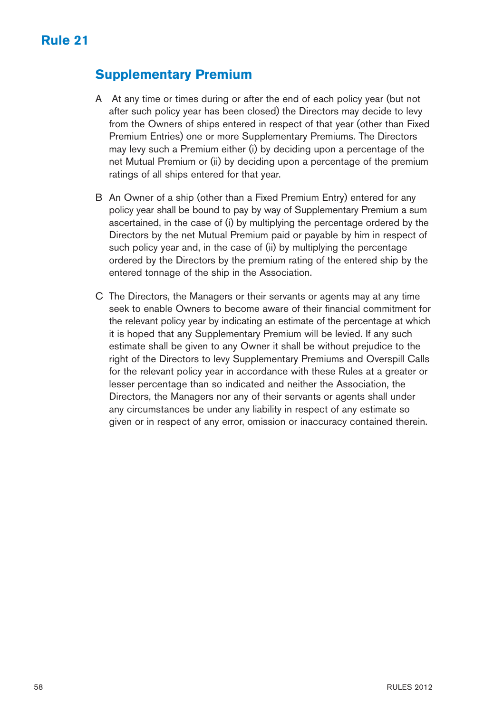### **Supplementary Premium**

- A At any time or times during or after the end of each policy year (but not after such policy year has been closed) the Directors may decide to levy from the Owners of ships entered in respect of that year (other than Fixed Premium Entries) one or more Supplementary Premiums. The Directors may levy such a Premium either (i) by deciding upon a percentage of the net Mutual Premium or (ii) by deciding upon a percentage of the premium ratings of all ships entered for that year.
- B An Owner of a ship (other than a Fixed Premium Entry) entered for any policy year shall be bound to pay by way of Supplementary Premium a sum ascertained, in the case of (i) by multiplying the percentage ordered by the Directors by the net Mutual Premium paid or payable by him in respect of such policy year and, in the case of (ii) by multiplying the percentage ordered by the Directors by the premium rating of the entered ship by the entered tonnage of the ship in the Association.
- C The Directors, the Managers or their servants or agents may at any time seek to enable Owners to become aware of their financial commitment for the relevant policy year by indicating an estimate of the percentage at which it is hoped that any Supplementary Premium will be levied. If any such estimate shall be given to any Owner it shall be without prejudice to the right of the Directors to levy Supplementary Premiums and Overspill Calls for the relevant policy year in accordance with these Rules at a greater or lesser percentage than so indicated and neither the Association, the Directors, the Managers nor any of their servants or agents shall under any circumstances be under any liability in respect of any estimate so given or in respect of any error, omission or inaccuracy contained therein.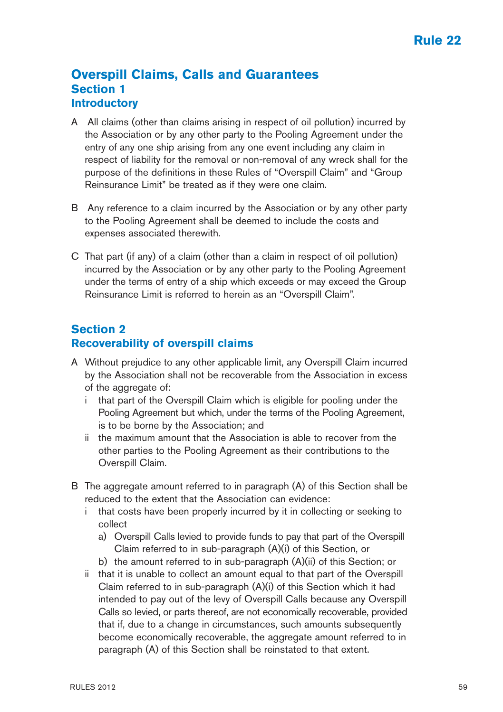#### **Overspill Claims, Calls and Guarantees Section 1 Introductory**

- entry of any one ship arising from any one event including any claim in A All claims (other than claims arising in respect of oil pollution) incurred by the Association or by any other party to the Pooling Agreement under the respect of liability for the removal or non-removal of any wreck shall for the purpose of the definitions in these Rules of "Overspill Claim" and "Group Reinsurance Limit" be treated as if they were one claim.
- B Any reference to a claim incurred by the Association or by any other party to the Pooling Agreement shall be deemed to include the costs and expenses associated therewith.
- C That part (if any) of a claim (other than a claim in respect of oil pollution) incurred by the Association or by any other party to the Pooling Agreement under the terms of entry of a ship which exceeds or may exceed the Group Reinsurance Limit is referred to herein as an "Overspill Claim".

#### **Section 2 Recoverability of overspill claims**

- A Without prejudice to any other applicable limit, any Overspill Claim incurred by the Association shall not be recoverable from the Association in excess of the aggregate of:
	- i that part of the Overspill Claim which is eligible for pooling under the Pooling Agreement but which, under the terms of the Pooling Agreement, is to be borne by the Association; and
	- ii the maximum amount that the Association is able to recover from the other parties to the Pooling Agreement as their contributions to the Overspill Claim.
- B The aggregate amount referred to in paragraph (A) of this Section shall be reduced to the extent that the Association can evidence:
	- i that costs have been properly incurred by it in collecting or seeking to collect
		- a) Overspill Calls levied to provide funds to pay that part of the Overspill Claim referred to in sub-paragraph (A)(i) of this Section, or
		- b) the amount referred to in sub-paragraph (A)(ii) of this Section; or
	- ii that it is unable to collect an amount equal to that part of the Overspill Claim referred to in sub-paragraph (A)(i) of this Section which it had intended to pay out of the levy of Overspill Calls because any Overspill Calls so levied, or parts thereof, are not economically recoverable, provided that if, due to a change in circumstances, such amounts subsequently become economically recoverable, the aggregate amount referred to in paragraph (A) of this Section shall be reinstated to that extent.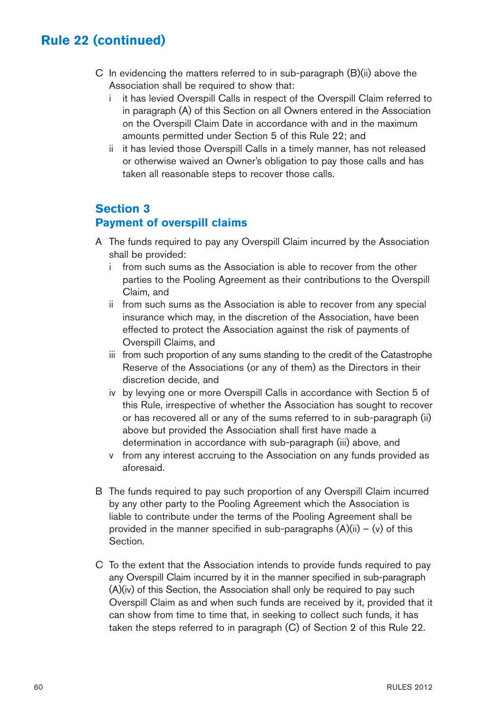- C In evidencing the matters referred to in sub-paragraph (B)(ii) above the Association shall be required to show that:
	- i it has levied Overspill Calls in respect of the Overspill Claim referred to in paragraph (A) of this Section on all Owners entered in the Association on the Overspill Claim Date in accordance with and in the maximum amounts permitted under Section 5 of this Rule 22; and
	- ii it has levied those Overspill Calls in a timely manner, has not released or otherwise waived an Owner's obligation to pay those calls and has taken all reasonable steps to recover those calls.

#### **Section 3**

#### **Payment of overspill claims**

- A The funds required to pay any Overspill Claim incurred by the Association shall be provided:
	- i from such sums as the Association is able to recover from the other parties to the Pooling Agreement as their contributions to the Overspill Claim, and
	- ii from such sums as the Association is able to recover from any special insurance which may, in the discretion of the Association, have been effected to protect the Association against the risk of payments of Overspill Claims, and
	- iii from such proportion of any sums standing to the credit of the Catastrophe Reserve of the Associations (or any of them) as the Directors in their discretion decide, and
	- iv by levying one or more Overspill Calls in accordance with Section 5 of this Rule, irrespective of whether the Association has sought to recover or has recovered all or any of the sums referred to in sub-paragraph (ii) above but provided the Association shall first have made a determination in accordance with sub-paragraph (iii) above, and
	- v from any interest accruing to the Association on any funds provided as aforesaid.
- B The funds required to pay such proportion of any Overspill Claim incurred by any other party to the Pooling Agreement which the Association is liable to contribute under the terms of the Pooling Agreement shall be provided in the manner specified in sub-paragraphs  $(A)(ii) - (v)$  of this Section.
- C To the extent that the Association intends to provide funds required to pay any Overspill Claim incurred by it in the manner specified in sub-paragraph (A)(iv) of this Section, the Association shall only be required to pay such Overspill Claim as and when such funds are received by it, provided that it can show from time to time that, in seeking to collect such funds, it has taken the steps referred to in paragraph (C) of Section 2 of this Rule 22.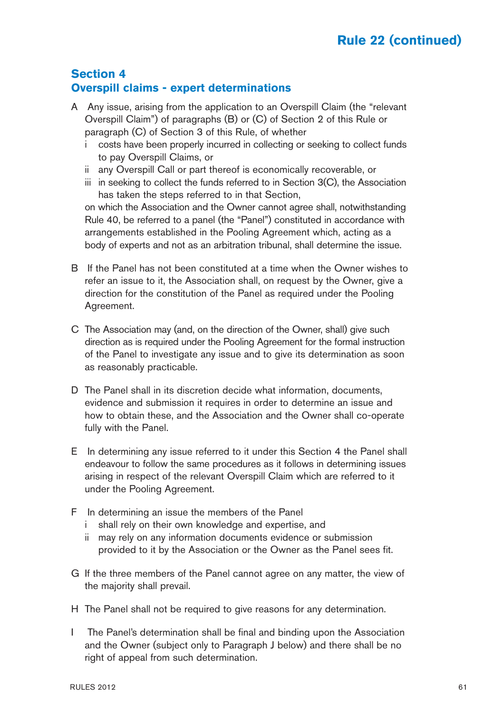#### **Section 4 Overspill claims - expert determinations**

- A Any issue, arising from the application to an Overspill Claim (the "relevant Overspill Claim") of paragraphs (B) or (C) of Section 2 of this Rule or paragraph (C) of Section 3 of this Rule, of whether
	- i costs have been properly incurred in collecting or seeking to collect funds to pay Overspill Claims, or
	- ii any Overspill Call or part thereof is economically recoverable, or
	- iii in seeking to collect the funds referred to in Section 3(C), the Association has taken the steps referred to in that Section,

on which the Association and the Owner cannot agree shall, notwithstanding Rule 40, be referred to a panel (the "Panel") constituted in accordance with arrangements established in the Pooling Agreement which, acting as a body of experts and not as an arbitration tribunal, shall determine the issue.

- B If the Panel has not been constituted at a time when the Owner wishes to refer an issue to it, the Association shall, on request by the Owner, give a direction for the constitution of the Panel as required under the Pooling Agreement.
- C The Association may (and, on the direction of the Owner, shall) give such direction as is required under the Pooling Agreement for the formal instruction of the Panel to investigate any issue and to give its determination as soon as reasonably practicable.
- D The Panel shall in its discretion decide what information, documents, evidence and submission it requires in order to determine an issue and how to obtain these, and the Association and the Owner shall co-operate fully with the Panel.
- E In determining any issue referred to it under this Section 4 the Panel shall endeavour to follow the same procedures as it follows in determining issues arising in respect of the relevant Overspill Claim which are referred to it under the Pooling Agreement.
- F In determining an issue the members of the Panel
	- i shall rely on their own knowledge and expertise, and
	- ii may rely on any information documents evidence or submission provided to it by the Association or the Owner as the Panel sees fit.
- G If the three members of the Panel cannot agree on any matter, the view of the majority shall prevail.
- H The Panel shall not be required to give reasons for any determination.
- I The Panel's determination shall be final and binding upon the Association and the Owner (subject only to Paragraph J below) and there shall be no right of appeal from such determination.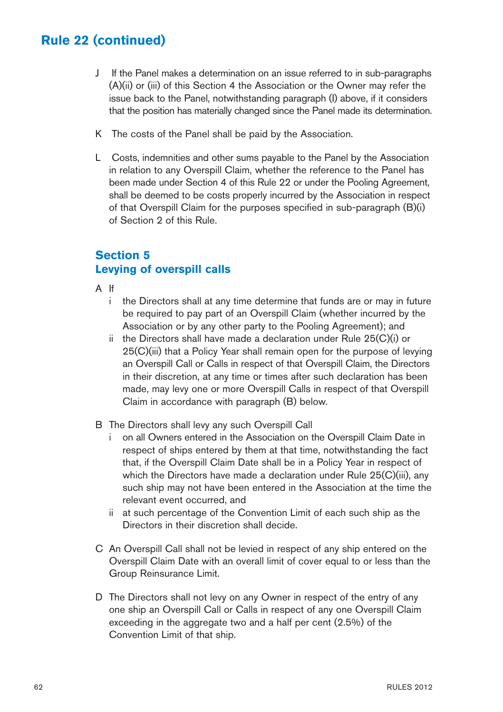- J If the Panel makes a determination on an issue referred to in sub-paragraphs (A)(ii) or (iii) of this Section 4 the Association or the Owner may refer the issue back to the Panel, notwithstanding paragraph (I) above, if it considers that the position has materially changed since the Panel made its determination.
- K The costs of the Panel shall be paid by the Association.
- L Costs, indemnities and other sums payable to the Panel by the Association in relation to any Overspill Claim, whether the reference to the Panel has been made under Section 4 of this Rule 22 or under the Pooling Agreement, shall be deemed to be costs properly incurred by the Association in respect of that Overspill Claim for the purposes specified in sub-paragraph (B)(i) of Section 2 of this Rule.

#### **Section 5 Levying of overspill calls**

- A If
	- i the Directors shall at any time determine that funds are or may in future be required to pay part of an Overspill Claim (whether incurred by the Association or by any other party to the Pooling Agreement); and
	- ii the Directors shall have made a declaration under Rule 25(C)(i) or 25(C)(iii) that a Policy Year shall remain open for the purpose of levying an Overspill Call or Calls in respect of that Overspill Claim, the Directors in their discretion, at any time or times after such declaration has been made, may levy one or more Overspill Calls in respect of that Overspill Claim in accordance with paragraph (B) below.
- B The Directors shall levy any such Overspill Call
	- i on all Owners entered in the Association on the Overspill Claim Date in respect of ships entered by them at that time, notwithstanding the fact that, if the Overspill Claim Date shall be in a Policy Year in respect of which the Directors have made a declaration under Rule 25(C)(iii), any such ship may not have been entered in the Association at the time the relevant event occurred, and
	- ii at such percentage of the Convention Limit of each such ship as the Directors in their discretion shall decide.
- C An Overspill Call shall not be levied in respect of any ship entered on the Overspill Claim Date with an overall limit of cover equal to or less than the Group Reinsurance Limit.
- D The Directors shall not levy on any Owner in respect of the entry of any one ship an Overspill Call or Calls in respect of any one Overspill Claim exceeding in the aggregate two and a half per cent (2.5%) of the Convention Limit of that ship.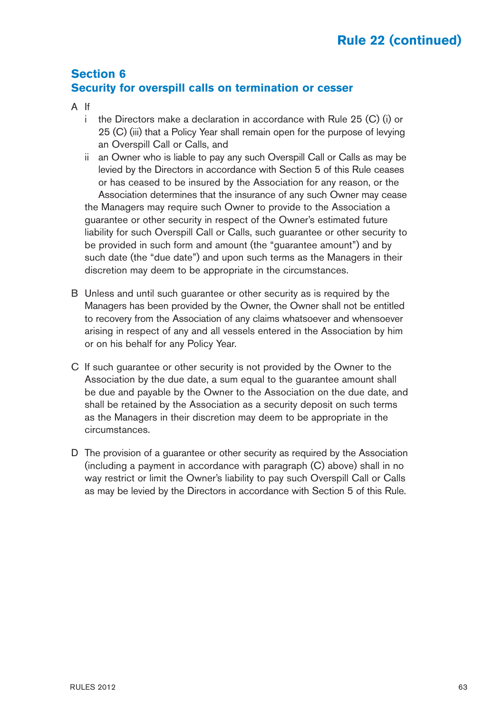#### **Section 6 Security for overspill calls on termination or cesser**

- A If
	- i the Directors make a declaration in accordance with Rule 25 (C) (i) or 25 (C) (iii) that a Policy Year shall remain open for the purpose of levying an Overspill Call or Calls, and
	- ii an Owner who is liable to pay any such Overspill Call or Calls as may be levied by the Directors in accordance with Section 5 of this Rule ceases or has ceased to be insured by the Association for any reason, or the Association determines that the insurance of any such Owner may cease the Managers may require such Owner to provide to the Association a guarantee or other security in respect of the Owner's estimated future liability for such Overspill Call or Calls, such guarantee or other security to be provided in such form and amount (the "guarantee amount") and by such date (the "due date") and upon such terms as the Managers in their discretion may deem to be appropriate in the circumstances.
- B Unless and until such guarantee or other security as is required by the Managers has been provided by the Owner, the Owner shall not be entitled to recovery from the Association of any claims whatsoever and whensoever arising in respect of any and all vessels entered in the Association by him or on his behalf for any Policy Year.
- C If such guarantee or other security is not provided by the Owner to the Association by the due date, a sum equal to the guarantee amount shall be due and payable by the Owner to the Association on the due date, and shall be retained by the Association as a security deposit on such terms as the Managers in their discretion may deem to be appropriate in the circumstances.
- D The provision of a guarantee or other security as required by the Association (including a payment in accordance with paragraph (C) above) shall in no way restrict or limit the Owner's liability to pay such Overspill Call or Calls as may be levied by the Directors in accordance with Section 5 of this Rule.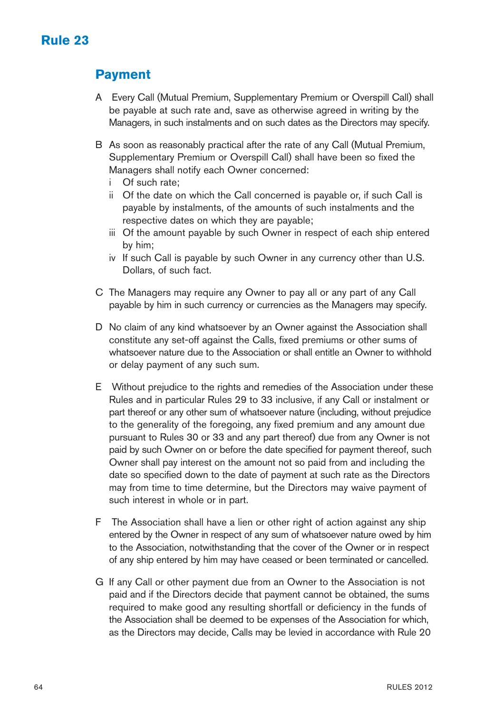### **Payment**

- A Every Call (Mutual Premium, Supplementary Premium or Overspill Call) shall be payable at such rate and, save as otherwise agreed in writing by the Managers, in such instalments and on such dates as the Directors may specify.
- B As soon as reasonably practical after the rate of any Call (Mutual Premium, Supplementary Premium or Overspill Call) shall have been so fixed the Managers shall notify each Owner concerned:
	- i Of such rate;
	- ii Of the date on which the Call concerned is payable or, if such Call is payable by instalments, of the amounts of such instalments and the respective dates on which they are payable;
	- iii Of the amount payable by such Owner in respect of each ship entered by him;
	- iv If such Call is payable by such Owner in any currency other than U.S. Dollars, of such fact.
- C The Managers may require any Owner to pay all or any part of any Call payable by him in such currency or currencies as the Managers may specify.
- D No claim of any kind whatsoever by an Owner against the Association shall constitute any set-off against the Calls, fixed premiums or other sums of whatsoever nature due to the Association or shall entitle an Owner to withhold or delay payment of any such sum.
- E Without prejudice to the rights and remedies of the Association under these Rules and in particular Rules 29 to 33 inclusive, if any Call or instalment or part thereof or any other sum of whatsoever nature (including, without prejudice to the generality of the foregoing, any fixed premium and any amount due pursuant to Rules 30 or 33 and any part thereof) due from any Owner is not paid by such Owner on or before the date specified for payment thereof, such Owner shall pay interest on the amount not so paid from and including the date so specified down to the date of payment at such rate as the Directors may from time to time determine, but the Directors may waive payment of such interest in whole or in part.
- F The Association shall have a lien or other right of action against any ship entered by the Owner in respect of any sum of whatsoever nature owed by him to the Association, notwithstanding that the cover of the Owner or in respect of any ship entered by him may have ceased or been terminated or cancelled.
- G If any Call or other payment due from an Owner to the Association is not paid and if the Directors decide that payment cannot be obtained, the sums required to make good any resulting shortfall or deficiency in the funds of the Association shall be deemed to be expenses of the Association for which, as the Directors may decide, Calls may be levied in accordance with Rule 20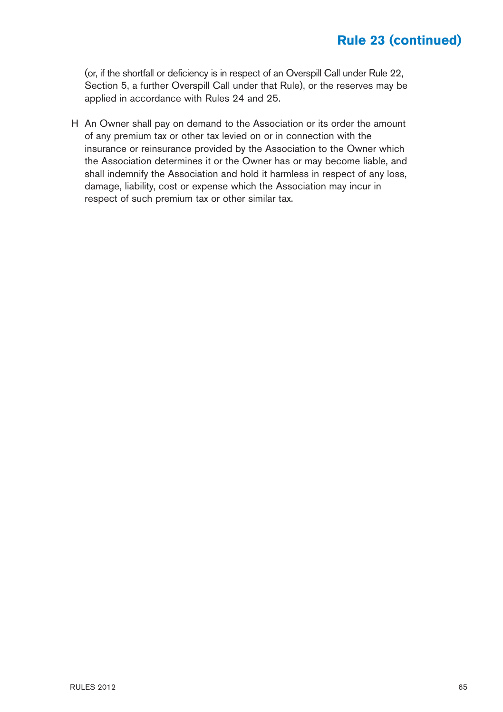(or, if the shortfall or deficiency is in respect of an Overspill Call under Rule 22, Section 5, a further Overspill Call under that Rule), or the reserves may be applied in accordance with Rules 24 and 25.

H An Owner shall pay on demand to the Association or its order the amount of any premium tax or other tax levied on or in connection with the insurance or reinsurance provided by the Association to the Owner which the Association determines it or the Owner has or may become liable, and shall indemnify the Association and hold it harmless in respect of any loss, damage, liability, cost or expense which the Association may incur in respect of such premium tax or other similar tax.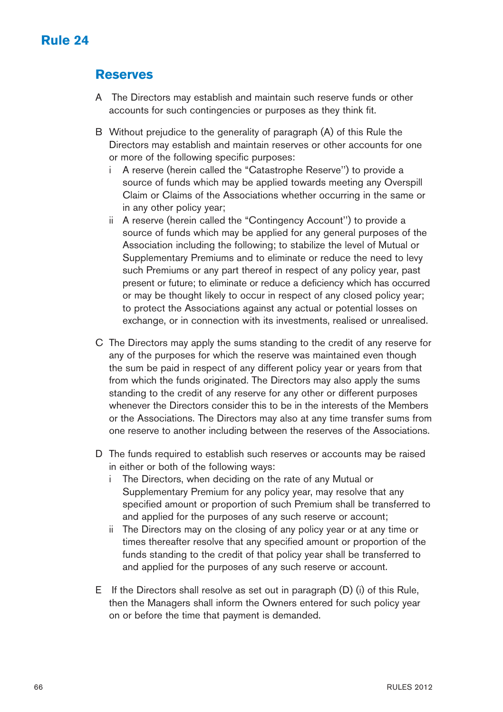# **Rule 24**

#### **Reserves**

- A The Directors may establish and maintain such reserve funds or other accounts for such contingencies or purposes as they think fit.
- B Without prejudice to the generality of paragraph (A) of this Rule the Directors may establish and maintain reserves or other accounts for one or more of the following specific purposes:
	- i A reserve (herein called the "Catastrophe Reserve'') to provide a source of funds which may be applied towards meeting any Overspill Claim or Claims of the Associations whether occurring in the same or in any other policy year;
	- ii A reserve (herein called the "Contingency Account'') to provide a source of funds which may be applied for any general purposes of the Association including the following; to stabilize the level of Mutual or Supplementary Premiums and to eliminate or reduce the need to levy such Premiums or any part thereof in respect of any policy year, past present or future; to eliminate or reduce a deficiency which has occurred or may be thought likely to occur in respect of any closed policy year; to protect the Associations against any actual or potential losses on exchange, or in connection with its investments, realised or unrealised.
- C The Directors may apply the sums standing to the credit of any reserve for any of the purposes for which the reserve was maintained even though the sum be paid in respect of any different policy year or years from that from which the funds originated. The Directors may also apply the sums standing to the credit of any reserve for any other or different purposes whenever the Directors consider this to be in the interests of the Members or the Associations. The Directors may also at any time transfer sums from one reserve to another including between the reserves of the Associations.
- D The funds required to establish such reserves or accounts may be raised in either or both of the following ways:
	- i The Directors, when deciding on the rate of any Mutual or Supplementary Premium for any policy year, may resolve that any specified amount or proportion of such Premium shall be transferred to and applied for the purposes of any such reserve or account;
	- ii The Directors may on the closing of any policy year or at any time or times thereafter resolve that any specified amount or proportion of the funds standing to the credit of that policy year shall be transferred to and applied for the purposes of any such reserve or account.
- E If the Directors shall resolve as set out in paragraph (D) (i) of this Rule, then the Managers shall inform the Owners entered for such policy year on or before the time that payment is demanded.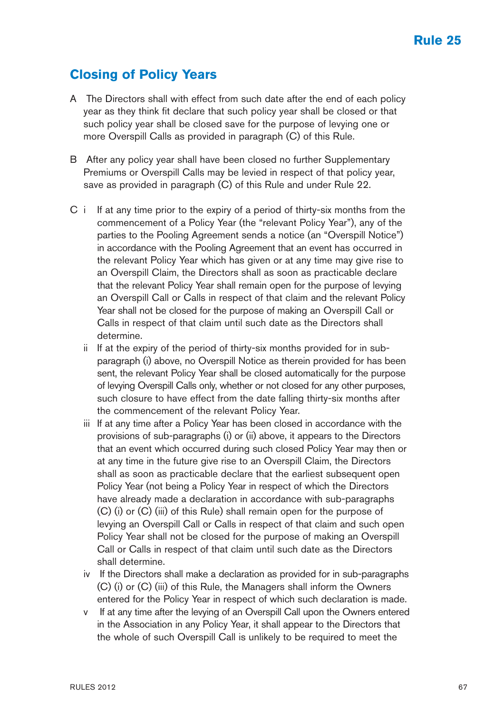## **Closing of Policy Years**

- A The Directors shall with effect from such date after the end of each policy year as they think fit declare that such policy year shall be closed or that such policy year shall be closed save for the purpose of levying one or more Overspill Calls as provided in paragraph (C) of this Rule.
- B After any policy year shall have been closed no further Supplementary Premiums or Overspill Calls may be levied in respect of that policy year, save as provided in paragraph (C) of this Rule and under Rule 22.
- C i If at any time prior to the expiry of a period of thirty-six months from the commencement of a Policy Year (the "relevant Policy Year"), any of the parties to the Pooling Agreement sends a notice (an "Overspill Notice") in accordance with the Pooling Agreement that an event has occurred in the relevant Policy Year which has given or at any time may give rise to an Overspill Claim, the Directors shall as soon as practicable declare that the relevant Policy Year shall remain open for the purpose of levying an Overspill Call or Calls in respect of that claim and the relevant Policy Year shall not be closed for the purpose of making an Overspill Call or Calls in respect of that claim until such date as the Directors shall determine.
	- ii If at the expiry of the period of thirty-six months provided for in subparagraph (i) above, no Overspill Notice as therein provided for has been sent, the relevant Policy Year shall be closed automatically for the purpose of levying Overspill Calls only, whether or not closed for any other purposes, such closure to have effect from the date falling thirty-six months after the commencement of the relevant Policy Year.
	- iii If at any time after a Policy Year has been closed in accordance with the provisions of sub-paragraphs (i) or (ii) above, it appears to the Directors that an event which occurred during such closed Policy Year may then or at any time in the future give rise to an Overspill Claim, the Directors shall as soon as practicable declare that the earliest subsequent open Policy Year (not being a Policy Year in respect of which the Directors have already made a declaration in accordance with sub-paragraphs (C) (i) or (C) (iii) of this Rule) shall remain open for the purpose of levying an Overspill Call or Calls in respect of that claim and such open Policy Year shall not be closed for the purpose of making an Overspill Call or Calls in respect of that claim until such date as the Directors shall determine.
	- iv If the Directors shall make a declaration as provided for in sub-paragraphs (C) (i) or (C) (iii) of this Rule, the Managers shall inform the Owners entered for the Policy Year in respect of which such declaration is made.
	- v If at any time after the levying of an Overspill Call upon the Owners entered in the Association in any Policy Year, it shall appear to the Directors that the whole of such Overspill Call is unlikely to be required to meet the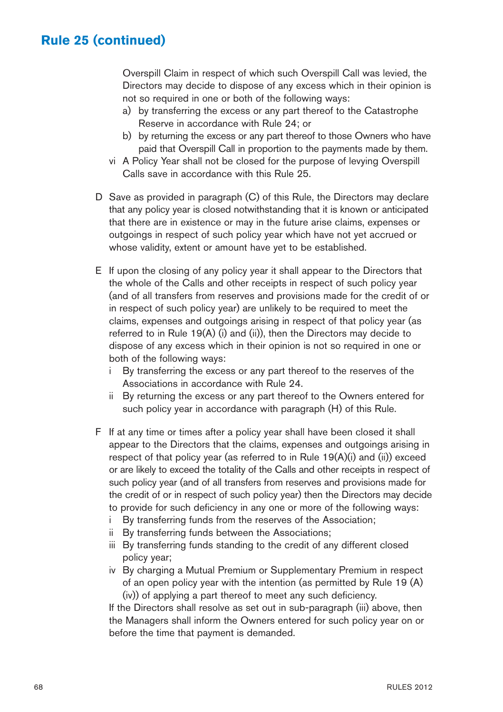Overspill Claim in respect of which such Overspill Call was levied, the Directors may decide to dispose of any excess which in their opinion is not so required in one or both of the following ways:

- a) by transferring the excess or any part thereof to the Catastrophe Reserve in accordance with Rule 24; or
- b) by returning the excess or any part thereof to those Owners who have paid that Overspill Call in proportion to the payments made by them.
- vi A Policy Year shall not be closed for the purpose of levying Overspill Calls save in accordance with this Rule 25.
- D Save as provided in paragraph (C) of this Rule, the Directors may declare that any policy year is closed notwithstanding that it is known or anticipated that there are in existence or may in the future arise claims, expenses or outgoings in respect of such policy year which have not yet accrued or whose validity, extent or amount have yet to be established.
- E If upon the closing of any policy year it shall appear to the Directors that the whole of the Calls and other receipts in respect of such policy year (and of all transfers from reserves and provisions made for the credit of or in respect of such policy year) are unlikely to be required to meet the claims, expenses and outgoings arising in respect of that policy year (as referred to in Rule 19(A) (i) and (ii)), then the Directors may decide to dispose of any excess which in their opinion is not so required in one or both of the following ways:
	- i By transferring the excess or any part thereof to the reserves of the Associations in accordance with Rule 24.
	- ii By returning the excess or any part thereof to the Owners entered for such policy year in accordance with paragraph (H) of this Rule.
- F If at any time or times after a policy year shall have been closed it shall appear to the Directors that the claims, expenses and outgoings arising in respect of that policy year (as referred to in Rule 19(A)(i) and (ii)) exceed or are likely to exceed the totality of the Calls and other receipts in respect of such policy year (and of all transfers from reserves and provisions made for the credit of or in respect of such policy year) then the Directors may decide to provide for such deficiency in any one or more of the following ways:
	- i By transferring funds from the reserves of the Association;
	- ii By transferring funds between the Associations;
	- iii By transferring funds standing to the credit of any different closed policy year;
	- iv By charging a Mutual Premium or Supplementary Premium in respect of an open policy year with the intention (as permitted by Rule 19 (A) (iv)) of applying a part thereof to meet any such deficiency.

If the Directors shall resolve as set out in sub-paragraph (iii) above, then the Managers shall inform the Owners entered for such policy year on or before the time that payment is demanded.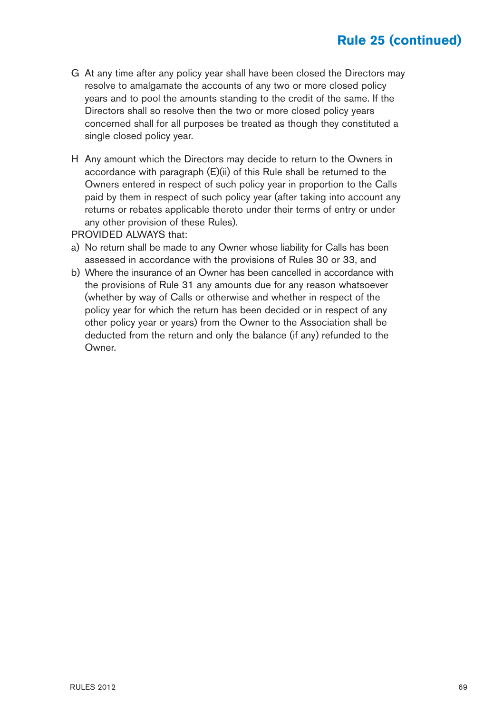- G At any time after any policy year shall have been closed the Directors may resolve to amalgamate the accounts of any two or more closed policy years and to pool the amounts standing to the credit of the same. If the Directors shall so resolve then the two or more closed policy years concerned shall for all purposes be treated as though they constituted a single closed policy year.
- H Any amount which the Directors may decide to return to the Owners in accordance with paragraph (E)(ii) of this Rule shall be returned to the Owners entered in respect of such policy year in proportion to the Calls paid by them in respect of such policy year (after taking into account any returns or rebates applicable thereto under their terms of entry or under any other provision of these Rules).
- PROVIDED ALWAYS that:
- a) No return shall be made to any Owner whose liability for Calls has been assessed in accordance with the provisions of Rules 30 or 33, and
- b) Where the insurance of an Owner has been cancelled in accordance with the provisions of Rule 31 any amounts due for any reason whatsoever (whether by way of Calls or otherwise and whether in respect of the policy year for which the return has been decided or in respect of any other policy year or years) from the Owner to the Association shall be deducted from the return and only the balance (if any) refunded to the Owner.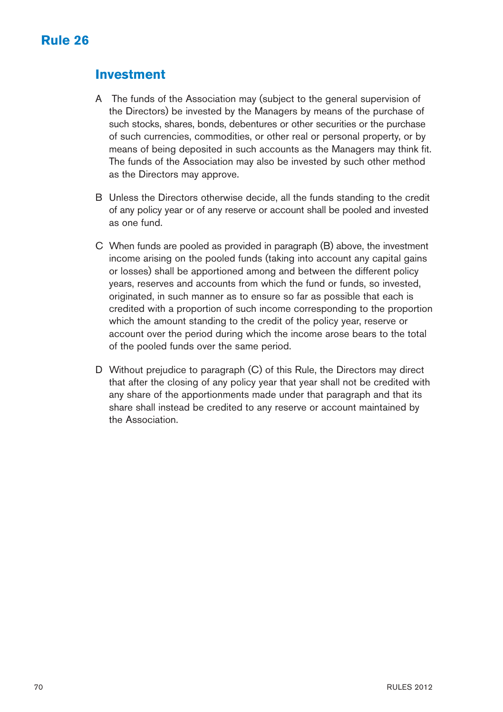### **Investment**

- A The funds of the Association may (subject to the general supervision of the Directors) be invested by the Managers by means of the purchase of such stocks, shares, bonds, debentures or other securities or the purchase of such currencies, commodities, or other real or personal property, or by means of being deposited in such accounts as the Managers may think fit. The funds of the Association may also be invested by such other method as the Directors may approve.
- B Unless the Directors otherwise decide, all the funds standing to the credit of any policy year or of any reserve or account shall be pooled and invested as one fund.
- C When funds are pooled as provided in paragraph (B) above, the investment income arising on the pooled funds (taking into account any capital gains or losses) shall be apportioned among and between the different policy years, reserves and accounts from which the fund or funds, so invested, originated, in such manner as to ensure so far as possible that each is credited with a proportion of such income corresponding to the proportion which the amount standing to the credit of the policy year, reserve or account over the period during which the income arose bears to the total of the pooled funds over the same period.
- D Without prejudice to paragraph (C) of this Rule, the Directors may direct that after the closing of any policy year that year shall not be credited with any share of the apportionments made under that paragraph and that its share shall instead be credited to any reserve or account maintained by the Association.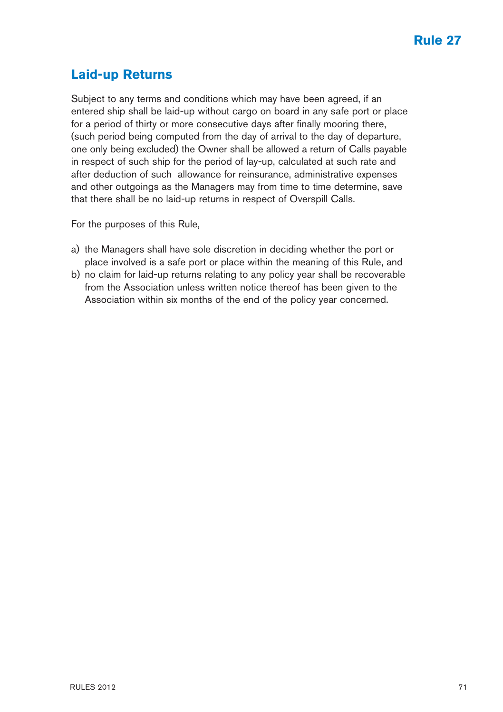## **Laid-up Returns**

Subject to any terms and conditions which may have been agreed, if an entered ship shall be laid-up without cargo on board in any safe port or place for a period of thirty or more consecutive days after finally mooring there, (such period being computed from the day of arrival to the day of departure, one only being excluded) the Owner shall be allowed a return of Calls payable in respect of such ship for the period of lay-up, calculated at such rate and after deduction of such allowance for reinsurance, administrative expenses and other outgoings as the Managers may from time to time determine, save that there shall be no laid-up returns in respect of Overspill Calls.

For the purposes of this Rule,

- a) the Managers shall have sole discretion in deciding whether the port or place involved is a safe port or place within the meaning of this Rule, and
- b) no claim for laid-up returns relating to any policy year shall be recoverable from the Association unless written notice thereof has been given to the Association within six months of the end of the policy year concerned.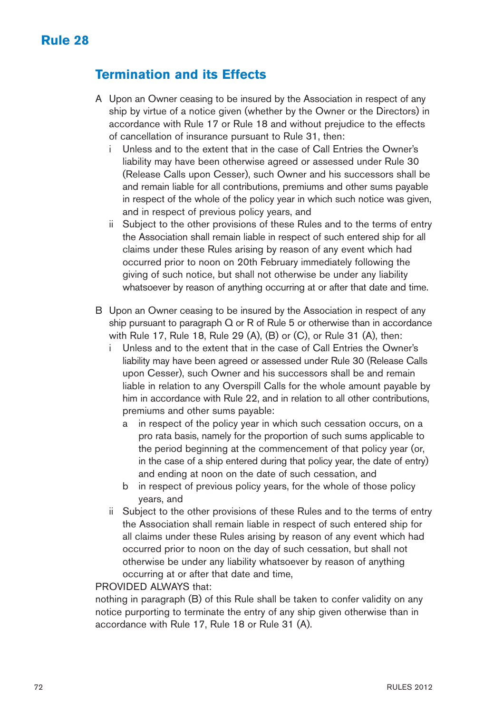### **Termination and its Effects**

- A Upon an Owner ceasing to be insured by the Association in respect of any ship by virtue of a notice given (whether by the Owner or the Directors) in accordance with Rule 17 or Rule 18 and without prejudice to the effects of cancellation of insurance pursuant to Rule 31, then:
	- Unless and to the extent that in the case of Call Entries the Owner's liability may have been otherwise agreed or assessed under Rule 30 (Release Calls upon Cesser), such Owner and his successors shall be and remain liable for all contributions, premiums and other sums payable in respect of the whole of the policy year in which such notice was given, and in respect of previous policy years, and
	- ii Subject to the other provisions of these Rules and to the terms of entry the Association shall remain liable in respect of such entered ship for all claims under these Rules arising by reason of any event which had occurred prior to noon on 20th February immediately following the giving of such notice, but shall not otherwise be under any liability whatsoever by reason of anything occurring at or after that date and time.
- B Upon an Owner ceasing to be insured by the Association in respect of any ship pursuant to paragraph Q or R of Rule 5 or otherwise than in accordance with Rule 17, Rule 18, Rule 29 (A), (B) or (C), or Rule 31 (A), then:
	- i Unless and to the extent that in the case of Call Entries the Owner's liability may have been agreed or assessed under Rule 30 (Release Calls upon Cesser), such Owner and his successors shall be and remain liable in relation to any Overspill Calls for the whole amount payable by him in accordance with Rule 22, and in relation to all other contributions, premiums and other sums payable:
		- a in respect of the policy year in which such cessation occurs, on a pro rata basis, namely for the proportion of such sums applicable to the period beginning at the commencement of that policy year (or, in the case of a ship entered during that policy year, the date of entry) and ending at noon on the date of such cessation, and
		- b in respect of previous policy years, for the whole of those policy years, and
	- ii Subject to the other provisions of these Rules and to the terms of entry the Association shall remain liable in respect of such entered ship for all claims under these Rules arising by reason of any event which had occurred prior to noon on the day of such cessation, but shall not otherwise be under any liability whatsoever by reason of anything occurring at or after that date and time,

PROVIDED ALWAYS that:

nothing in paragraph (B) of this Rule shall be taken to confer validity on any notice purporting to terminate the entry of any ship given otherwise than in accordance with Rule 17, Rule 18 or Rule 31 (A).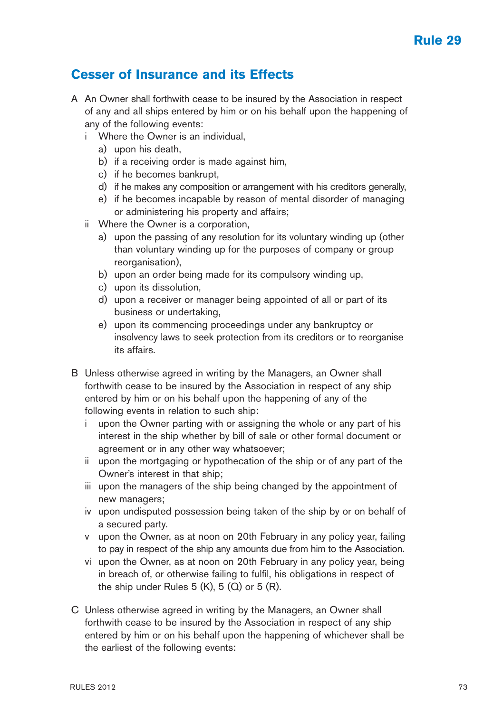#### **Cesser of Insurance and its Effects**

- A An Owner shall forthwith cease to be insured by the Association in respect of any and all ships entered by him or on his behalf upon the happening of any of the following events:
	- i Where the Owner is an individual,
		- a) upon his death,
		- b) if a receiving order is made against him,
		- c) if he becomes bankrupt,
		- d) if he makes any composition or arrangement with his creditors generally,
		- e) if he becomes incapable by reason of mental disorder of managing or administering his property and affairs;
	- ii Where the Owner is a corporation,
		- a) upon the passing of any resolution for its voluntary winding up (other than voluntary winding up for the purposes of company or group reorganisation),
		- b) upon an order being made for its compulsory winding up,
		- c) upon its dissolution,
		- d) upon a receiver or manager being appointed of all or part of its business or undertaking,
		- e) upon its commencing proceedings under any bankruptcy or insolvency laws to seek protection from its creditors or to reorganise its affairs.
- B Unless otherwise agreed in writing by the Managers, an Owner shall forthwith cease to be insured by the Association in respect of any ship entered by him or on his behalf upon the happening of any of the following events in relation to such ship:
	- i upon the Owner parting with or assigning the whole or any part of his interest in the ship whether by bill of sale or other formal document or agreement or in any other way whatsoever;
	- ii upon the mortgaging or hypothecation of the ship or of any part of the Owner's interest in that ship;
	- iii upon the managers of the ship being changed by the appointment of new managers;
	- iv upon undisputed possession being taken of the ship by or on behalf of a secured party.
	- v upon the Owner, as at noon on 20th February in any policy year, failing to pay in respect of the ship any amounts due from him to the Association.
	- vi upon the Owner, as at noon on 20th February in any policy year, being in breach of, or otherwise failing to fulfil, his obligations in respect of the ship under Rules  $5$  (K),  $5$  (Q) or  $5$  (R).
- C Unless otherwise agreed in writing by the Managers, an Owner shall forthwith cease to be insured by the Association in respect of any ship entered by him or on his behalf upon the happening of whichever shall be the earliest of the following events: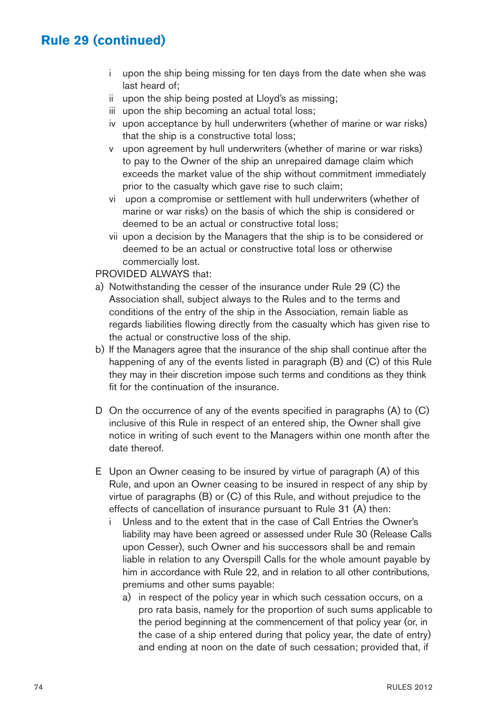### **Rule 29 (continued)**

- i upon the ship being missing for ten days from the date when she was last heard of;
- ii upon the ship being posted at Lloyd's as missing;
- iii upon the ship becoming an actual total loss:
- iv upon acceptance by hull underwriters (whether of marine or war risks) that the ship is a constructive total loss;
- v upon agreement by hull underwriters (whether of marine or war risks) to pay to the Owner of the ship an unrepaired damage claim which exceeds the market value of the ship without commitment immediately prior to the casualty which gave rise to such claim;
- vi upon a compromise or settlement with hull underwriters (whether of marine or war risks) on the basis of which the ship is considered or deemed to be an actual or constructive total loss;
- vii upon a decision by the Managers that the ship is to be considered or deemed to be an actual or constructive total loss or otherwise commercially lost.

#### PROVIDED ALWAYS that:

- a) Notwithstanding the cesser of the insurance under Rule 29 (C) the Association shall, subject always to the Rules and to the terms and conditions of the entry of the ship in the Association, remain liable as regards liabilities flowing directly from the casualty which has given rise to the actual or constructive loss of the ship.
- b) If the Managers agree that the insurance of the ship shall continue after the happening of any of the events listed in paragraph (B) and (C) of this Rule they may in their discretion impose such terms and conditions as they think fit for the continuation of the insurance.
- D On the occurrence of any of the events specified in paragraphs (A) to (C) inclusive of this Rule in respect of an entered ship, the Owner shall give notice in writing of such event to the Managers within one month after the date thereof.
- E Upon an Owner ceasing to be insured by virtue of paragraph (A) of this Rule, and upon an Owner ceasing to be insured in respect of any ship by virtue of paragraphs (B) or (C) of this Rule, and without prejudice to the effects of cancellation of insurance pursuant to Rule 31 (A) then:
	- i Unless and to the extent that in the case of Call Entries the Owner's liability may have been agreed or assessed under Rule 30 (Release Calls upon Cesser), such Owner and his successors shall be and remain liable in relation to any Overspill Calls for the whole amount payable by him in accordance with Rule 22, and in relation to all other contributions, premiums and other sums payable:
		- a) in respect of the policy year in which such cessation occurs, on a pro rata basis, namely for the proportion of such sums applicable to the period beginning at the commencement of that policy year (or, in the case of a ship entered during that policy year, the date of entry) and ending at noon on the date of such cessation; provided that, if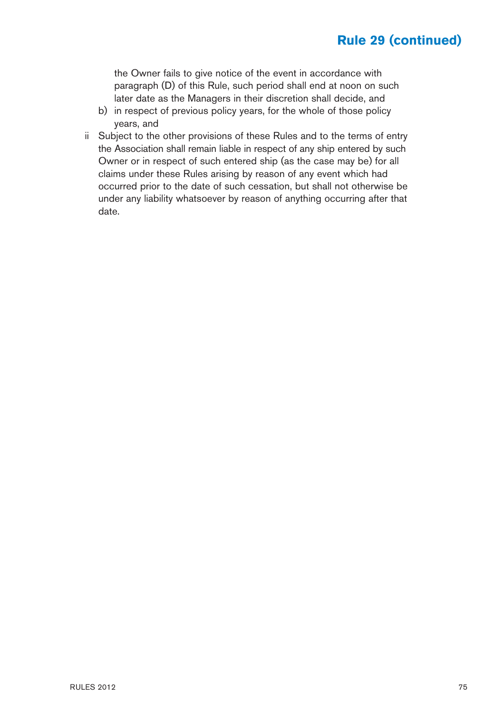### **Rule 29 (continued)**

the Owner fails to give notice of the event in accordance with paragraph (D) of this Rule, such period shall end at noon on such later date as the Managers in their discretion shall decide, and

- b) in respect of previous policy years, for the whole of those policy years, and
- ii Subject to the other provisions of these Rules and to the terms of entry the Association shall remain liable in respect of any ship entered by such Owner or in respect of such entered ship (as the case may be) for all claims under these Rules arising by reason of any event which had occurred prior to the date of such cessation, but shall not otherwise be under any liability whatsoever by reason of anything occurring after that date.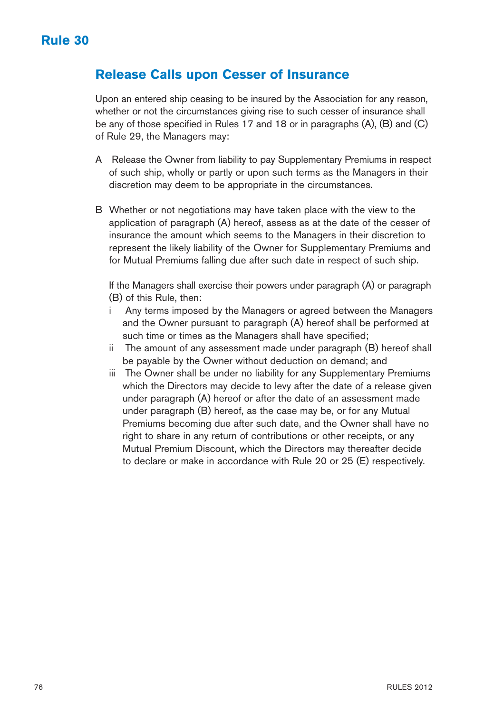#### **Release Calls upon Cesser of Insurance**

Upon an entered ship ceasing to be insured by the Association for any reason, whether or not the circumstances giving rise to such cesser of insurance shall be any of those specified in Rules 17 and 18 or in paragraphs (A), (B) and (C) of Rule 29, the Managers may:

- A Release the Owner from liability to pay Supplementary Premiums in respect of such ship, wholly or partly or upon such terms as the Managers in their discretion may deem to be appropriate in the circumstances.
- B Whether or not negotiations may have taken place with the view to the application of paragraph (A) hereof, assess as at the date of the cesser of insurance the amount which seems to the Managers in their discretion to represent the likely liability of the Owner for Supplementary Premiums and for Mutual Premiums falling due after such date in respect of such ship.

If the Managers shall exercise their powers under paragraph (A) or paragraph (B) of this Rule, then:

- i Any terms imposed by the Managers or agreed between the Managers and the Owner pursuant to paragraph (A) hereof shall be performed at such time or times as the Managers shall have specified;
- ii The amount of any assessment made under paragraph (B) hereof shall be payable by the Owner without deduction on demand; and
- iii The Owner shall be under no liability for any Supplementary Premiums which the Directors may decide to levy after the date of a release given under paragraph (A) hereof or after the date of an assessment made under paragraph (B) hereof, as the case may be, or for any Mutual Premiums becoming due after such date, and the Owner shall have no right to share in any return of contributions or other receipts, or any Mutual Premium Discount, which the Directors may thereafter decide to declare or make in accordance with Rule 20 or 25 (E) respectively.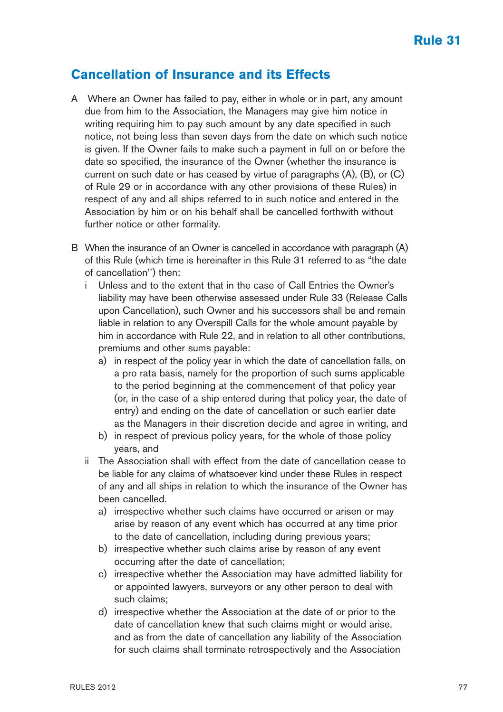#### **Cancellation of Insurance and its Effects**

- A Where an Owner has failed to pay, either in whole or in part, any amount due from him to the Association, the Managers may give him notice in writing requiring him to pay such amount by any date specified in such notice, not being less than seven days from the date on which such notice is given. If the Owner fails to make such a payment in full on or before the date so specified, the insurance of the Owner (whether the insurance is current on such date or has ceased by virtue of paragraphs (A), (B), or (C) of Rule 29 or in accordance with any other provisions of these Rules) in respect of any and all ships referred to in such notice and entered in the Association by him or on his behalf shall be cancelled forthwith without further notice or other formality.
- B When the insurance of an Owner is cancelled in accordance with paragraph (A) of this Rule (which time is hereinafter in this Rule 31 referred to as "the date of cancellation'') then:
	- Unless and to the extent that in the case of Call Entries the Owner's liability may have been otherwise assessed under Rule 33 (Release Calls upon Cancellation), such Owner and his successors shall be and remain liable in relation to any Overspill Calls for the whole amount payable by him in accordance with Rule 22, and in relation to all other contributions, premiums and other sums payable:
		- a) in respect of the policy year in which the date of cancellation falls, on a pro rata basis, namely for the proportion of such sums applicable to the period beginning at the commencement of that policy year (or, in the case of a ship entered during that policy year, the date of entry) and ending on the date of cancellation or such earlier date as the Managers in their discretion decide and agree in writing, and
		- b) in respect of previous policy years, for the whole of those policy years, and
	- ii The Association shall with effect from the date of cancellation cease to be liable for any claims of whatsoever kind under these Rules in respect of any and all ships in relation to which the insurance of the Owner has been cancelled.
		- a) irrespective whether such claims have occurred or arisen or may arise by reason of any event which has occurred at any time prior to the date of cancellation, including during previous years;
		- b) irrespective whether such claims arise by reason of any event occurring after the date of cancellation;
		- c) irrespective whether the Association may have admitted liability for or appointed lawyers, surveyors or any other person to deal with such claims;
		- d) irrespective whether the Association at the date of or prior to the date of cancellation knew that such claims might or would arise, and as from the date of cancellation any liability of the Association for such claims shall terminate retrospectively and the Association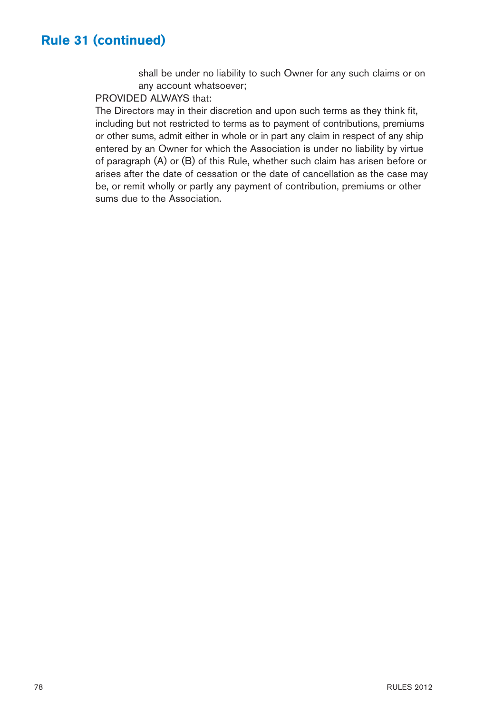### **Rule 31 (continued)**

shall be under no liability to such Owner for any such claims or on any account whatsoever;

#### PROVIDED ALWAYS that:

The Directors may in their discretion and upon such terms as they think fit, including but not restricted to terms as to payment of contributions, premiums or other sums, admit either in whole or in part any claim in respect of any ship entered by an Owner for which the Association is under no liability by virtue of paragraph (A) or (B) of this Rule, whether such claim has arisen before or arises after the date of cessation or the date of cancellation as the case may be, or remit wholly or partly any payment of contribution, premiums or other sums due to the Association.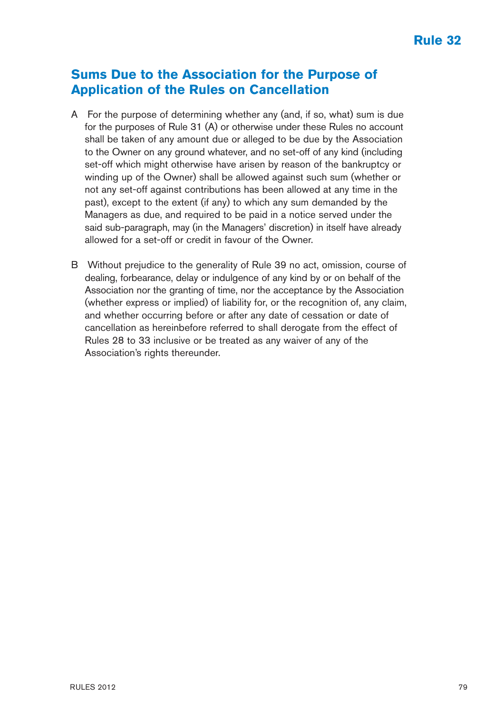#### **Sums Due to the Association for the Purpose of Application of the Rules on Cancellation**

- A For the purpose of determining whether any (and, if so, what) sum is due for the purposes of Rule 31 (A) or otherwise under these Rules no account shall be taken of any amount due or alleged to be due by the Association to the Owner on any ground whatever, and no set-off of any kind (including set-off which might otherwise have arisen by reason of the bankruptcy or winding up of the Owner) shall be allowed against such sum (whether or not any set-off against contributions has been allowed at any time in the past), except to the extent (if any) to which any sum demanded by the Managers as due, and required to be paid in a notice served under the said sub-paragraph, may (in the Managers' discretion) in itself have already allowed for a set-off or credit in favour of the Owner.
- B Without prejudice to the generality of Rule 39 no act, omission, course of dealing, forbearance, delay or indulgence of any kind by or on behalf of the Association nor the granting of time, nor the acceptance by the Association (whether express or implied) of liability for, or the recognition of, any claim, and whether occurring before or after any date of cessation or date of cancellation as hereinbefore referred to shall derogate from the effect of Rules 28 to 33 inclusive or be treated as any waiver of any of the Association's rights thereunder.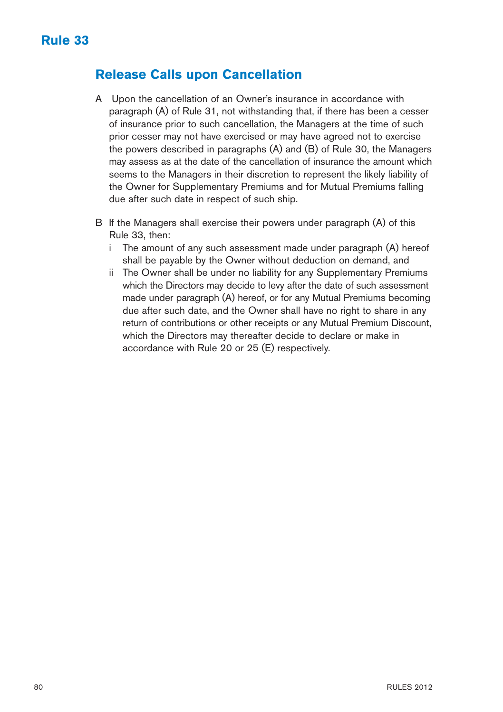#### **Release Calls upon Cancellation**

- A Upon the cancellation of an Owner's insurance in accordance with paragraph (A) of Rule 31, not withstanding that, if there has been a cesser of insurance prior to such cancellation, the Managers at the time of such prior cesser may not have exercised or may have agreed not to exercise the powers described in paragraphs (A) and (B) of Rule 30, the Managers may assess as at the date of the cancellation of insurance the amount which seems to the Managers in their discretion to represent the likely liability of the Owner for Supplementary Premiums and for Mutual Premiums falling due after such date in respect of such ship.
- B If the Managers shall exercise their powers under paragraph (A) of this Rule 33, then:
	- i The amount of any such assessment made under paragraph (A) hereof shall be payable by the Owner without deduction on demand, and
	- ii The Owner shall be under no liability for any Supplementary Premiums which the Directors may decide to levy after the date of such assessment made under paragraph (A) hereof, or for any Mutual Premiums becoming due after such date, and the Owner shall have no right to share in any return of contributions or other receipts or any Mutual Premium Discount, which the Directors may thereafter decide to declare or make in accordance with Rule 20 or 25 (E) respectively.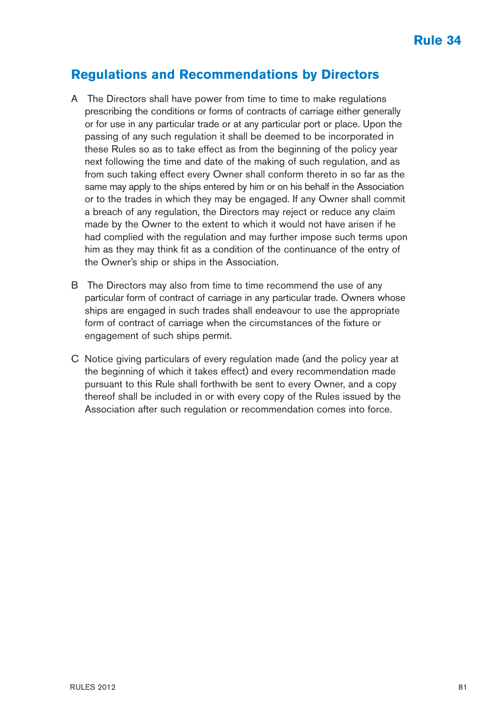#### **Regulations and Recommendations by Directors**

- A The Directors shall have power from time to time to make regulations prescribing the conditions or forms of contracts of carriage either generally or for use in any particular trade or at any particular port or place. Upon the passing of any such regulation it shall be deemed to be incorporated in these Rules so as to take effect as from the beginning of the policy year next following the time and date of the making of such regulation, and as from such taking effect every Owner shall conform thereto in so far as the same may apply to the ships entered by him or on his behalf in the Association or to the trades in which they may be engaged. If any Owner shall commit a breach of any regulation, the Directors may reject or reduce any claim made by the Owner to the extent to which it would not have arisen if he had complied with the regulation and may further impose such terms upon him as they may think fit as a condition of the continuance of the entry of the Owner's ship or ships in the Association.
- B The Directors may also from time to time recommend the use of any particular form of contract of carriage in any particular trade. Owners whose ships are engaged in such trades shall endeavour to use the appropriate form of contract of carriage when the circumstances of the fixture or engagement of such ships permit.
- C Notice giving particulars of every regulation made (and the policy year at the beginning of which it takes effect) and every recommendation made pursuant to this Rule shall forthwith be sent to every Owner, and a copy thereof shall be included in or with every copy of the Rules issued by the Association after such regulation or recommendation comes into force.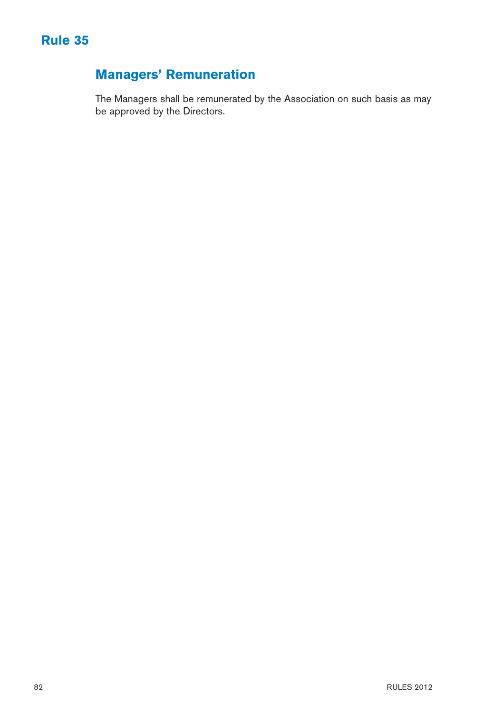

### **Managers' Remuneration**

The Managers shall be remunerated by the Association on such basis as may be approved by the Directors.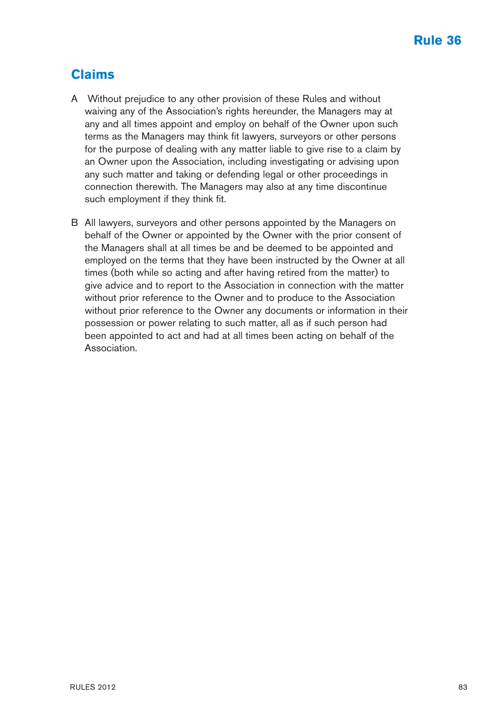### **Claims**

- A Without prejudice to any other provision of these Rules and without waiving any of the Association's rights hereunder, the Managers may at any and all times appoint and employ on behalf of the Owner upon such terms as the Managers may think fit lawyers, surveyors or other persons for the purpose of dealing with any matter liable to give rise to a claim by an Owner upon the Association, including investigating or advising upon any such matter and taking or defending legal or other proceedings in connection therewith. The Managers may also at any time discontinue such employment if they think fit.
- B All lawyers, surveyors and other persons appointed by the Managers on behalf of the Owner or appointed by the Owner with the prior consent of the Managers shall at all times be and be deemed to be appointed and employed on the terms that they have been instructed by the Owner at all times (both while so acting and after having retired from the matter) to give advice and to report to the Association in connection with the matter without prior reference to the Owner and to produce to the Association without prior reference to the Owner any documents or information in their possession or power relating to such matter, all as if such person had been appointed to act and had at all times been acting on behalf of the Association.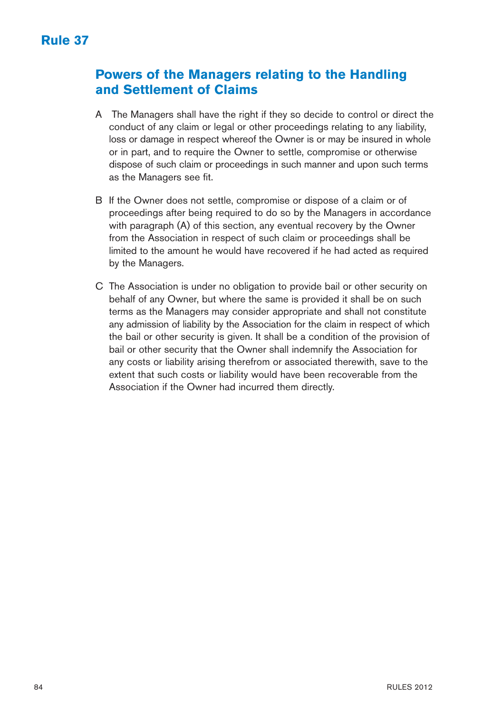#### **Powers of the Managers relating to the Handling and Settlement of Claims**

- A The Managers shall have the right if they so decide to control or direct the conduct of any claim or legal or other proceedings relating to any liability, loss or damage in respect whereof the Owner is or may be insured in whole or in part, and to require the Owner to settle, compromise or otherwise dispose of such claim or proceedings in such manner and upon such terms as the Managers see fit.
- B If the Owner does not settle, compromise or dispose of a claim or of proceedings after being required to do so by the Managers in accordance with paragraph (A) of this section, any eventual recovery by the Owner from the Association in respect of such claim or proceedings shall be limited to the amount he would have recovered if he had acted as required by the Managers.
- C The Association is under no obligation to provide bail or other security on behalf of any Owner, but where the same is provided it shall be on such terms as the Managers may consider appropriate and shall not constitute any admission of liability by the Association for the claim in respect of which the bail or other security is given. It shall be a condition of the provision of bail or other security that the Owner shall indemnify the Association for any costs or liability arising therefrom or associated therewith, save to the extent that such costs or liability would have been recoverable from the Association if the Owner had incurred them directly.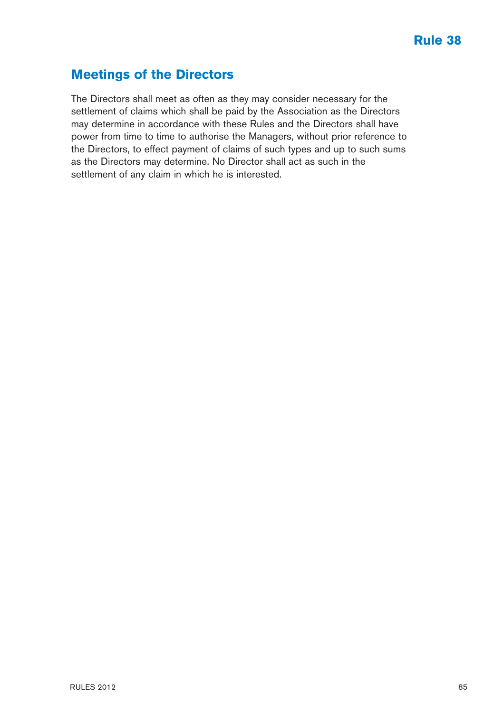#### **Meetings of the Directors**

The Directors shall meet as often as they may consider necessary for the settlement of claims which shall be paid by the Association as the Directors may determine in accordance with these Rules and the Directors shall have power from time to time to authorise the Managers, without prior reference to the Directors, to effect payment of claims of such types and up to such sums as the Directors may determine. No Director shall act as such in the settlement of any claim in which he is interested.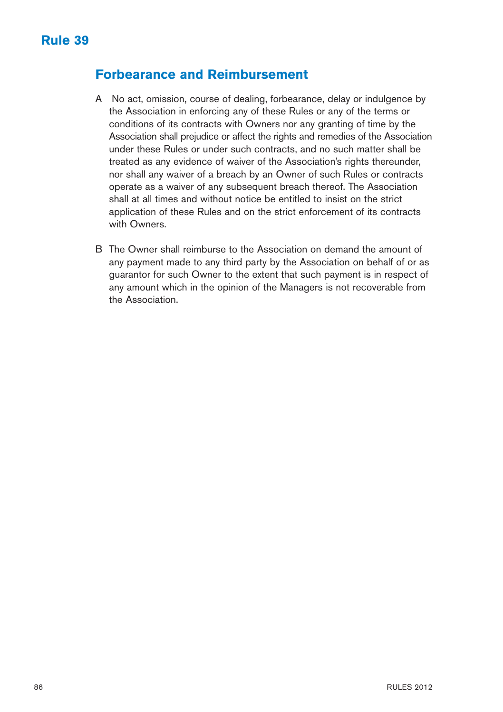#### **Forbearance and Reimbursement**

- A No act, omission, course of dealing, forbearance, delay or indulgence by the Association in enforcing any of these Rules or any of the terms or conditions of its contracts with Owners nor any granting of time by the Association shall prejudice or affect the rights and remedies of the Association under these Rules or under such contracts, and no such matter shall be treated as any evidence of waiver of the Association's rights thereunder, nor shall any waiver of a breach by an Owner of such Rules or contracts operate as a waiver of any subsequent breach thereof. The Association shall at all times and without notice be entitled to insist on the strict application of these Rules and on the strict enforcement of its contracts with Owners.
- B The Owner shall reimburse to the Association on demand the amount of any payment made to any third party by the Association on behalf of or as guarantor for such Owner to the extent that such payment is in respect of any amount which in the opinion of the Managers is not recoverable from the Association.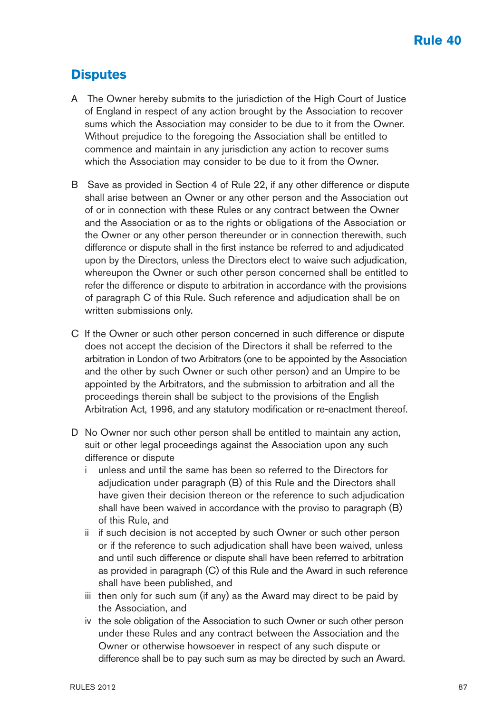#### **Disputes**

- A The Owner hereby submits to the jurisdiction of the High Court of Justice of England in respect of any action brought by the Association to recover sums which the Association may consider to be due to it from the Owner. Without prejudice to the foregoing the Association shall be entitled to commence and maintain in any jurisdiction any action to recover sums which the Association may consider to be due to it from the Owner.
- B Save as provided in Section 4 of Rule 22, if any other difference or dispute shall arise between an Owner or any other person and the Association out of or in connection with these Rules or any contract between the Owner and the Association or as to the rights or obligations of the Association or the Owner or any other person thereunder or in connection therewith, such difference or dispute shall in the first instance be referred to and adjudicated upon by the Directors, unless the Directors elect to waive such adjudication, whereupon the Owner or such other person concerned shall be entitled to refer the difference or dispute to arbitration in accordance with the provisions of paragraph C of this Rule. Such reference and adjudication shall be on written submissions only.
- and the other by such Owner or such other person) and an Umpire to be appointed by the Arbitrators, and the submission to arbitration and all the C If the Owner or such other person concerned in such difference or dispute does not accept the decision of the Directors it shall be referred to the arbitration in London of two Arbitrators (one to be appointed by the Association proceedings therein shall be subject to the provisions of the English Arbitration Act, 1996, and any statutory modification or re-enactment thereof.
- D No Owner nor such other person shall be entitled to maintain any action, suit or other legal proceedings against the Association upon any such difference or dispute
	- i unless and until the same has been so referred to the Directors for adjudication under paragraph (B) of this Rule and the Directors shall have given their decision thereon or the reference to such adjudication shall have been waived in accordance with the proviso to paragraph (B) of this Rule, and
	- ii if such decision is not accepted by such Owner or such other person or if the reference to such adjudication shall have been waived, unless and until such difference or dispute shall have been referred to arbitration as provided in paragraph (C) of this Rule and the Award in such reference shall have been published, and
	- iii then only for such sum (if any) as the Award may direct to be paid by the Association, and
	- iv the sole obligation of the Association to such Owner or such other person under these Rules and any contract between the Association and the Owner or otherwise howsoever in respect of any such dispute or difference shall be to pay such sum as may be directed by such an Award.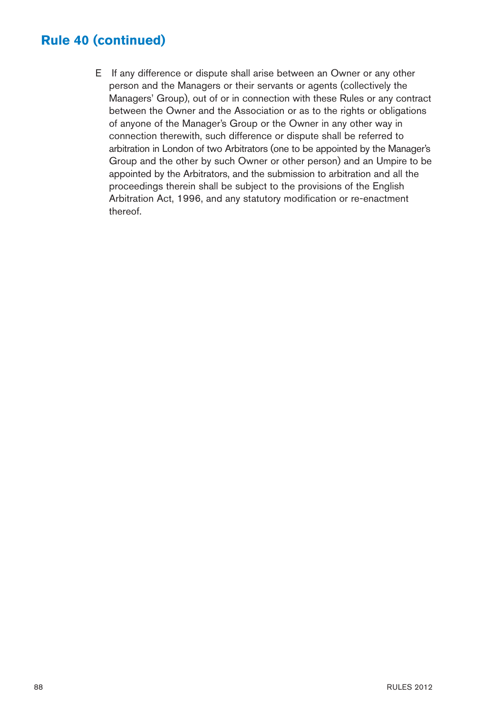### **Rule 40 (continued)**

 Group and the other by such Owner or other person) and an Umpire to be appointed by the Arbitrators, and the submission to arbitration and all the E If any difference or dispute shall arise between an Owner or any other person and the Managers or their servants or agents (collectively the Managers' Group), out of or in connection with these Rules or any contract between the Owner and the Association or as to the rights or obligations of anyone of the Manager's Group or the Owner in any other way in connection therewith, such difference or dispute shall be referred to arbitration in London of two Arbitrators (one to be appointed by the Manager's proceedings therein shall be subject to the provisions of the English Arbitration Act, 1996, and any statutory modification or re-enactment thereof.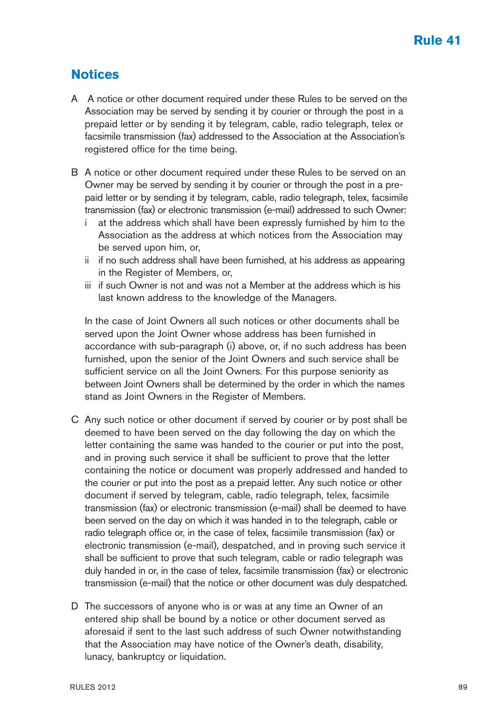#### **Notices**

- A A notice or other document required under these Rules to be served on the Association may be served by sending it by courier or through the post in a prepaid letter or by sending it by telegram, cable, radio telegraph, telex or facsimile transmission (fax) addressed to the Association at the Association's registered office for the time being.
- B A notice or other document required under these Rules to be served on an Owner may be served by sending it by courier or through the post in a prepaid letter or by sending it by telegram, cable, radio telegraph, telex, facsimile transmission (fax) or electronic transmission (e-mail) addressed to such Owner:
	- at the address which shall have been expressly furnished by him to the Association as the address at which notices from the Association may be served upon him, or,
	- ii if no such address shall have been furnished, at his address as appearing in the Register of Members, or,
	- iii if such Owner is not and was not a Member at the address which is his last known address to the knowledge of the Managers.

In the case of Joint Owners all such notices or other documents shall be served upon the Joint Owner whose address has been furnished in accordance with sub-paragraph (i) above, or, if no such address has been furnished, upon the senior of the Joint Owners and such service shall be sufficient service on all the Joint Owners. For this purpose seniority as between Joint Owners shall be determined by the order in which the names stand as Joint Owners in the Register of Members.

- radio telegraph office or, in the case of telex, facsimile transmission (fax) or C Any such notice or other document if served by courier or by post shall be deemed to have been served on the day following the day on which the letter containing the same was handed to the courier or put into the post, and in proving such service it shall be sufficient to prove that the letter containing the notice or document was properly addressed and handed to the courier or put into the post as a prepaid letter. Any such notice or other document if served by telegram, cable, radio telegraph, telex, facsimile transmission (fax) or electronic transmission (e-mail) shall be deemed to have been served on the day on which it was handed in to the telegraph, cable or electronic transmission (e-mail), despatched, and in proving such service it shall be sufficient to prove that such telegram, cable or radio telegraph was duly handed in or, in the case of telex, facsimile transmission (fax) or electronic transmission (e-mail) that the notice or other document was duly despatched.
- D The successors of anyone who is or was at any time an Owner of an entered ship shall be bound by a notice or other document served as aforesaid if sent to the last such address of such Owner notwithstanding that the Association may have notice of the Owner's death, disability, lunacy, bankruptcy or liquidation.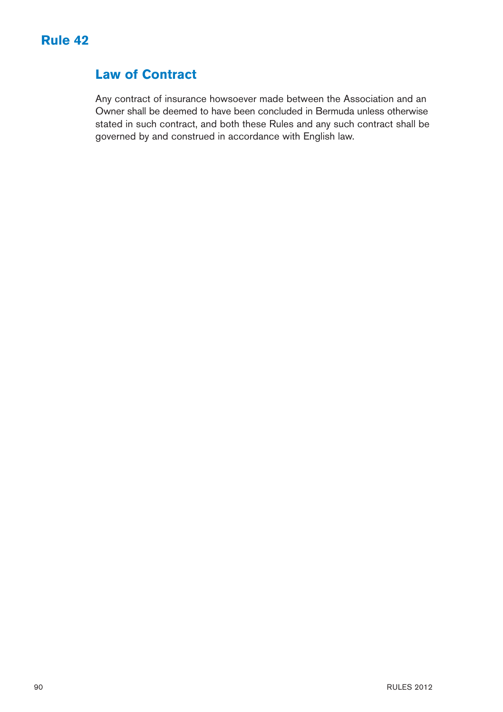

#### **Law of Contract**

Any contract of insurance howsoever made between the Association and an Owner shall be deemed to have been concluded in Bermuda unless otherwise stated in such contract, and both these Rules and any such contract shall be governed by and construed in accordance with English law.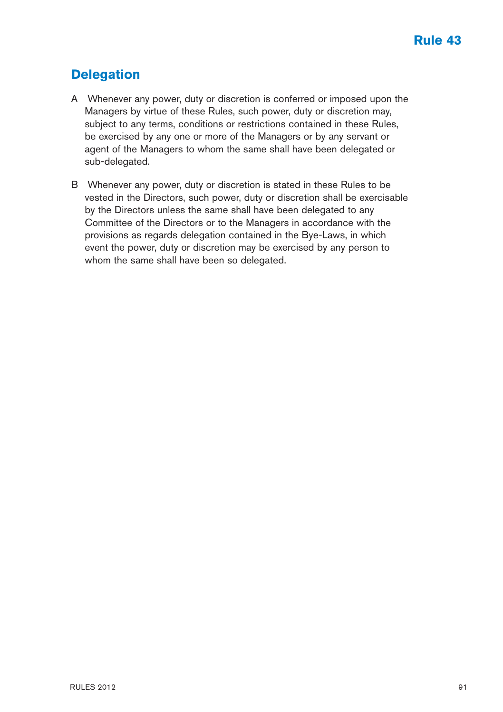### **Delegation**

- A Whenever any power, duty or discretion is conferred or imposed upon the Managers by virtue of these Rules, such power, duty or discretion may, subject to any terms, conditions or restrictions contained in these Rules, be exercised by any one or more of the Managers or by any servant or agent of the Managers to whom the same shall have been delegated or sub-delegated.
- B Whenever any power, duty or discretion is stated in these Rules to be vested in the Directors, such power, duty or discretion shall be exercisable by the Directors unless the same shall have been delegated to any Committee of the Directors or to the Managers in accordance with the provisions as regards delegation contained in the Bye-Laws, in which event the power, duty or discretion may be exercised by any person to whom the same shall have been so delegated.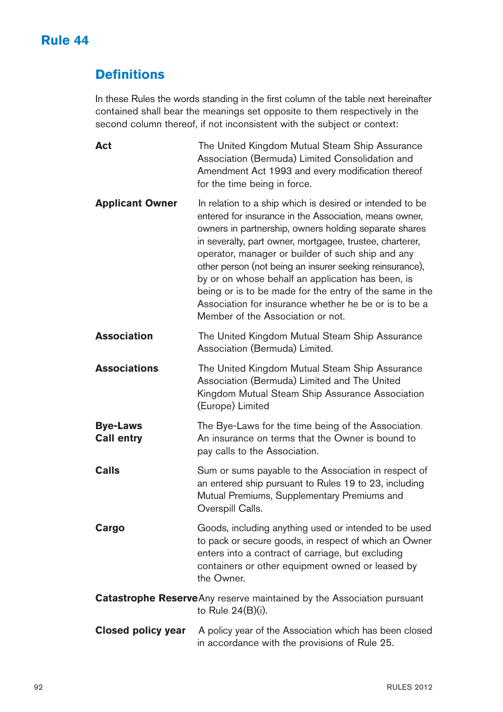### **Rule 44**

### **Definitions**

In these Rules the words standing in the first column of the table next hereinafter contained shall bear the meanings set opposite to them respectively in the second column thereof, if not inconsistent with the subject or context:

Act The United Kingdom Mutual Steam Ship Assurance Association (Bermuda) Limited Consolidation and Amendment Act 1993 and every modification thereof for the time being in force. **Applicant Owner** In relation to a ship which is desired or intended to be entered for insurance in the Association, means owner, owners in partnership, owners holding separate shares in severalty, part owner, mortgagee, trustee, charterer, operator, manager or builder of such ship and any other person (not being an insurer seeking reinsurance), by or on whose behalf an application has been, is being or is to be made for the entry of the same in the Association for insurance whether he be or is to be a Member of the Association or not. **Association** The United Kingdom Mutual Steam Ship Assurance Association (Bermuda) Limited. **Associations** The United Kingdom Mutual Steam Ship Assurance Association (Bermuda) Limited and The United Kingdom Mutual Steam Ship Assurance Association (Europe) Limited **Bye-Laws Call entry**  The Bye-Laws for the time being of the Association. An insurance on terms that the Owner is bound to pay calls to the Association. **Calls** Sum or sums payable to the Association in respect of an entered ship pursuant to Rules 19 to 23, including Mutual Premiums, Supplementary Premiums and Overspill Calls. **Cargo Goods, including anything used or intended to be used** to pack or secure goods, in respect of which an Owner enters into a contract of carriage, but excluding containers or other equipment owned or leased by the Owner. **Catastrophe Reserve**Any reserve maintained by the Association pursuant to Rule 24(B)(i). **Closed policy year** A policy year of the Association which has been closed in accordance with the provisions of Rule 25.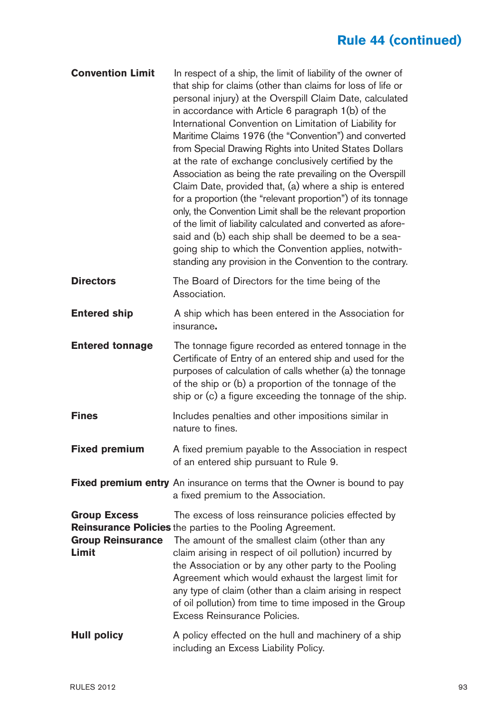# **Rule 44 (continued)**

| <b>Convention Limit</b>                                  | In respect of a ship, the limit of liability of the owner of<br>that ship for claims (other than claims for loss of life or<br>personal injury) at the Overspill Claim Date, calculated<br>in accordance with Article 6 paragraph 1(b) of the<br>International Convention on Limitation of Liability for<br>Maritime Claims 1976 (the "Convention") and converted<br>from Special Drawing Rights into United States Dollars<br>at the rate of exchange conclusively certified by the<br>Association as being the rate prevailing on the Overspill<br>Claim Date, provided that, (a) where a ship is entered<br>for a proportion (the "relevant proportion") of its tonnage<br>only, the Convention Limit shall be the relevant proportion<br>of the limit of liability calculated and converted as afore-<br>said and (b) each ship shall be deemed to be a sea-<br>going ship to which the Convention applies, notwith-<br>standing any provision in the Convention to the contrary. |  |
|----------------------------------------------------------|---------------------------------------------------------------------------------------------------------------------------------------------------------------------------------------------------------------------------------------------------------------------------------------------------------------------------------------------------------------------------------------------------------------------------------------------------------------------------------------------------------------------------------------------------------------------------------------------------------------------------------------------------------------------------------------------------------------------------------------------------------------------------------------------------------------------------------------------------------------------------------------------------------------------------------------------------------------------------------------|--|
| <b>Directors</b>                                         | The Board of Directors for the time being of the<br>Association.                                                                                                                                                                                                                                                                                                                                                                                                                                                                                                                                                                                                                                                                                                                                                                                                                                                                                                                      |  |
| <b>Entered ship</b>                                      | A ship which has been entered in the Association for<br>insurance.                                                                                                                                                                                                                                                                                                                                                                                                                                                                                                                                                                                                                                                                                                                                                                                                                                                                                                                    |  |
| <b>Entered tonnage</b>                                   | The tonnage figure recorded as entered tonnage in the<br>Certificate of Entry of an entered ship and used for the<br>purposes of calculation of calls whether (a) the tonnage<br>of the ship or (b) a proportion of the tonnage of the<br>ship or (c) a figure exceeding the tonnage of the ship.                                                                                                                                                                                                                                                                                                                                                                                                                                                                                                                                                                                                                                                                                     |  |
| <b>Fines</b>                                             | Includes penalties and other impositions similar in<br>nature to fines.                                                                                                                                                                                                                                                                                                                                                                                                                                                                                                                                                                                                                                                                                                                                                                                                                                                                                                               |  |
| <b>Fixed premium</b>                                     | A fixed premium payable to the Association in respect<br>of an entered ship pursuant to Rule 9.                                                                                                                                                                                                                                                                                                                                                                                                                                                                                                                                                                                                                                                                                                                                                                                                                                                                                       |  |
|                                                          | Fixed premium entry An insurance on terms that the Owner is bound to pay<br>a fixed premium to the Association.                                                                                                                                                                                                                                                                                                                                                                                                                                                                                                                                                                                                                                                                                                                                                                                                                                                                       |  |
| <b>Group Excess</b><br><b>Group Reinsurance</b><br>Limit | The excess of loss reinsurance policies effected by<br>Reinsurance Policies the parties to the Pooling Agreement.<br>The amount of the smallest claim (other than any<br>claim arising in respect of oil pollution) incurred by<br>the Association or by any other party to the Pooling<br>Agreement which would exhaust the largest limit for<br>any type of claim (other than a claim arising in respect<br>of oil pollution) from time to time imposed in the Group<br>Excess Reinsurance Policies.                                                                                                                                                                                                                                                                                                                                                                                                                                                                                |  |
| <b>Hull policy</b>                                       | A policy effected on the hull and machinery of a ship<br>including an Excess Liability Policy.                                                                                                                                                                                                                                                                                                                                                                                                                                                                                                                                                                                                                                                                                                                                                                                                                                                                                        |  |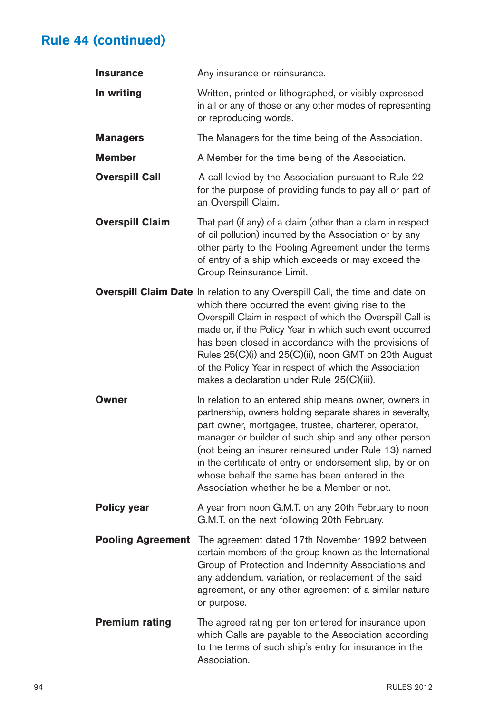# **Rule 44 (continued)**

| <b>Insurance</b>         | Any insurance or reinsurance.                                                                                                                                                                                                                                                                                                                                                                                                                                                       |  |
|--------------------------|-------------------------------------------------------------------------------------------------------------------------------------------------------------------------------------------------------------------------------------------------------------------------------------------------------------------------------------------------------------------------------------------------------------------------------------------------------------------------------------|--|
| In writing               | Written, printed or lithographed, or visibly expressed<br>in all or any of those or any other modes of representing<br>or reproducing words.                                                                                                                                                                                                                                                                                                                                        |  |
| <b>Managers</b>          | The Managers for the time being of the Association.                                                                                                                                                                                                                                                                                                                                                                                                                                 |  |
| Member                   | A Member for the time being of the Association.                                                                                                                                                                                                                                                                                                                                                                                                                                     |  |
| <b>Overspill Call</b>    | A call levied by the Association pursuant to Rule 22<br>for the purpose of providing funds to pay all or part of<br>an Overspill Claim.                                                                                                                                                                                                                                                                                                                                             |  |
| <b>Overspill Claim</b>   | That part (if any) of a claim (other than a claim in respect<br>of oil pollution) incurred by the Association or by any<br>other party to the Pooling Agreement under the terms<br>of entry of a ship which exceeds or may exceed the<br>Group Reinsurance Limit.                                                                                                                                                                                                                   |  |
|                          | Overspill Claim Date In relation to any Overspill Call, the time and date on<br>which there occurred the event giving rise to the<br>Overspill Claim in respect of which the Overspill Call is<br>made or, if the Policy Year in which such event occurred<br>has been closed in accordance with the provisions of<br>Rules 25(C)(i) and 25(C)(ii), noon GMT on 20th August<br>of the Policy Year in respect of which the Association<br>makes a declaration under Rule 25(C)(iii). |  |
| Owner                    | In relation to an entered ship means owner, owners in<br>partnership, owners holding separate shares in severalty,<br>part owner, mortgagee, trustee, charterer, operator,<br>manager or builder of such ship and any other person<br>(not being an insurer reinsured under Rule 13) named<br>in the certificate of entry or endorsement slip, by or on<br>whose behalf the same has been entered in the<br>Association whether he be a Member or not.                              |  |
| <b>Policy year</b>       | A year from noon G.M.T. on any 20th February to noon<br>G.M.T. on the next following 20th February.                                                                                                                                                                                                                                                                                                                                                                                 |  |
| <b>Pooling Agreement</b> | The agreement dated 17th November 1992 between<br>certain members of the group known as the International<br>Group of Protection and Indemnity Associations and<br>any addendum, variation, or replacement of the said<br>agreement, or any other agreement of a similar nature<br>or purpose.                                                                                                                                                                                      |  |
| <b>Premium rating</b>    | The agreed rating per ton entered for insurance upon<br>which Calls are payable to the Association according<br>to the terms of such ship's entry for insurance in the<br>Association.                                                                                                                                                                                                                                                                                              |  |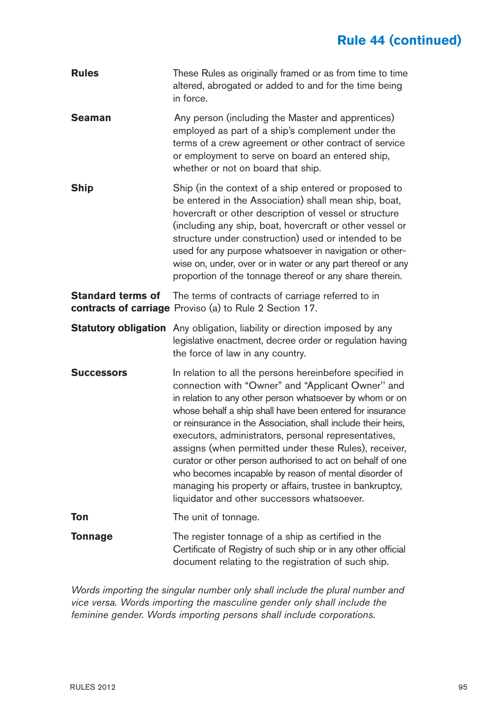# **Rule 44 (continued)**

| <b>Rules</b>             | These Rules as originally framed or as from time to time<br>altered, abrogated or added to and for the time being<br>in force.                                                                                                                                                                                                                                                                                                                                                                                                                                                                                                                             |  |
|--------------------------|------------------------------------------------------------------------------------------------------------------------------------------------------------------------------------------------------------------------------------------------------------------------------------------------------------------------------------------------------------------------------------------------------------------------------------------------------------------------------------------------------------------------------------------------------------------------------------------------------------------------------------------------------------|--|
| <b>Seaman</b>            | Any person (including the Master and apprentices)<br>employed as part of a ship's complement under the<br>terms of a crew agreement or other contract of service<br>or employment to serve on board an entered ship,<br>whether or not on board that ship.                                                                                                                                                                                                                                                                                                                                                                                                 |  |
| <b>Ship</b>              | Ship (in the context of a ship entered or proposed to<br>be entered in the Association) shall mean ship, boat,<br>hovercraft or other description of vessel or structure<br>(including any ship, boat, hovercraft or other vessel or<br>structure under construction) used or intended to be<br>used for any purpose whatsoever in navigation or other-<br>wise on, under, over or in water or any part thereof or any<br>proportion of the tonnage thereof or any share therein.                                                                                                                                                                          |  |
| <b>Standard terms of</b> | The terms of contracts of carriage referred to in<br><b>contracts of carriage</b> Proviso (a) to Rule 2 Section 17.                                                                                                                                                                                                                                                                                                                                                                                                                                                                                                                                        |  |
|                          | <b>Statutory obligation</b> Any obligation, liability or direction imposed by any<br>legislative enactment, decree order or regulation having<br>the force of law in any country.                                                                                                                                                                                                                                                                                                                                                                                                                                                                          |  |
| <b>Successors</b>        | In relation to all the persons hereinbefore specified in<br>connection with "Owner" and "Applicant Owner" and<br>in relation to any other person whatsoever by whom or on<br>whose behalf a ship shall have been entered for insurance<br>or reinsurance in the Association, shall include their heirs,<br>executors, administrators, personal representatives,<br>assigns (when permitted under these Rules), receiver,<br>curator or other person authorised to act on behalf of one<br>who becomes incapable by reason of mental disorder of<br>managing his property or affairs, trustee in bankruptcy,<br>liquidator and other successors whatsoever. |  |
| Ton                      | The unit of tonnage.                                                                                                                                                                                                                                                                                                                                                                                                                                                                                                                                                                                                                                       |  |
| Tonnage                  | The register tonnage of a ship as certified in the<br>Certificate of Registry of such ship or in any other official<br>document relating to the registration of such ship.                                                                                                                                                                                                                                                                                                                                                                                                                                                                                 |  |

Words importing the singular number only shall include the plural number and vice versa. Words importing the masculine gender only shall include the feminine gender. Words importing persons shall include corporations.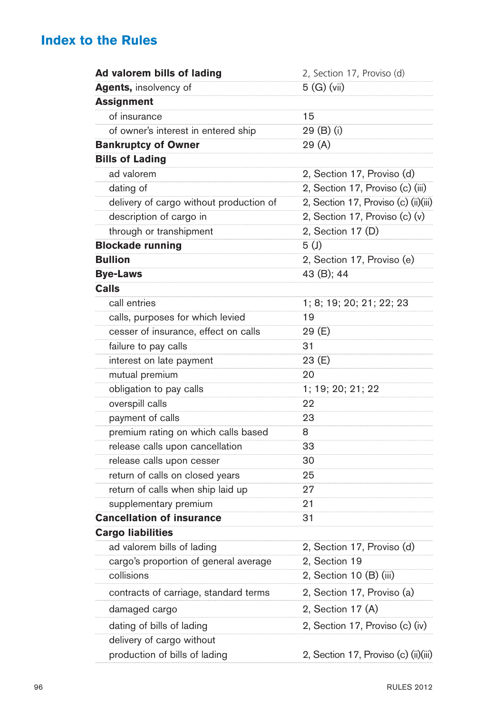| Ad valorem bills of lading              | 2, Section 17, Proviso (d)           |
|-----------------------------------------|--------------------------------------|
| <b>Agents, insolvency of</b>            | 5(G)(vi)                             |
| <b>Assignment</b>                       |                                      |
| of insurance                            | 15                                   |
| of owner's interest in entered ship     | 29 (B) (i)                           |
| <b>Bankruptcy of Owner</b>              | 29(A)                                |
| <b>Bills of Lading</b>                  |                                      |
| ad valorem                              | 2, Section 17, Proviso (d)           |
| dating of                               | 2, Section 17, Proviso (c) (iii)     |
| delivery of cargo without production of | 2, Section 17, Proviso (c) (ii)(iii) |
| description of cargo in                 | 2, Section 17, Proviso (c) (v)       |
| through or transhipment                 | 2, Section 17 (D)                    |
| <b>Blockade running</b>                 | 5 <sub>(</sub> )                     |
| <b>Bullion</b>                          | 2, Section 17, Proviso (e)           |
| <b>Bye-Laws</b>                         | 43 (B); 44                           |
| Calls                                   |                                      |
| call entries                            | 1; 8; 19; 20; 21; 22; 23             |
| calls, purposes for which levied        | 19                                   |
| cesser of insurance, effect on calls    | 29 (E)                               |
| failure to pay calls                    | 31                                   |
| interest on late payment                | 23 (E)                               |
| mutual premium                          | 20                                   |
| obligation to pay calls                 | 1; 19; 20; 21; 22                    |
| overspill calls                         | 22                                   |
| payment of calls                        | 23                                   |
| premium rating on which calls based     | 8                                    |
| release calls upon cancellation         | 33                                   |
| release calls upon cesser               | 30                                   |
| return of calls on closed years         | 25                                   |
| return of calls when ship laid up       | 27                                   |
| supplementary premium                   | 21                                   |
| <b>Cancellation of insurance</b>        | 31                                   |
| <b>Cargo liabilities</b>                |                                      |
| ad valorem bills of lading              | 2, Section 17, Proviso (d)           |
| cargo's proportion of general average   | 2, Section 19                        |
| collisions                              | 2, Section 10 (B) (iii)              |
| contracts of carriage, standard terms   | 2, Section 17, Proviso (a)           |
| damaged cargo                           | 2, Section 17 (A)                    |
| dating of bills of lading               | 2, Section 17, Proviso (c) (iv)      |
| delivery of cargo without               |                                      |
| production of bills of lading           | 2, Section 17, Proviso (c) (ii)(iii) |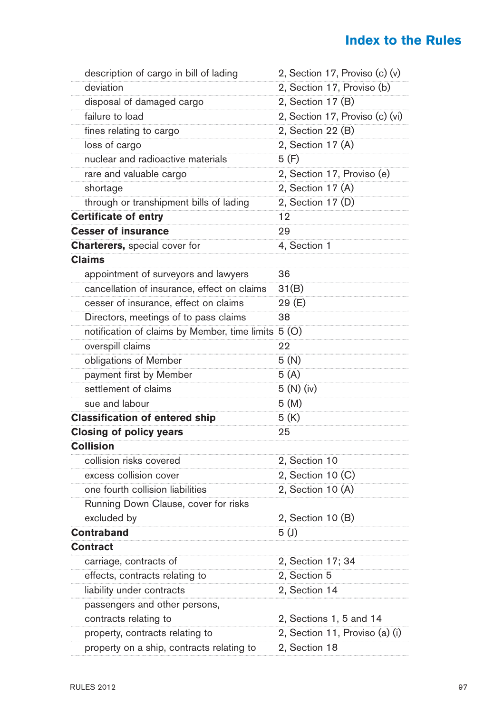| description of cargo in bill of lading              | 2, Section 17, Proviso (c) (v)  |
|-----------------------------------------------------|---------------------------------|
| deviation                                           | 2, Section 17, Proviso (b)      |
| disposal of damaged cargo                           | 2, Section 17 (B)               |
| failure to load                                     | 2, Section 17, Proviso (c) (vi) |
| fines relating to cargo                             | 2, Section 22 (B)               |
| loss of cargo                                       | 2, Section 17 (A)               |
| nuclear and radioactive materials                   | 5 (F)                           |
| rare and valuable cargo                             | 2, Section 17, Proviso (e)      |
| shortage                                            | 2, Section 17 (A)               |
| through or transhipment bills of lading             | 2, Section 17 (D)               |
| <b>Certificate of entry</b>                         | 12                              |
| <b>Cesser of insurance</b>                          | 29                              |
| <b>Charterers, special cover for</b>                | 4, Section 1                    |
| <b>Claims</b>                                       |                                 |
| appointment of surveyors and lawyers                | 36                              |
| cancellation of insurance, effect on claims         | 31(B)                           |
| cesser of insurance, effect on claims               | 29 (E)                          |
| Directors, meetings of to pass claims               | 38                              |
| notification of claims by Member, time limits 5 (O) |                                 |
| overspill claims                                    | 22                              |
| obligations of Member                               | 5(N)                            |
| payment first by Member                             | 5(A)                            |
| settlement of claims                                | 5 (N) (iv)                      |
| sue and labour                                      | 5(M)                            |
| <b>Classification of entered ship</b>               | 5 (K)                           |
| Closing of policy years                             | 25                              |
| <b>Collision</b>                                    |                                 |
| collision risks covered                             | 2, Section 10                   |
| excess collision cover                              | 2, Section 10 (C)               |
| one fourth collision liabilities                    | 2, Section 10 (A)               |
| Running Down Clause, cover for risks                |                                 |
| excluded by                                         | 2, Section 10 (B)               |
| <b>Contraband</b>                                   | 5(J)                            |
| <b>Contract</b>                                     |                                 |
| carriage, contracts of                              | 2, Section 17; 34               |
| effects, contracts relating to                      | 2, Section 5                    |
| liability under contracts                           | 2, Section 14                   |
| passengers and other persons,                       |                                 |
| contracts relating to                               | 2, Sections 1, 5 and 14         |
| property, contracts relating to                     | 2, Section 11, Proviso (a) (i)  |
| property on a ship, contracts relating to           | 2, Section 18                   |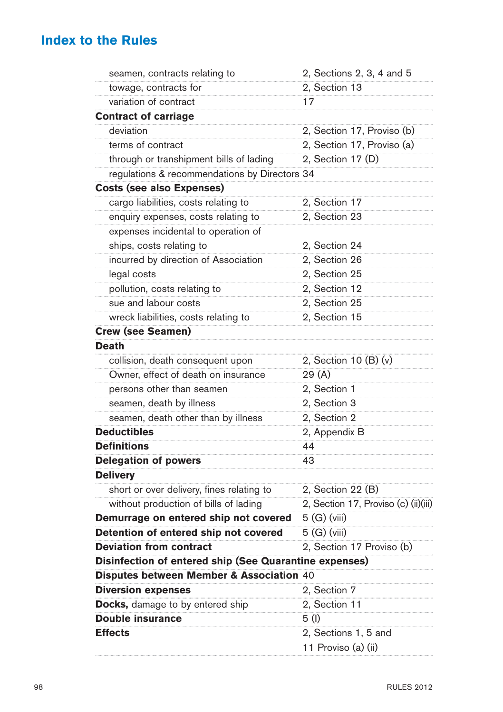| seamen, contracts relating to                          | 2, Sections 2, 3, 4 and 5            |
|--------------------------------------------------------|--------------------------------------|
| towage, contracts for                                  | 2, Section 13                        |
| variation of contract                                  | 17                                   |
| <b>Contract of carriage</b>                            |                                      |
| deviation                                              | 2, Section 17, Proviso (b)           |
| terms of contract                                      | 2, Section 17, Proviso (a)           |
| through or transhipment bills of lading                | 2, Section 17 (D)                    |
| regulations & recommendations by Directors 34          |                                      |
| Costs (see also Expenses)                              |                                      |
| cargo liabilities, costs relating to                   | 2, Section 17                        |
| enquiry expenses, costs relating to                    | 2, Section 23                        |
| expenses incidental to operation of                    |                                      |
| ships, costs relating to                               | 2, Section 24                        |
| incurred by direction of Association                   | 2, Section 26                        |
| legal costs                                            | 2, Section 25                        |
| pollution, costs relating to                           | 2, Section 12                        |
| sue and labour costs                                   | 2, Section 25                        |
| wreck liabilities, costs relating to                   | 2, Section 15                        |
| <b>Crew (see Seamen)</b>                               |                                      |
| <b>Death</b>                                           |                                      |
| collision, death consequent upon                       | 2, Section 10 (B) (v)                |
| Owner, effect of death on insurance                    | 29 (A)                               |
| persons other than seamen                              | 2, Section 1                         |
| seamen, death by illness                               | 2, Section 3                         |
| seamen, death other than by illness                    | 2, Section 2                         |
| <b>Deductibles</b>                                     | 2, Appendix B                        |
| <b>Definitions</b>                                     | 44                                   |
| <b>Delegation of powers</b>                            | 43                                   |
| <b>Delivery</b>                                        |                                      |
| short or over delivery, fines relating to              | 2, Section 22 (B)                    |
| without production of bills of lading                  | 2, Section 17, Proviso (c) (ii)(iii) |
| Demurrage on entered ship not covered                  | 5 (G) (viii)                         |
| Detention of entered ship not covered                  | 5 (G) (viii)                         |
| <b>Deviation from contract</b>                         | 2, Section 17 Proviso (b)            |
| Disinfection of entered ship (See Quarantine expenses) |                                      |
| Disputes between Member & Association 40               |                                      |
| <b>Diversion expenses</b>                              | 2, Section 7                         |
| <b>Docks,</b> damage to by entered ship                | 2, Section 11                        |
| <b>Double insurance</b>                                | 5(1)                                 |
| <b>Effects</b>                                         | 2, Sections 1, 5 and                 |
|                                                        | 11 Proviso (a) (ii)                  |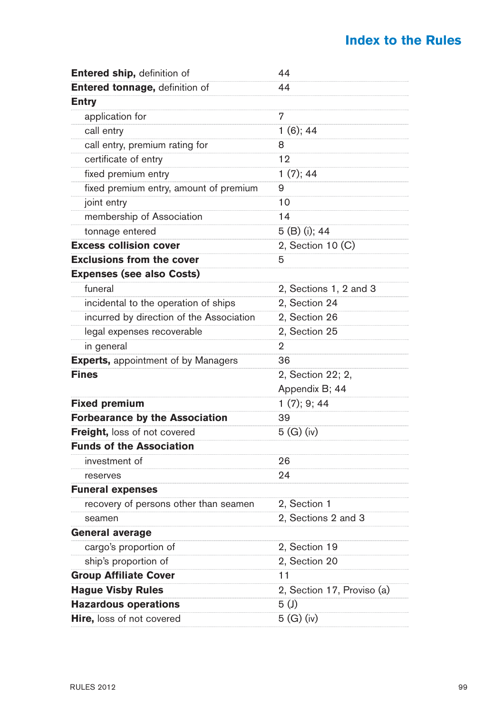| Entered ship, definition of                | 44                         |
|--------------------------------------------|----------------------------|
| Entered tonnage, definition of             | 44                         |
| <b>Entry</b>                               |                            |
| application for                            | 7                          |
| call entry                                 | $1(6)$ ; 44                |
| call entry, premium rating for             | 8                          |
| certificate of entry                       | 12                         |
| fixed premium entry                        | 1(7); 44                   |
| fixed premium entry, amount of premium     | 9                          |
| joint entry                                | 10                         |
| membership of Association                  | 14                         |
| tonnage entered                            | 5 (B) (i); 44              |
| <b>Excess collision cover</b>              | 2, Section 10 (C)          |
| <b>Exclusions from the cover</b>           | 5                          |
| <b>Expenses (see also Costs)</b>           |                            |
| funeral                                    | 2, Sections 1, 2 and 3     |
| incidental to the operation of ships       | 2, Section 24              |
| incurred by direction of the Association   | 2, Section 26              |
| legal expenses recoverable                 | 2, Section 25              |
| in general                                 | 2                          |
| <b>Experts, appointment of by Managers</b> | 36                         |
| <b>Fines</b>                               | 2, Section 22; 2,          |
|                                            | Appendix B; 44             |
| <b>Fixed premium</b>                       | $1(7)$ ; 9; 44             |
| <b>Forbearance by the Association</b>      | 39                         |
| Freight, loss of not covered               | 5(G)(iv)                   |
| <b>Funds of the Association</b>            |                            |
| investment of                              | 26                         |
| reserves                                   | 24                         |
| <b>Funeral expenses</b>                    |                            |
| recovery of persons other than seamen      | 2, Section 1               |
| seamen                                     | 2, Sections 2 and 3        |
| General average                            |                            |
| cargo's proportion of                      | 2, Section 19              |
| ship's proportion of                       | 2, Section 20              |
| <b>Group Affiliate Cover</b>               | 11                         |
| <b>Hague Visby Rules</b>                   | 2, Section 17, Proviso (a) |
| <b>Hazardous operations</b>                | 5 <sup>(j)</sup>           |
| Hire, loss of not covered                  | 5(G)(iv)                   |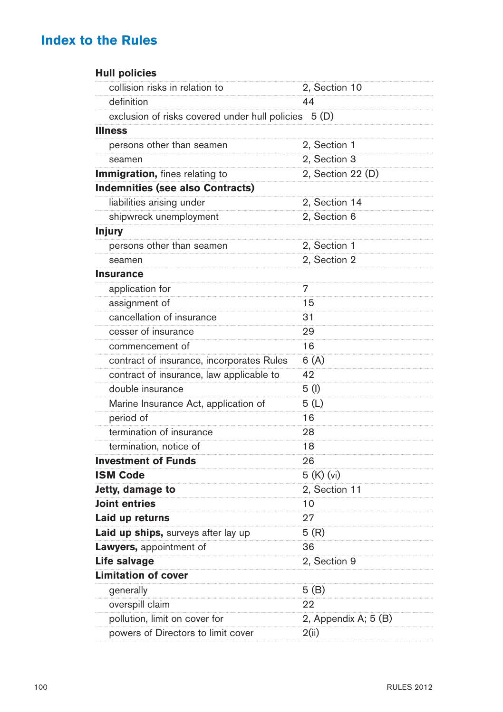| <b>Hull policies</b>                           |                      |
|------------------------------------------------|----------------------|
| collision risks in relation to                 | 2, Section 10        |
| definition                                     | 44                   |
| exclusion of risks covered under hull policies | 5 (D)                |
| <b>Illness</b>                                 |                      |
| persons other than seamen                      | 2, Section 1         |
| seamen                                         | 2, Section 3         |
| Immigration, fines relating to                 | 2, Section 22 (D)    |
| <b>Indemnities (see also Contracts)</b>        |                      |
| liabilities arising under                      | 2, Section 14        |
| shipwreck unemployment                         | 2, Section 6         |
| <b>Injury</b>                                  |                      |
| persons other than seamen                      | 2, Section 1         |
| seamen                                         | 2, Section 2         |
| <b>Insurance</b>                               |                      |
| application for                                | 7                    |
| assignment of                                  | 15                   |
| cancellation of insurance                      | 31                   |
| cesser of insurance                            | 29                   |
| commencement of                                | 16                   |
| contract of insurance, incorporates Rules      | 6(A)                 |
| contract of insurance, law applicable to       | 42                   |
| double insurance                               | 5(1)                 |
| Marine Insurance Act, application of           | 5(L)                 |
| period of                                      | 16                   |
| termination of insurance                       | 28                   |
| termination, notice of                         | 18                   |
| <b>Investment of Funds</b>                     | 26                   |
| <b>ISM Code</b>                                | 5 (K) (vi)           |
| Jetty, damage to                               | 2, Section 11        |
| Joint entries                                  | 10                   |
| Laid up returns                                | 27                   |
| Laid up ships, surveys after lay up            | 5(R)                 |
| Lawyers, appointment of                        | 36                   |
| Life salvage                                   | 2, Section 9         |
| <b>Limitation of cover</b>                     |                      |
| generally                                      | 5(B)                 |
| overspill claim                                | 22                   |
| pollution, limit on cover for                  | 2, Appendix A; 5 (B) |
| powers of Directors to limit cover             | 2(ii)                |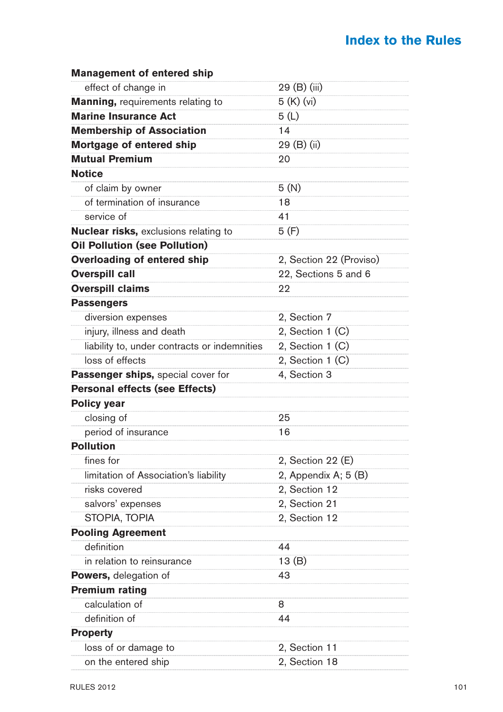| <b>Management of entered ship</b>            |                         |
|----------------------------------------------|-------------------------|
| effect of change in                          | 29 (B) (iii)            |
| Manning, requirements relating to            | 5(K)(vi)                |
| <b>Marine Insurance Act</b>                  | 5 (L)                   |
| <b>Membership of Association</b>             | 14                      |
| Mortgage of entered ship                     | 29 (B) (ii)             |
| <b>Mutual Premium</b>                        | 20                      |
| <b>Notice</b>                                |                         |
| of claim by owner                            | 5(N)                    |
| of termination of insurance                  | 18                      |
| service of                                   | 41                      |
| <b>Nuclear risks, exclusions relating to</b> | 5 (F)                   |
| <b>Oil Pollution (see Pollution)</b>         |                         |
| Overloading of entered ship                  | 2, Section 22 (Proviso) |
| <b>Overspill call</b>                        | 22, Sections 5 and 6    |
| <b>Overspill claims</b>                      | 22                      |
| <b>Passengers</b>                            |                         |
| diversion expenses                           | 2, Section 7            |
| injury, illness and death                    | 2, Section 1 (C)        |
| liability to, under contracts or indemnities | 2, Section 1 (C)        |
| loss of effects                              | 2, Section 1 (C)        |
| Passenger ships, special cover for           | 4, Section 3            |
| <b>Personal effects (see Effects)</b>        |                         |
| <b>Policy year</b>                           |                         |
| closing of                                   | 25                      |
| period of insurance                          | 16                      |
| <b>Pollution</b>                             |                         |
| fines for                                    | 2, Section 22 (E)       |
| limitation of Association's liability        | 2, Appendix A; $5(B)$   |
| risks covered                                | 2, Section 12           |
| salvors' expenses                            | 2, Section 21           |
| STOPIA, TOPIA                                | 2, Section 12           |
| <b>Pooling Agreement</b>                     |                         |
| definition                                   | 44                      |
| in relation to reinsurance                   | 13 (B)                  |
| <b>Powers, delegation of</b>                 | 43                      |
| <b>Premium rating</b>                        |                         |
| calculation of                               | 8                       |
| definition of                                | 44                      |
| <b>Property</b>                              |                         |
| loss of or damage to                         | 2, Section 11           |
| on the entered ship                          | 2, Section 18           |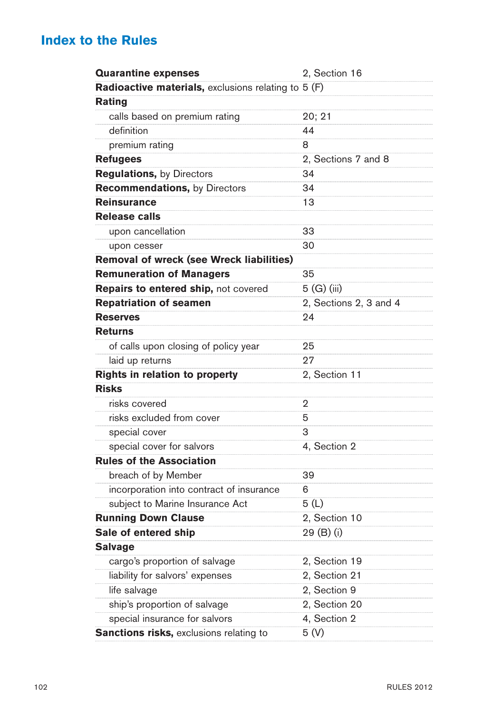| <b>Quarantine expenses</b>                          | 2, Section 16          |
|-----------------------------------------------------|------------------------|
| Radioactive materials, exclusions relating to 5 (F) |                        |
| <b>Rating</b>                                       |                        |
| calls based on premium rating                       | 20; 21                 |
| definition                                          | 44                     |
| premium rating                                      | 8                      |
| <b>Refugees</b>                                     | 2, Sections 7 and 8    |
| <b>Regulations, by Directors</b>                    | 34                     |
| <b>Recommendations, by Directors</b>                | 34                     |
| <b>Reinsurance</b>                                  | 13                     |
| <b>Release calls</b>                                |                        |
| upon cancellation                                   | 33                     |
| upon cesser                                         | 30                     |
| Removal of wreck (see Wreck liabilities)            |                        |
| <b>Remuneration of Managers</b>                     | 35                     |
| Repairs to entered ship, not covered                | 5 (G) (iii)            |
| <b>Repatriation of seamen</b>                       | 2, Sections 2, 3 and 4 |
| <b>Reserves</b>                                     | 24                     |
| <b>Returns</b>                                      |                        |
| of calls upon closing of policy year                | 25                     |
| laid up returns                                     | 27                     |
| Rights in relation to property                      | 2, Section 11          |
| <b>Risks</b>                                        |                        |
| risks covered                                       | 2                      |
| risks excluded from cover                           | 5                      |
| special cover                                       | 3                      |
| special cover for salvors                           | 4, Section 2           |
| <b>Rules of the Association</b>                     |                        |
| breach of by Member                                 | 39                     |
| incorporation into contract of insurance            | 6                      |
| subject to Marine Insurance Act                     | 5(L)                   |
| <b>Running Down Clause</b>                          | 2, Section 10          |
| Sale of entered ship                                | 29 (B) (i)             |
| <b>Salvage</b>                                      |                        |
| cargo's proportion of salvage                       | 2, Section 19          |
| liability for salvors' expenses                     | 2, Section 21          |
| life salvage                                        | 2, Section 9           |
| ship's proportion of salvage                        | 2, Section 20          |
| special insurance for salvors                       | 4, Section 2           |
| Sanctions risks, exclusions relating to             | 5(V)                   |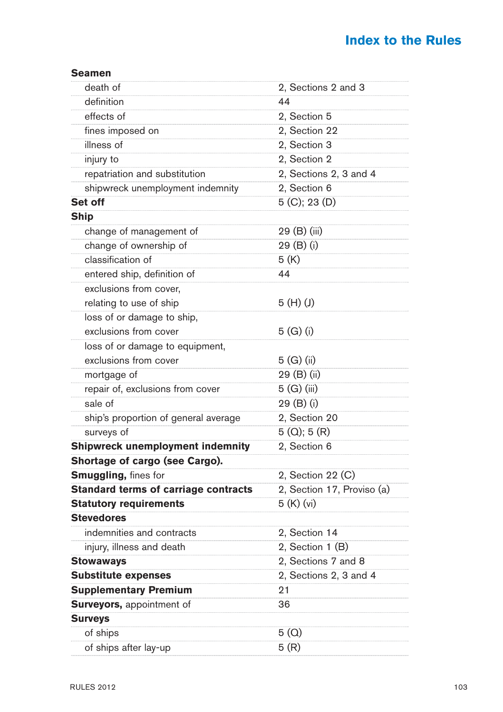#### **Seamen**  death of 2, Sections 2 and 3 definition 44 effects of 2, Section 5 fines imposed on 22, Section 22 illness of 2. Section 3 injury to 2, Section 2 repatriation and substitution 2, Sections 2, 3 and 4 shipwreck unemployment indemnity 2, Section 6 **Set off**  $5 (C): 23 (D)$ **Ship**  change of management of 29 (B) (iii) change of ownership of 29 (B) (i) classification of 5 (K) entered ship, definition of  $\sqrt{44}$ exclusions from cover, relating to use of ship  $5(H)(J)$ loss of or damage to ship, exclusions from cover 5 (G) (i) loss of or damage to equipment, exclusions from cover 5 (G) (ii) mortgage of 29 (B) (ii) repair of, exclusions from cover 5 (G) (iii) sale of 29 (B) (i) ship's proportion of general average 2, Section 20 surveys of  $5 (Q)$ ; 5  $(R)$ **Shipwreck unemployment indemnity** 2, Section 6 **Shortage of cargo (see Cargo). Smuggling, fines for** 2, Section 22 (C) **Standard terms of carriage contracts** 2, Section 17, Proviso (a) **Statutory requirements** 5 (K) (vi) **Stevedores**  indemnities and contracts 2. Section 14 injury, illness and death 2, Section 1 (B) **Stowaways** 2, Sections 7 and 8 **Substitute expenses** 2, Sections 2, 3 and 4 **Supplementary Premium** 21 **Surveyors, appointment of 36 Surveys**  of ships  $5 (Q)$ of ships after lay-up  $5 (R)$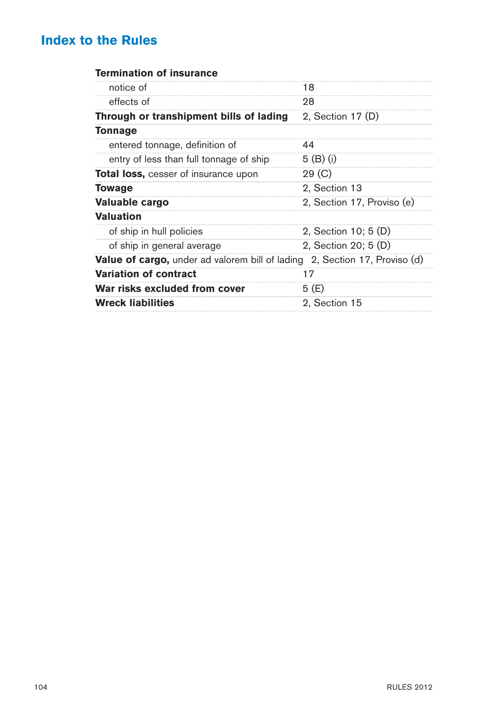| <b>Termination of insurance</b> |  |
|---------------------------------|--|
| notice of                       |  |

| notice of                                                                         | 18                         |
|-----------------------------------------------------------------------------------|----------------------------|
| effects of                                                                        | 28                         |
| Through or transhipment bills of lading                                           | 2, Section $17(D)$         |
| <b>Tonnage</b>                                                                    |                            |
| entered tonnage, definition of                                                    | 44                         |
| entry of less than full tonnage of ship                                           | 5 (B) (i)                  |
| <b>Total loss, cesser of insurance upon</b>                                       | 29 <sub>(C)</sub>          |
| <b>Towage</b>                                                                     | 2, Section 13              |
| Valuable cargo                                                                    | 2, Section 17, Proviso (e) |
| Valuation                                                                         |                            |
| of ship in hull policies                                                          | 2, Section 10; 5 (D)       |
| of ship in general average                                                        | 2, Section 20; 5 (D)       |
| <b>Value of cargo,</b> under ad valorem bill of lading 2, Section 17, Proviso (d) |                            |
| <b>Variation of contract</b>                                                      | 17                         |
| War risks excluded from cover                                                     | 5 (E)                      |
| <b>Wreck liabilities</b>                                                          | 2, Section 15              |
|                                                                                   |                            |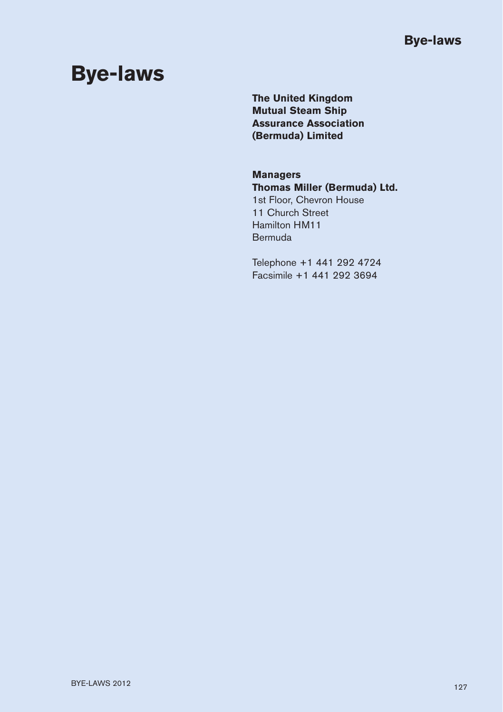# **Bye-laws**

**The United Kingdom Mutual Steam Ship Assurance Association (Bermuda) Limited**

**Managers Thomas Miller (Bermuda) Ltd.**

1st Floor, Chevron House 11 Church Street Hamilton HM11 Bermuda

Telephone +1 441 292 4724 Facsimile +1 441 292 3694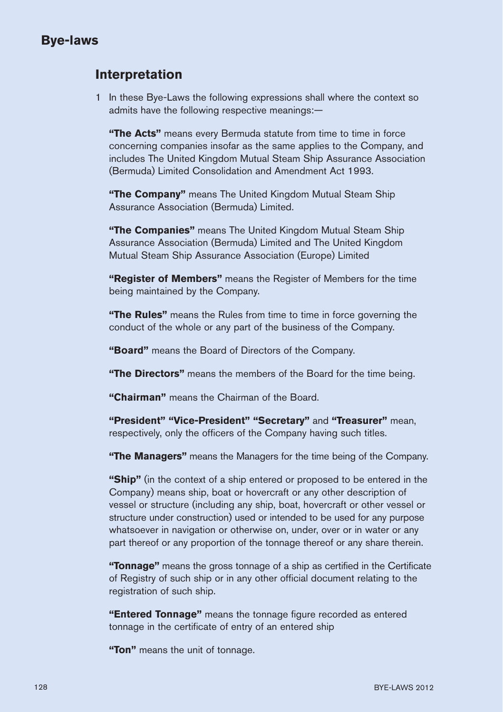#### **Interpretation**

1 In these Bye-Laws the following expressions shall where the context so admits have the following respective meanings:—

**"The Acts"** means every Bermuda statute from time to time in force concerning companies insofar as the same applies to the Company, and includes The United Kingdom Mutual Steam Ship Assurance Association (Bermuda) Limited Consolidation and Amendment Act 1993.

**"The Company"** means The United Kingdom Mutual Steam Ship Assurance Association (Bermuda) Limited.

**"The Companies"** means The United Kingdom Mutual Steam Ship Assurance Association (Bermuda) Limited and The United Kingdom Mutual Steam Ship Assurance Association (Europe) Limited

**"Register of Members"** means the Register of Members for the time being maintained by the Company.

**"The Rules"** means the Rules from time to time in force governing the conduct of the whole or any part of the business of the Company.

**"Board"** means the Board of Directors of the Company.

**"The Directors"** means the members of the Board for the time being.

**"Chairman"** means the Chairman of the Board.

**"President" "Vice-President" "Secretary"** and **"Treasurer"** mean, respectively, only the officers of the Company having such titles.

**"The Managers"** means the Managers for the time being of the Company.

**"Ship"** (in the context of a ship entered or proposed to be entered in the Company) means ship, boat or hovercraft or any other description of vessel or structure (including any ship, boat, hovercraft or other vessel or structure under construction) used or intended to be used for any purpose whatsoever in navigation or otherwise on, under, over or in water or any part thereof or any proportion of the tonnage thereof or any share therein.

**"Tonnage"** means the gross tonnage of a ship as certified in the Certificate of Registry of such ship or in any other official document relating to the registration of such ship.

**"Entered Tonnage"** means the tonnage figure recorded as entered tonnage in the certificate of entry of an entered ship

**"Ton"** means the unit of tonnage.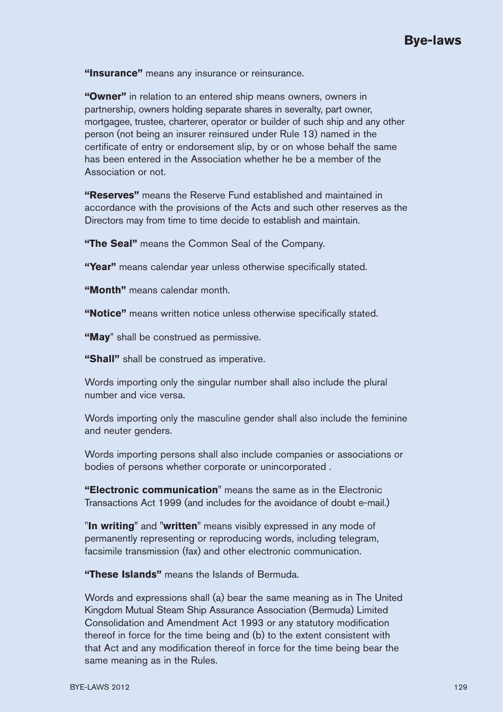**"Insurance"** means any insurance or reinsurance.

**"Owner"** in relation to an entered ship means owners, owners in partnership, owners holding separate shares in severalty, part owner, mortgagee, trustee, charterer, operator or builder of such ship and any other person (not being an insurer reinsured under Rule 13) named in the certificate of entry or endorsement slip, by or on whose behalf the same has been entered in the Association whether he be a member of the Association or not.

**"Reserves"** means the Reserve Fund established and maintained in accordance with the provisions of the Acts and such other reserves as the Directors may from time to time decide to establish and maintain.

**"The Seal"** means the Common Seal of the Company.

**"Year"** means calendar year unless otherwise specifically stated.

**"Month"** means calendar month.

**"Notice"** means written notice unless otherwise specifically stated.

**"May**" shall be construed as permissive.

**"Shall"** shall be construed as imperative.

Words importing only the singular number shall also include the plural number and vice versa.

Words importing only the masculine gender shall also include the feminine and neuter genders.

Words importing persons shall also include companies or associations or bodies of persons whether corporate or unincorporated .

**"Electronic communication"** means the same as in the Electronic Transactions Act 1999 (and includes for the avoidance of doubt e-mail.)

"**In writing"** and **"written"** means visibly expressed in any mode of permanently representing or reproducing words, including telegram, facsimile transmission (fax) and other electronic communication.

**"These Islands"** means the Islands of Bermuda.

Words and expressions shall (a) bear the same meaning as in The United Kingdom Mutual Steam Ship Assurance Association (Bermuda) Limited Consolidation and Amendment Act 1993 or any statutory modification thereof in force for the time being and (b) to the extent consistent with that Act and any modification thereof in force for the time being bear the same meaning as in the Rules.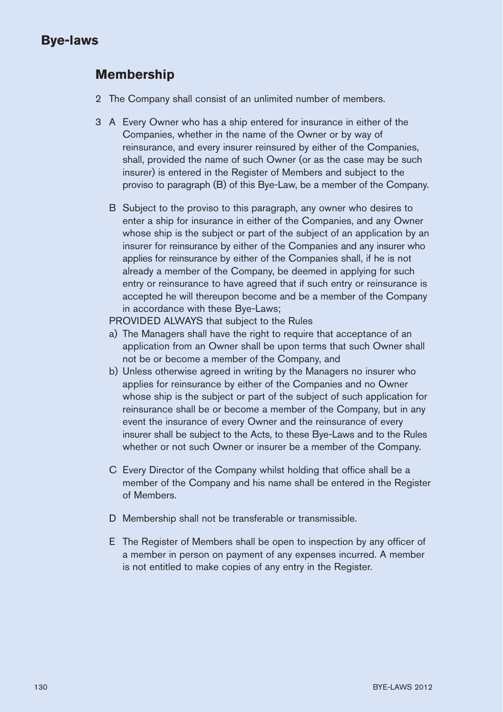#### **Membership**

- 2 The Company shall consist of an unlimited number of members.
- 3 A Every Owner who has a ship entered for insurance in either of the Companies, whether in the name of the Owner or by way of reinsurance, and every insurer reinsured by either of the Companies, shall, provided the name of such Owner (or as the case may be such insurer) is entered in the Register of Members and subject to the proviso to paragraph (B) of this Bye-Law, be a member of the Company.
	- B Subject to the proviso to this paragraph, any owner who desires to enter a ship for insurance in either of the Companies, and any Owner whose ship is the subject or part of the subject of an application by an insurer for reinsurance by either of the Companies and any insurer who applies for reinsurance by either of the Companies shall, if he is not already a member of the Company, be deemed in applying for such entry or reinsurance to have agreed that if such entry or reinsurance is accepted he will thereupon become and be a member of the Company in accordance with these Bye-Laws;

PROVIDED ALWAYS that subject to the Rules

- a) The Managers shall have the right to require that acceptance of an application from an Owner shall be upon terms that such Owner shall not be or become a member of the Company, and
- b) Unless otherwise agreed in writing by the Managers no insurer who applies for reinsurance by either of the Companies and no Owner whose ship is the subject or part of the subject of such application for reinsurance shall be or become a member of the Company, but in any event the insurance of every Owner and the reinsurance of every insurer shall be subject to the Acts, to these Bye-Laws and to the Rules whether or not such Owner or insurer be a member of the Company.
- C Every Director of the Company whilst holding that office shall be a member of the Company and his name shall be entered in the Register of Members.
- D Membership shall not be transferable or transmissible.
- E The Register of Members shall be open to inspection by any officer of a member in person on payment of any expenses incurred. A member is not entitled to make copies of any entry in the Register.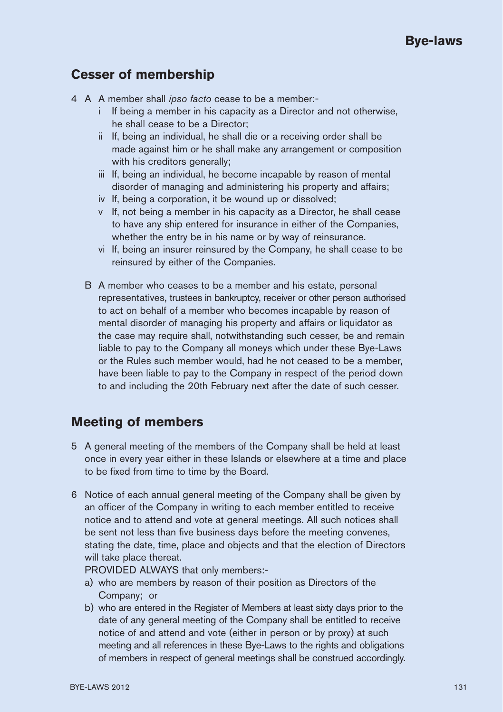# **Cesser of membership**

- 4 A A member shall *ipso facto* cease to be a member:
	- i If being a member in his capacity as a Director and not otherwise, he shall cease to be a Director;
	- ii If, being an individual, he shall die or a receiving order shall be made against him or he shall make any arrangement or composition with his creditors generally;
	- iii If, being an individual, he become incapable by reason of mental disorder of managing and administering his property and affairs;
	- iv If, being a corporation, it be wound up or dissolved;
	- v If, not being a member in his capacity as a Director, he shall cease to have any ship entered for insurance in either of the Companies, whether the entry be in his name or by way of reinsurance.
	- vi If, being an insurer reinsured by the Company, he shall cease to be reinsured by either of the Companies.
	- B A member who ceases to be a member and his estate, personal representatives, trustees in bankruptcy, receiver or other person authorised to act on behalf of a member who becomes incapable by reason of mental disorder of managing his property and affairs or liquidator as the case may require shall, notwithstanding such cesser, be and remain liable to pay to the Company all moneys which under these Bye-Laws or the Rules such member would, had he not ceased to be a member, have been liable to pay to the Company in respect of the period down to and including the 20th February next after the date of such cesser.

### **Meeting of members**

- 5 A general meeting of the members of the Company shall be held at least once in every year either in these Islands or elsewhere at a time and place to be fixed from time to time by the Board.
- 6 Notice of each annual general meeting of the Company shall be given by an officer of the Company in writing to each member entitled to receive notice and to attend and vote at general meetings. All such notices shall be sent not less than five business days before the meeting convenes, stating the date, time, place and objects and that the election of Directors will take place thereat.

PROVIDED ALWAYS that only members:-

- a) who are members by reason of their position as Directors of the Company; or
- b) who are entered in the Register of Members at least sixty days prior to the date of any general meeting of the Company shall be entitled to receive notice of and attend and vote (either in person or by proxy) at such meeting and all references in these Bye-Laws to the rights and obligations of members in respect of general meetings shall be construed accordingly.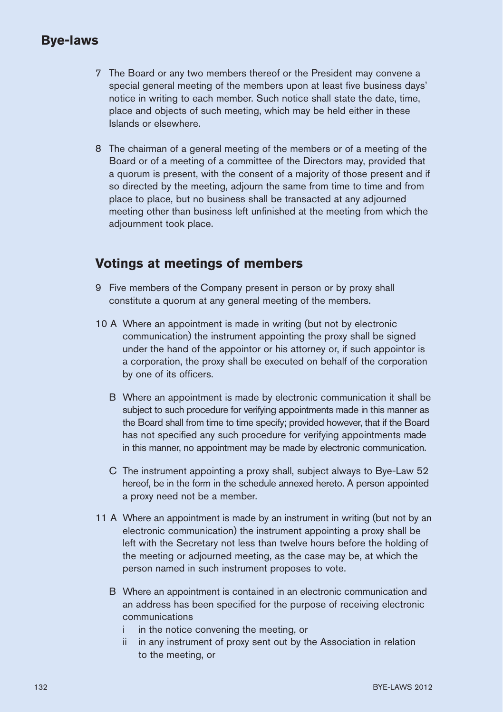- 7 The Board or any two members thereof or the President may convene a special general meeting of the members upon at least five business days' notice in writing to each member. Such notice shall state the date, time, place and objects of such meeting, which may be held either in these Islands or elsewhere.
- 8 The chairman of a general meeting of the members or of a meeting of the Board or of a meeting of a committee of the Directors may, provided that a quorum is present, with the consent of a majority of those present and if so directed by the meeting, adjourn the same from time to time and from place to place, but no business shall be transacted at any adjourned meeting other than business left unfinished at the meeting from which the adjournment took place.

### **Votings at meetings of members**

- 9 Five members of the Company present in person or by proxy shall constitute a quorum at any general meeting of the members.
- 10 A Where an appointment is made in writing (but not by electronic communication) the instrument appointing the proxy shall be signed under the hand of the appointor or his attorney or, if such appointor is a corporation, the proxy shall be executed on behalf of the corporation by one of its officers.
	- B Where an appointment is made by electronic communication it shall be subject to such procedure for verifying appointments made in this manner as the Board shall from time to time specify; provided however, that if the Board has not specified any such procedure for verifying appointments made in this manner, no appointment may be made by electronic communication.
	- C The instrument appointing a proxy shall, subject always to Bye-Law 52 hereof, be in the form in the schedule annexed hereto. A person appointed a proxy need not be a member.
- 11 A Where an appointment is made by an instrument in writing (but not by an electronic communication) the instrument appointing a proxy shall be left with the Secretary not less than twelve hours before the holding of the meeting or adjourned meeting, as the case may be, at which the person named in such instrument proposes to vote.
	- B Where an appointment is contained in an electronic communication and an address has been specified for the purpose of receiving electronic communications
		- i in the notice convening the meeting, or
		- ii in any instrument of proxy sent out by the Association in relation to the meeting, or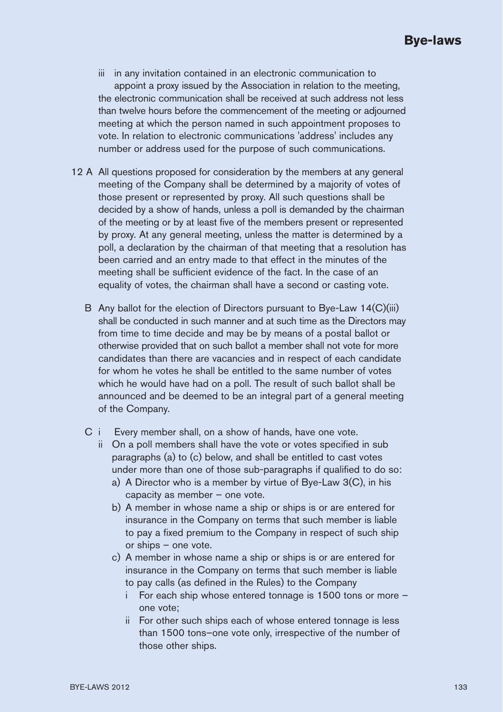- iii in any invitation contained in an electronic communication to appoint a proxy issued by the Association in relation to the meeting, the electronic communication shall be received at such address not less than twelve hours before the commencement of the meeting or adjourned meeting at which the person named in such appointment proposes to vote. In relation to electronic communications 'address' includes any number or address used for the purpose of such communications.
- 12 A All questions proposed for consideration by the members at any general meeting of the Company shall be determined by a majority of votes of those present or represented by proxy. All such questions shall be decided by a show of hands, unless a poll is demanded by the chairman of the meeting or by at least five of the members present or represented by proxy. At any general meeting, unless the matter is determined by a poll, a declaration by the chairman of that meeting that a resolution has been carried and an entry made to that effect in the minutes of the meeting shall be sufficient evidence of the fact. In the case of an equality of votes, the chairman shall have a second or casting vote.
	- B Any ballot for the election of Directors pursuant to Bye-Law 14(C)(iii) shall be conducted in such manner and at such time as the Directors may from time to time decide and may be by means of a postal ballot or otherwise provided that on such ballot a member shall not vote for more candidates than there are vacancies and in respect of each candidate for whom he votes he shall be entitled to the same number of votes which he would have had on a poll. The result of such ballot shall be announced and be deemed to be an integral part of a general meeting of the Company.
	- C i Every member shall, on a show of hands, have one vote.
		- ii On a poll members shall have the vote or votes specified in sub paragraphs (a) to (c) below, and shall be entitled to cast votes under more than one of those sub-paragraphs if qualified to do so:
			- a) A Director who is a member by virtue of Bye-Law 3(C), in his capacity as member – one vote.
			- b) A member in whose name a ship or ships is or are entered for insurance in the Company on terms that such member is liable to pay a fixed premium to the Company in respect of such ship or ships – one vote.
			- c) A member in whose name a ship or ships is or are entered for insurance in the Company on terms that such member is liable to pay calls (as defined in the Rules) to the Company
				- i For each ship whose entered tonnage is 1500 tons or more one vote;
				- ii For other such ships each of whose entered tonnage is less than 1500 tons–one vote only, irrespective of the number of those other ships.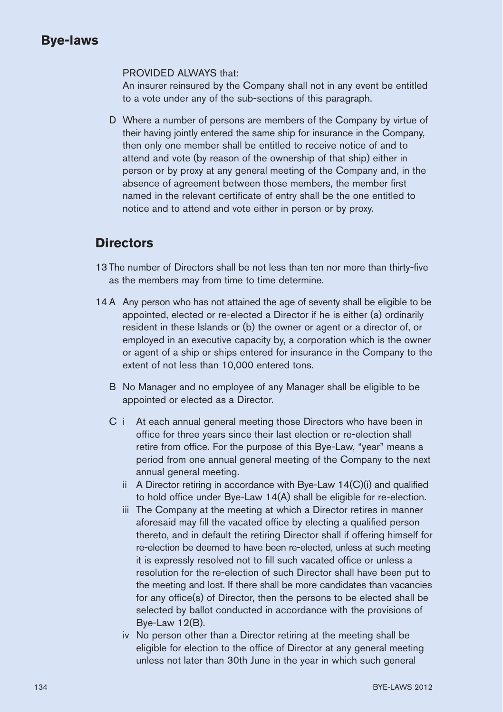#### PROVIDED AI WAYS that:

An insurer reinsured by the Company shall not in any event be entitled to a vote under any of the sub-sections of this paragraph.

D Where a number of persons are members of the Company by virtue of their having jointly entered the same ship for insurance in the Company, then only one member shall be entitled to receive notice of and to attend and vote (by reason of the ownership of that ship) either in person or by proxy at any general meeting of the Company and, in the absence of agreement between those members, the member first named in the relevant certificate of entry shall be the one entitled to notice and to attend and vote either in person or by proxy.

# **Directors**

- 13 The number of Directors shall be not less than ten nor more than thirty-five as the members may from time to time determine.
- 14 A Any person who has not attained the age of seventy shall be eligible to be appointed, elected or re-elected a Director if he is either (a) ordinarily resident in these Islands or (b) the owner or agent or a director of, or employed in an executive capacity by, a corporation which is the owner or agent of a ship or ships entered for insurance in the Company to the extent of not less than 10,000 entered tons.
	- B No Manager and no employee of any Manager shall be eligible to be appointed or elected as a Director.
	- C i At each annual general meeting those Directors who have been in office for three years since their last election or re-election shall retire from office. For the purpose of this Bye-Law, "year" means a period from one annual general meeting of the Company to the next annual general meeting.
		- ii A Director retiring in accordance with Bye-Law 14(C)(i) and qualified to hold office under Bye-Law 14(A) shall be eligible for re-election.
		- iii The Company at the meeting at which a Director retires in manner aforesaid may fill the vacated office by electing a qualified person thereto, and in default the retiring Director shall if offering himself for re-election be deemed to have been re-elected, unless at such meeting it is expressly resolved not to fill such vacated office or unless a resolution for the re-election of such Director shall have been put to the meeting and lost. If there shall be more candidates than vacancies for any office(s) of Director, then the persons to be elected shall be selected by ballot conducted in accordance with the provisions of Bye-Law 12(B).
		- iv No person other than a Director retiring at the meeting shall be eligible for election to the office of Director at any general meeting unless not later than 30th June in the year in which such general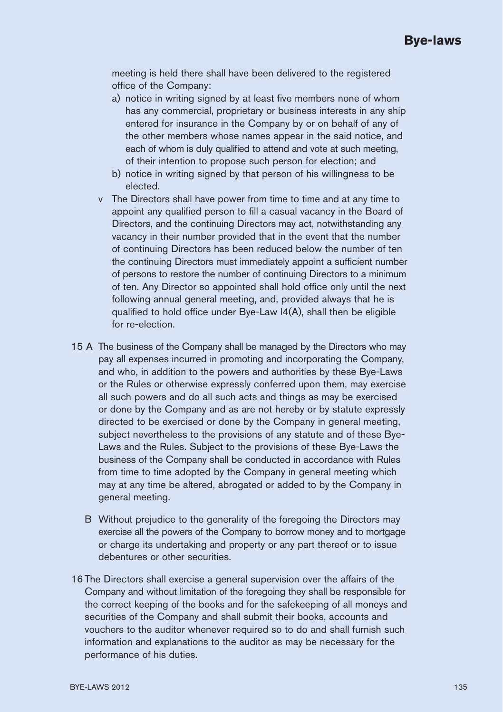meeting is held there shall have been delivered to the registered office of the Company:

- a) notice in writing signed by at least five members none of whom has any commercial, proprietary or business interests in any ship entered for insurance in the Company by or on behalf of any of the other members whose names appear in the said notice, and each of whom is duly qualified to attend and vote at such meeting, of their intention to propose such person for election; and
- b) notice in writing signed by that person of his willingness to be elected.
- v The Directors shall have power from time to time and at any time to appoint any qualified person to fill a casual vacancy in the Board of Directors, and the continuing Directors may act, notwithstanding any vacancy in their number provided that in the event that the number of continuing Directors has been reduced below the number of ten the continuing Directors must immediately appoint a sufficient number of persons to restore the number of continuing Directors to a minimum of ten. Any Director so appointed shall hold office only until the next following annual general meeting, and, provided always that he is qualified to hold office under Bye-Law l4(A), shall then be eligible for re-election.
- 15 A The business of the Company shall be managed by the Directors who may pay all expenses incurred in promoting and incorporating the Company, and who, in addition to the powers and authorities by these Bye-Laws or the Rules or otherwise expressly conferred upon them, may exercise all such powers and do all such acts and things as may be exercised or done by the Company and as are not hereby or by statute expressly directed to be exercised or done by the Company in general meeting, subject nevertheless to the provisions of any statute and of these Bye-Laws and the Rules. Subject to the provisions of these Bye-Laws the business of the Company shall be conducted in accordance with Rules from time to time adopted by the Company in general meeting which may at any time be altered, abrogated or added to by the Company in general meeting.
	- B Without prejudice to the generality of the foregoing the Directors may exercise all the powers of the Company to borrow money and to mortgage or charge its undertaking and property or any part thereof or to issue debentures or other securities.
- 16 The Directors shall exercise a general supervision over the affairs of the Company and without limitation of the foregoing they shall be responsible for the correct keeping of the books and for the safekeeping of all moneys and securities of the Company and shall submit their books, accounts and vouchers to the auditor whenever required so to do and shall furnish such information and explanations to the auditor as may be necessary for the performance of his duties.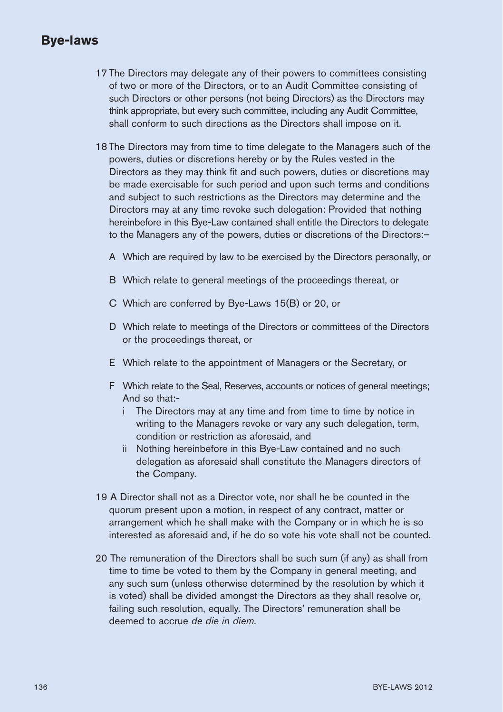- 17 The Directors may delegate any of their powers to committees consisting of two or more of the Directors, or to an Audit Committee consisting of such Directors or other persons (not being Directors) as the Directors may think appropriate, but every such committee, including any Audit Committee, shall conform to such directions as the Directors shall impose on it.
- 18 The Directors may from time to time delegate to the Managers such of the powers, duties or discretions hereby or by the Rules vested in the Directors as they may think fit and such powers, duties or discretions may be made exercisable for such period and upon such terms and conditions and subject to such restrictions as the Directors may determine and the Directors may at any time revoke such delegation: Provided that nothing hereinbefore in this Bye-Law contained shall entitle the Directors to delegate to the Managers any of the powers, duties or discretions of the Directors:–
	- A Which are required by law to be exercised by the Directors personally, or
	- B Which relate to general meetings of the proceedings thereat, or
	- C Which are conferred by Bye-Laws 15(B) or 20, or
	- D Which relate to meetings of the Directors or committees of the Directors or the proceedings thereat, or
	- E Which relate to the appointment of Managers or the Secretary, or
	- F Which relate to the Seal, Reserves, accounts or notices of general meetings; And so that:
		- i The Directors may at any time and from time to time by notice in writing to the Managers revoke or vary any such delegation, term, condition or restriction as aforesaid, and
		- ii Nothing hereinbefore in this Bye-Law contained and no such delegation as aforesaid shall constitute the Managers directors of the Company.
- 19 A Director shall not as a Director vote, nor shall he be counted in the quorum present upon a motion, in respect of any contract, matter or arrangement which he shall make with the Company or in which he is so interested as aforesaid and, if he do so vote his vote shall not be counted.
- 20 The remuneration of the Directors shall be such sum (if any) as shall from time to time be voted to them by the Company in general meeting, and any such sum (unless otherwise determined by the resolution by which it is voted) shall be divided amongst the Directors as they shall resolve or, failing such resolution, equally. The Directors' remuneration shall be deemed to accrue *de die in diem.*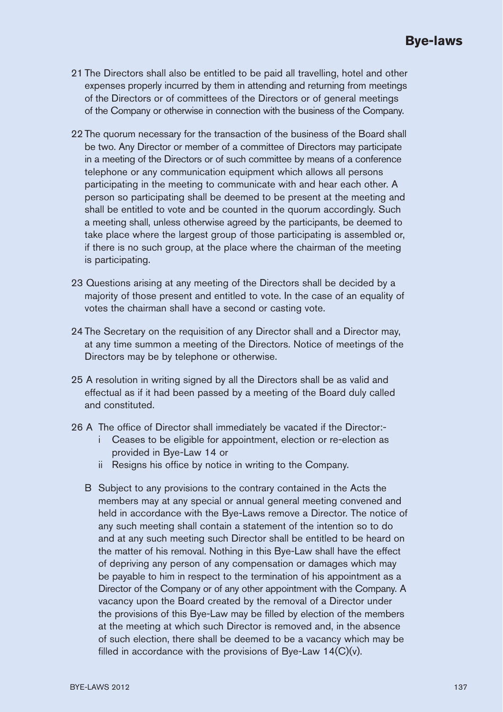- 21 The Directors shall also be entitled to be paid all travelling, hotel and other expenses properly incurred by them in attending and returning from meetings of the Directors or of committees of the Directors or of general meetings of the Company or otherwise in connection with the business of the Company.
- 22 The quorum necessary for the transaction of the business of the Board shall be two. Any Director or member of a committee of Directors may participate in a meeting of the Directors or of such committee by means of a conference telephone or any communication equipment which allows all persons participating in the meeting to communicate with and hear each other. A person so participating shall be deemed to be present at the meeting and shall be entitled to vote and be counted in the quorum accordingly. Such a meeting shall, unless otherwise agreed by the participants, be deemed to take place where the largest group of those participating is assembled or, if there is no such group, at the place where the chairman of the meeting is participating.
- 23 Questions arising at any meeting of the Directors shall be decided by a majority of those present and entitled to vote. In the case of an equality of votes the chairman shall have a second or casting vote.
- 24 The Secretary on the requisition of any Director shall and a Director may, at any time summon a meeting of the Directors. Notice of meetings of the Directors may be by telephone or otherwise.
- 25 A resolution in writing signed by all the Directors shall be as valid and effectual as if it had been passed by a meeting of the Board duly called and constituted.
- 26 A The office of Director shall immediately be vacated if the Director:
	- i Ceases to be eligible for appointment, election or re-election as provided in Bye-Law 14 or
	- ii Resigns his office by notice in writing to the Company.
	- B Subject to any provisions to the contrary contained in the Acts the members may at any special or annual general meeting convened and held in accordance with the Bye-Laws remove a Director. The notice of any such meeting shall contain a statement of the intention so to do and at any such meeting such Director shall be entitled to be heard on the matter of his removal. Nothing in this Bye-Law shall have the effect of depriving any person of any compensation or damages which may be payable to him in respect to the termination of his appointment as a Director of the Company or of any other appointment with the Company. A vacancy upon the Board created by the removal of a Director under the provisions of this Bye-Law may be filled by election of the members at the meeting at which such Director is removed and, in the absence of such election, there shall be deemed to be a vacancy which may be filled in accordance with the provisions of Bye-Law 14(C)(y).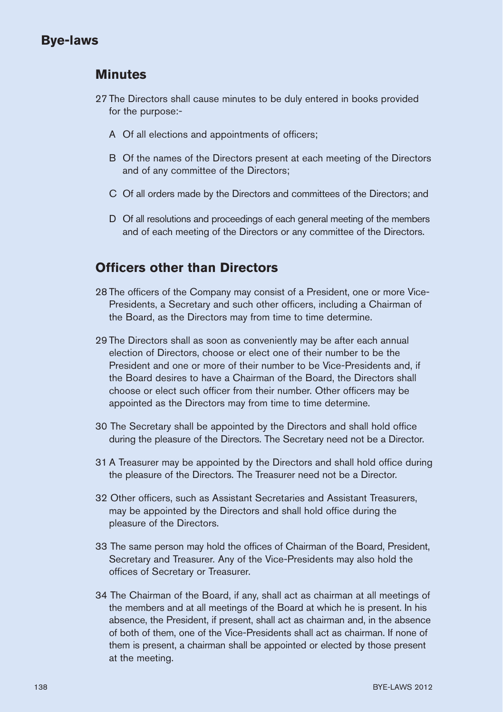### **Minutes**

- 27 The Directors shall cause minutes to be duly entered in books provided for the purpose:-
	- A Of all elections and appointments of officers;
	- B Of the names of the Directors present at each meeting of the Directors and of any committee of the Directors;
	- C Of all orders made by the Directors and committees of the Directors; and
	- D Of all resolutions and proceedings of each general meeting of the members and of each meeting of the Directors or any committee of the Directors.

# **Officers other than Directors**

- 28 The officers of the Company may consist of a President, one or more Vice-Presidents, a Secretary and such other officers, including a Chairman of the Board, as the Directors may from time to time determine.
- 29 The Directors shall as soon as conveniently may be after each annual election of Directors, choose or elect one of their number to be the President and one or more of their number to be Vice-Presidents and, if the Board desires to have a Chairman of the Board, the Directors shall choose or elect such officer from their number. Other officers may be appointed as the Directors may from time to time determine.
- 30 The Secretary shall be appointed by the Directors and shall hold office during the pleasure of the Directors. The Secretary need not be a Director.
- 31 A Treasurer may be appointed by the Directors and shall hold office during the pleasure of the Directors. The Treasurer need not be a Director.
- 32 Other officers, such as Assistant Secretaries and Assistant Treasurers, may be appointed by the Directors and shall hold office during the pleasure of the Directors.
- 33 The same person may hold the offices of Chairman of the Board, President, Secretary and Treasurer. Any of the Vice-Presidents may also hold the offices of Secretary or Treasurer.
- 34 The Chairman of the Board, if any, shall act as chairman at all meetings of the members and at all meetings of the Board at which he is present. In his absence, the President, if present, shall act as chairman and, in the absence of both of them, one of the Vice-Presidents shall act as chairman. If none of them is present, a chairman shall be appointed or elected by those present at the meeting.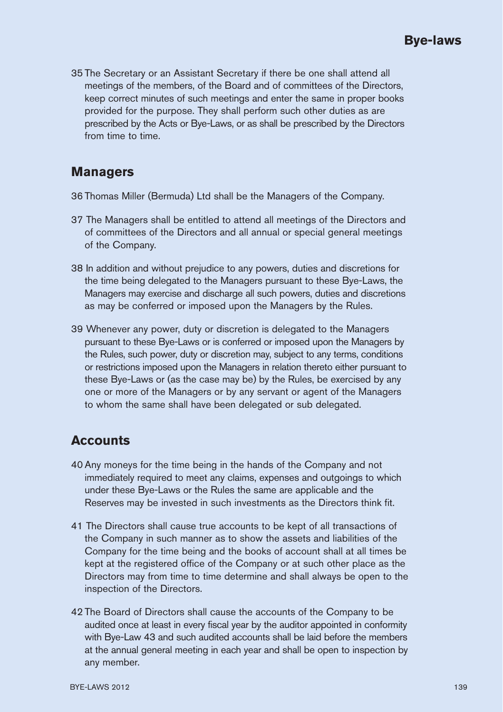35 The Secretary or an Assistant Secretary if there be one shall attend all meetings of the members, of the Board and of committees of the Directors, keep correct minutes of such meetings and enter the same in proper books provided for the purpose. They shall perform such other duties as are prescribed by the Acts or Bye-Laws, or as shall be prescribed by the Directors from time to time.

#### **Managers**

36 Thomas Miller (Bermuda) Ltd shall be the Managers of the Company.

- 37 The Managers shall be entitled to attend all meetings of the Directors and of committees of the Directors and all annual or special general meetings of the Company.
- 38 In addition and without prejudice to any powers, duties and discretions for the time being delegated to the Managers pursuant to these Bye-Laws, the Managers may exercise and discharge all such powers, duties and discretions as may be conferred or imposed upon the Managers by the Rules.
- 39 Whenever any power, duty or discretion is delegated to the Managers pursuant to these Bye-Laws or is conferred or imposed upon the Managers by the Rules, such power, duty or discretion may, subject to any terms, conditions or restrictions imposed upon the Managers in relation thereto either pursuant to these Bye-Laws or (as the case may be) by the Rules, be exercised by any one or more of the Managers or by any servant or agent of the Managers to whom the same shall have been delegated or sub delegated.

### **Accounts**

- 40 Any moneys for the time being in the hands of the Company and not immediately required to meet any claims, expenses and outgoings to which under these Bye-Laws or the Rules the same are applicable and the Reserves may be invested in such investments as the Directors think fit.
- 41 The Directors shall cause true accounts to be kept of all transactions of the Company in such manner as to show the assets and liabilities of the Company for the time being and the books of account shall at all times be kept at the registered office of the Company or at such other place as the Directors may from time to time determine and shall always be open to the inspection of the Directors.
- 42 The Board of Directors shall cause the accounts of the Company to be audited once at least in every fiscal year by the auditor appointed in conformity with Bye-Law 43 and such audited accounts shall be laid before the members at the annual general meeting in each year and shall be open to inspection by any member.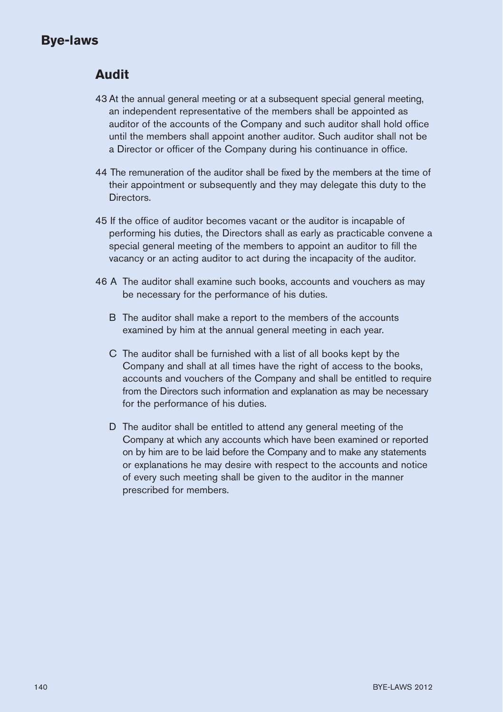# **Audit**

- 43 At the annual general meeting or at a subsequent special general meeting, an independent representative of the members shall be appointed as auditor of the accounts of the Company and such auditor shall hold office until the members shall appoint another auditor. Such auditor shall not be a Director or officer of the Company during his continuance in office.
- 44 The remuneration of the auditor shall be fixed by the members at the time of their appointment or subsequently and they may delegate this duty to the Directors.
- 45 If the office of auditor becomes vacant or the auditor is incapable of performing his duties, the Directors shall as early as practicable convene a special general meeting of the members to appoint an auditor to fill the vacancy or an acting auditor to act during the incapacity of the auditor.
- 46 A The auditor shall examine such books, accounts and vouchers as may be necessary for the performance of his duties.
	- B The auditor shall make a report to the members of the accounts examined by him at the annual general meeting in each year.
	- C The auditor shall be furnished with a list of all books kept by the Company and shall at all times have the right of access to the books, accounts and vouchers of the Company and shall be entitled to require from the Directors such information and explanation as may be necessary for the performance of his duties.
	- D The auditor shall be entitled to attend any general meeting of the Company at which any accounts which have been examined or reported on by him are to be laid before the Company and to make any statements or explanations he may desire with respect to the accounts and notice of every such meeting shall be given to the auditor in the manner prescribed for members.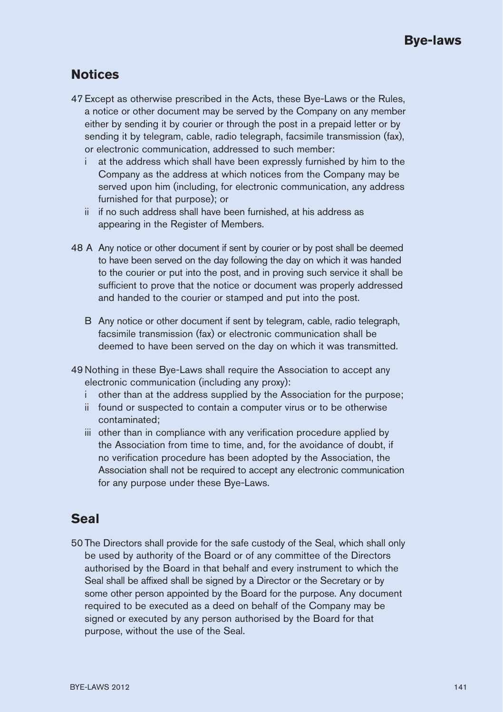# **Notices**

- 47 Except as otherwise prescribed in the Acts, these Bye-Laws or the Rules, a notice or other document may be served by the Company on any member either by sending it by courier or through the post in a prepaid letter or by sending it by telegram, cable, radio telegraph, facsimile transmission (fax), or electronic communication, addressed to such member:
	- at the address which shall have been expressly furnished by him to the Company as the address at which notices from the Company may be served upon him (including, for electronic communication, any address furnished for that purpose); or
	- ii if no such address shall have been furnished, at his address as appearing in the Register of Members.
- 48 A Any notice or other document if sent by courier or by post shall be deemed to have been served on the day following the day on which it was handed to the courier or put into the post, and in proving such service it shall be sufficient to prove that the notice or document was properly addressed and handed to the courier or stamped and put into the post.
	- B Any notice or other document if sent by telegram, cable, radio telegraph, facsimile transmission (fax) or electronic communication shall be deemed to have been served on the day on which it was transmitted.
- 49 Nothing in these Bye-Laws shall require the Association to accept any electronic communication (including any proxy):
	- i other than at the address supplied by the Association for the purpose;
	- ii found or suspected to contain a computer virus or to be otherwise contaminated;
	- iii other than in compliance with any verification procedure applied by the Association from time to time, and, for the avoidance of doubt, if no verification procedure has been adopted by the Association, the Association shall not be required to accept any electronic communication for any purpose under these Bye-Laws.

# **Seal**

50 The Directors shall provide for the safe custody of the Seal, which shall only be used by authority of the Board or of any committee of the Directors authorised by the Board in that behalf and every instrument to which the Seal shall be affixed shall be signed by a Director or the Secretary or by some other person appointed by the Board for the purpose. Any document required to be executed as a deed on behalf of the Company may be signed or executed by any person authorised by the Board for that purpose, without the use of the Seal.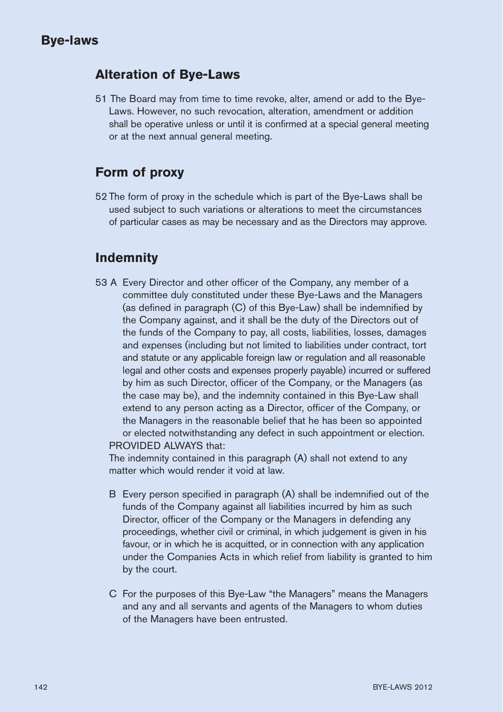### **Alteration of Bye-Laws**

51 The Board may from time to time revoke, alter, amend or add to the Bye-Laws. However, no such revocation, alteration, amendment or addition shall be operative unless or until it is confirmed at a special general meeting or at the next annual general meeting.

### **Form of proxy**

52 The form of proxy in the schedule which is part of the Bye-Laws shall be used subject to such variations or alterations to meet the circumstances of particular cases as may be necessary and as the Directors may approve.

# **Indemnity**

53 A Every Director and other officer of the Company, any member of a committee duly constituted under these Bye-Laws and the Managers (as defined in paragraph (C) of this Bye-Law) shall be indemnified by the Company against, and it shall be the duty of the Directors out of the funds of the Company to pay, all costs, liabilities, losses, damages and expenses (including but not limited to liabilities under contract, tort and statute or any applicable foreign law or regulation and all reasonable legal and other costs and expenses properly payable) incurred or suffered by him as such Director, officer of the Company, or the Managers (as the case may be), and the indemnity contained in this Bye-Law shall extend to any person acting as a Director, officer of the Company, or the Managers in the reasonable belief that he has been so appointed or elected notwithstanding any defect in such appointment or election. PROVIDED ALWAYS that:

The indemnity contained in this paragraph (A) shall not extend to any matter which would render it void at law.

- B Every person specified in paragraph (A) shall be indemnified out of the funds of the Company against all liabilities incurred by him as such Director, officer of the Company or the Managers in defending any proceedings, whether civil or criminal, in which judgement is given in his favour, or in which he is acquitted, or in connection with any application under the Companies Acts in which relief from liability is granted to him by the court.
- C For the purposes of this Bye-Law "the Managers" means the Managers and any and all servants and agents of the Managers to whom duties of the Managers have been entrusted.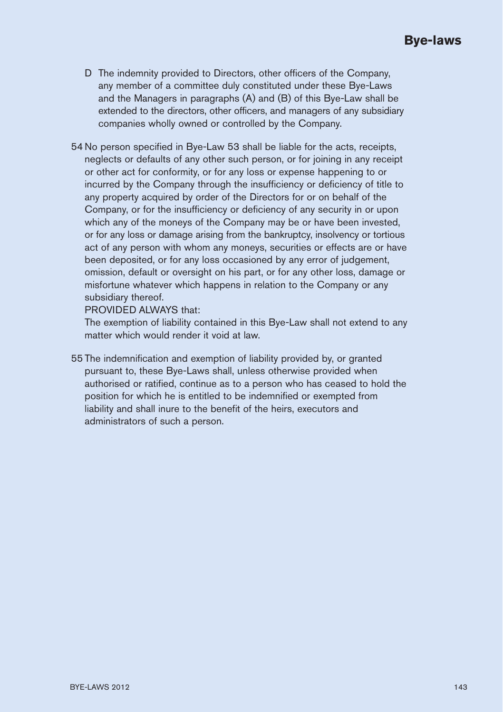- D The indemnity provided to Directors, other officers of the Company, any member of a committee duly constituted under these Bye-Laws and the Managers in paragraphs (A) and (B) of this Bye-Law shall be extended to the directors, other officers, and managers of any subsidiary companies wholly owned or controlled by the Company.
- 54 No person specified in Bye-Law 53 shall be liable for the acts, receipts, neglects or defaults of any other such person, or for joining in any receipt or other act for conformity, or for any loss or expense happening to or incurred by the Company through the insufficiency or deficiency of title to any property acquired by order of the Directors for or on behalf of the Company, or for the insufficiency or deficiency of any security in or upon which any of the moneys of the Company may be or have been invested, or for any loss or damage arising from the bankruptcy, insolvency or tortious act of any person with whom any moneys, securities or effects are or have been deposited, or for any loss occasioned by any error of judgement, omission, default or oversight on his part, or for any other loss, damage or misfortune whatever which happens in relation to the Company or any subsidiary thereof.

PROVIDED ALWAYS that:

The exemption of liability contained in this Bye-Law shall not extend to any matter which would render it void at law.

55 The indemnification and exemption of liability provided by, or granted pursuant to, these Bye-Laws shall, unless otherwise provided when authorised or ratified, continue as to a person who has ceased to hold the position for which he is entitled to be indemnified or exempted from liability and shall inure to the benefit of the heirs, executors and administrators of such a person.